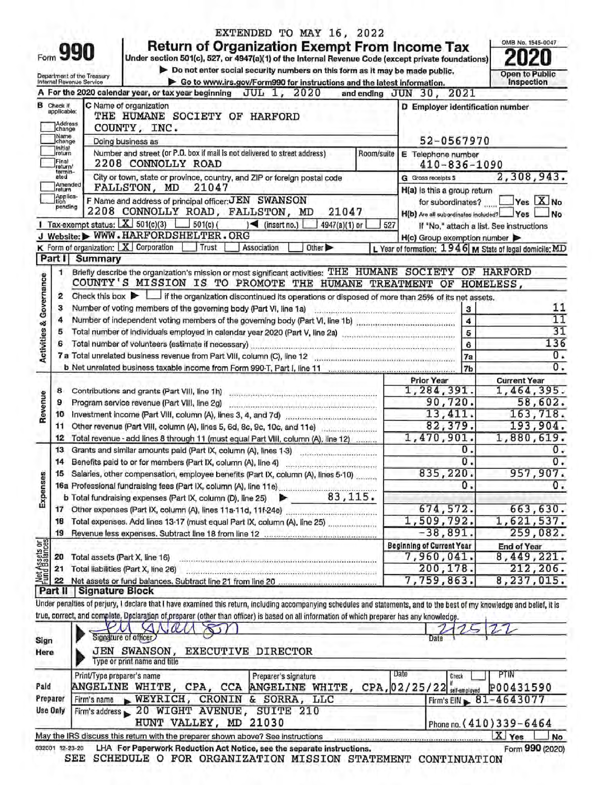|                                    | Form 991                                               | Return of Organization Exempt From Income Tax<br>Under section 501(c), 527, or 4947(a)(1) of the Internal Revenue Code (except private foundations)                                                                                                                                                                                                 |                                                                                             |                                   |
|------------------------------------|--------------------------------------------------------|-----------------------------------------------------------------------------------------------------------------------------------------------------------------------------------------------------------------------------------------------------------------------------------------------------------------------------------------------------|---------------------------------------------------------------------------------------------|-----------------------------------|
|                                    | Department of the Treasury<br>Internal Revenue Service | Do not enter social security numbers on this form as it may be made public.                                                                                                                                                                                                                                                                         |                                                                                             | Open to Public                    |
|                                    |                                                        | Go to www.irs.gov/Form990 for instructions and the latest information.<br>A For the 2020 calendar year, or tax year beginning $JUL$ 1, $2020$                                                                                                                                                                                                       | and ending JUN 30, 2021                                                                     | Inspection                        |
|                                    | <b>B</b> Check if<br>applicable:<br>Address<br>change  | C Name of organization<br>THE HUMANE SOCIETY OF HARFORD<br>COUNTY, INC.                                                                                                                                                                                                                                                                             | D Employer identification number                                                            |                                   |
|                                    | Name<br>change                                         | Doing business as                                                                                                                                                                                                                                                                                                                                   | 52-0567970                                                                                  |                                   |
|                                    | Initial<br>return<br>Fina)<br>return/                  | Number and street (or P.O. box if mail is not delivered to street address)<br>Room/suite<br>2208 CONNOLLY ROAD                                                                                                                                                                                                                                      | E Telephone number<br>$410 - 836 - 1090$                                                    |                                   |
|                                    | termin-<br>ated<br>Amended<br>return                   | City or town, state or province, country, and ZIP or foreign postal code<br>FALLSTON, MD<br>21047                                                                                                                                                                                                                                                   | G Gross receipts \$                                                                         | 2,308,943.                        |
|                                    | Applica-<br>Ition<br>pending                           | F Name and address of principal officer: JEN SWANSON<br>2208 CONNOLLY ROAD, FALLSTON, MD<br>21047                                                                                                                                                                                                                                                   | H(a) is this a group return<br>for subordinates?<br>H(b) Are all subordinates included? Yes | Yes X No<br><b>No</b>             |
|                                    |                                                        | 1 Tax-exempt status: $X$ 501(c)(3)<br>$-$ 501(c) (<br>$\blacktriangleright$ (insert no.)<br>4947(a)(1) or                                                                                                                                                                                                                                           | 527<br>If "No," attach a list. See instructions                                             |                                   |
|                                    |                                                        | J Website: WWW.HARFORDSHELTER.ORG                                                                                                                                                                                                                                                                                                                   | H(c) Group exemption number                                                                 |                                   |
|                                    | Part I                                                 | K Form of organization:   X Corporation<br>Trust<br>Association<br>Other <sup>&gt;</sup>                                                                                                                                                                                                                                                            | L Year of formation: $1946$ M State of legal domicile: MD                                   |                                   |
|                                    | 1.                                                     | Summary<br>Briefly describe the organization's mission or most significant activities: THE HUMANE SOCIETY OF HARFORD<br>COUNTY'S MISSION IS TO PROMOTE THE HUMANE TREATMENT OF                                                                                                                                                                      |                                                                                             | HOMELESS,                         |
| <b>Activities &amp; Governance</b> | 2                                                      | Check this box $\blacktriangleright$   if the organization discontinued its operations or disposed of more than 25% of its net assets.                                                                                                                                                                                                              |                                                                                             |                                   |
|                                    | з                                                      | Number of voting members of the governing body (Part VI, line 1a)                                                                                                                                                                                                                                                                                   | $\bf{3}$                                                                                    | 11                                |
|                                    | 4                                                      |                                                                                                                                                                                                                                                                                                                                                     | 4                                                                                           | 11                                |
|                                    | 5                                                      |                                                                                                                                                                                                                                                                                                                                                     | 5                                                                                           | 31                                |
|                                    |                                                        |                                                                                                                                                                                                                                                                                                                                                     | 6                                                                                           | 136                               |
|                                    |                                                        |                                                                                                                                                                                                                                                                                                                                                     | 7a                                                                                          | 0.                                |
|                                    |                                                        |                                                                                                                                                                                                                                                                                                                                                     | 7 <sub>b</sub>                                                                              | 0.                                |
|                                    | 8                                                      | Contributions and grants (Part VIII, line 1h)                                                                                                                                                                                                                                                                                                       | <b>Prior Year</b><br>1,284,391.                                                             | <b>Current Year</b><br>1,464,395. |
| Revenue                            | 9                                                      | Program service revenue (Part VIII, line 2g)                                                                                                                                                                                                                                                                                                        | 90,720.                                                                                     | 58,602.                           |
|                                    | 10                                                     | endos sendo en 2003 en el estado en 2003 en 2008 en 2009 en 2009.<br>Investment income (Part VIII, column (A), lines 3, 4, and 7d)                                                                                                                                                                                                                  | 13, 411.                                                                                    | 163, 718.                         |
|                                    | 11                                                     |                                                                                                                                                                                                                                                                                                                                                     | 82,379.                                                                                     | 193,904.                          |
|                                    | 12                                                     | Total revenue - add lines 8 through 11 (must equal Part VIII, column (A), line 12)                                                                                                                                                                                                                                                                  | 1,470,901                                                                                   | 1,880,619.                        |
|                                    | 13                                                     | Grants and similar amounts paid (Part IX, column (A), lines 1-3)                                                                                                                                                                                                                                                                                    | 0.                                                                                          | 0.                                |
|                                    | 14                                                     |                                                                                                                                                                                                                                                                                                                                                     | О.                                                                                          | 0.                                |
|                                    | 15                                                     | Salaries, other compensation, employee benefits (Part IX, column (A), lines 5-10)                                                                                                                                                                                                                                                                   | 835,220.                                                                                    | 957,907.                          |
|                                    |                                                        |                                                                                                                                                                                                                                                                                                                                                     | 0.                                                                                          | 0.                                |
| Expenses                           |                                                        |                                                                                                                                                                                                                                                                                                                                                     |                                                                                             |                                   |
|                                    |                                                        |                                                                                                                                                                                                                                                                                                                                                     | 674,572.                                                                                    | 663,630.                          |
|                                    | 18                                                     | Total expenses. Add lines 13-17 (must equal Part IX, column (A), line 25)                                                                                                                                                                                                                                                                           | 1,509,792.                                                                                  | 1,621,537.                        |
|                                    | 19                                                     | Revenue less expenses. Subtract line 18 from line 12 communications and contained                                                                                                                                                                                                                                                                   | $-38,891.$                                                                                  | 259,082.                          |
| Net Assets or                      |                                                        |                                                                                                                                                                                                                                                                                                                                                     | <b>Beginning of Current Year</b>                                                            | <b>End of Year</b>                |
|                                    | 20                                                     | Total assets (Part X, line 16)                                                                                                                                                                                                                                                                                                                      | 7,960,041.                                                                                  | 8,449,221.                        |
|                                    | 21                                                     | Total liabilities (Part X, line 26)                                                                                                                                                                                                                                                                                                                 | 200,178.                                                                                    | 212,206.                          |
|                                    |                                                        |                                                                                                                                                                                                                                                                                                                                                     | 7,759,863.                                                                                  | 8,237,015.                        |
|                                    |                                                        | Part II Signature Block<br>Under penalties of perjury, I declare that I have examined this return, including accompanying schedules and statements, and to the best of my knowledge and belief, it is<br>true, correct, and complete. Declaration of preparer (other than officer) is based on all information of which preparer has any knowledge. |                                                                                             |                                   |
|                                    |                                                        | $\alpha$                                                                                                                                                                                                                                                                                                                                            |                                                                                             |                                   |
| Sign<br>Here                       |                                                        | Signature of officer<br>JEN SWANSON,<br>EXECUTIVE DIRECTOR<br>Type or print name and title                                                                                                                                                                                                                                                          |                                                                                             |                                   |
|                                    |                                                        | Print/Type preparer's name<br>Preparer's signature                                                                                                                                                                                                                                                                                                  | Date<br>Check                                                                               | PTIN                              |
| Paid                               |                                                        | ANGELINE WHITE, CPA, CCA ANGELINE WHITE, CPA, 02/25/22 self-employed                                                                                                                                                                                                                                                                                |                                                                                             | P00431590                         |
|                                    | Preparer                                               | Firm's name WEYRICH, CRONIN & SORRA, LLC                                                                                                                                                                                                                                                                                                            | Firm's EIN $\, 81 - 4643077$                                                                |                                   |
|                                    | <b>Use Only</b>                                        | Firm's address 20 WIGHT AVENUE, SUITE 210                                                                                                                                                                                                                                                                                                           |                                                                                             |                                   |
|                                    |                                                        | HUNT VALLEY, MD 21030                                                                                                                                                                                                                                                                                                                               |                                                                                             | Phone no. (410) 339-6464          |
|                                    |                                                        | May the IRS discuss this return with the preparer shown above? See instructions                                                                                                                                                                                                                                                                     |                                                                                             | X Yes<br><b>No</b>                |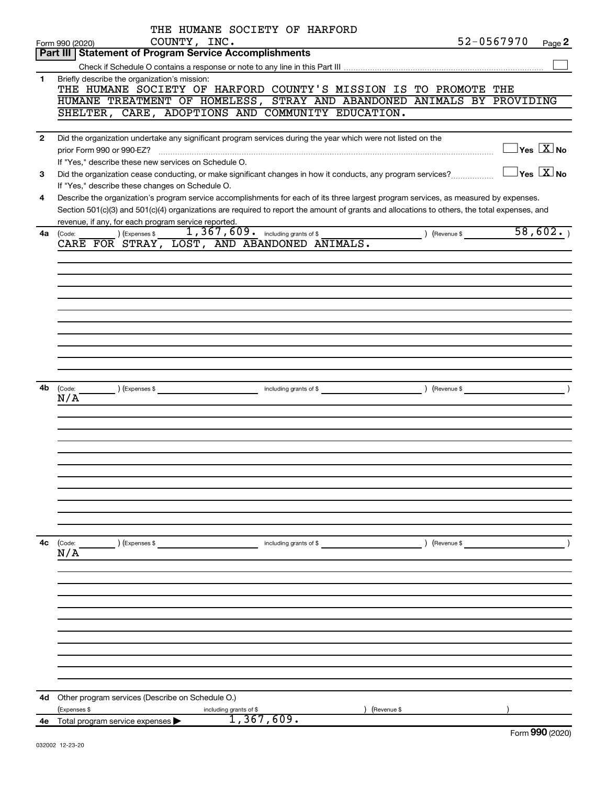|                | THE HUMANE SOCIETY OF HARFORD                                                                                                                             |
|----------------|-----------------------------------------------------------------------------------------------------------------------------------------------------------|
|                | 52-0567970<br>COUNTY, INC.<br>Page 2<br>Form 990 (2020)<br><b>Part III   Statement of Program Service Accomplishments</b>                                 |
|                |                                                                                                                                                           |
| $\mathbf{1}$   | Briefly describe the organization's mission:                                                                                                              |
|                | THE HUMANE SOCIETY OF HARFORD COUNTY'S MISSION IS TO PROMOTE THE                                                                                          |
|                | HUMANE TREATMENT OF HOMELESS, STRAY AND ABANDONED ANIMALS BY PROVIDING                                                                                    |
|                | SHELTER, CARE, ADOPTIONS AND COMMUNITY EDUCATION.                                                                                                         |
| $\overline{2}$ | Did the organization undertake any significant program services during the year which were not listed on the                                              |
|                | $\exists$ Yes $\boxed{\text{X}}$ No<br>prior Form 990 or 990-EZ?                                                                                          |
|                | If "Yes," describe these new services on Schedule O.                                                                                                      |
| 3              | $\overline{\ }$ Yes $\overline{\rm X}$ No<br>Did the organization cease conducting, or make significant changes in how it conducts, any program services? |
|                | If "Yes," describe these changes on Schedule O.                                                                                                           |
| 4              | Describe the organization's program service accomplishments for each of its three largest program services, as measured by expenses.                      |
|                | Section 501(c)(3) and 501(c)(4) organizations are required to report the amount of grants and allocations to others, the total expenses, and              |
|                | revenue, if any, for each program service reported.<br>$\overline{1,367,609}$ including grants of \$<br>58,602.                                           |
| 4a             | (Revenue \$<br>(Code:<br>CARE FOR STRAY, LOST, AND ABANDONED ANIMALS.                                                                                     |
|                |                                                                                                                                                           |
|                |                                                                                                                                                           |
|                |                                                                                                                                                           |
|                |                                                                                                                                                           |
|                |                                                                                                                                                           |
|                |                                                                                                                                                           |
|                |                                                                                                                                                           |
|                |                                                                                                                                                           |
|                |                                                                                                                                                           |
|                |                                                                                                                                                           |
| 4b             | $\overline{\phantom{a}}$<br>(Code:<br>(Expenses \$                                                                                                        |
|                | N/A                                                                                                                                                       |
|                |                                                                                                                                                           |
|                |                                                                                                                                                           |
|                |                                                                                                                                                           |
|                |                                                                                                                                                           |
|                |                                                                                                                                                           |
|                |                                                                                                                                                           |
|                |                                                                                                                                                           |
|                |                                                                                                                                                           |
|                |                                                                                                                                                           |
| 4с             | ) (Revenue \$<br>(Code:<br>) (Expenses \$<br>including grants of \$                                                                                       |
|                | N/A                                                                                                                                                       |
|                |                                                                                                                                                           |
|                |                                                                                                                                                           |
|                |                                                                                                                                                           |
|                |                                                                                                                                                           |
|                |                                                                                                                                                           |
|                |                                                                                                                                                           |
|                |                                                                                                                                                           |
|                |                                                                                                                                                           |
|                |                                                                                                                                                           |
| 4d             | Other program services (Describe on Schedule O.)                                                                                                          |
|                | (Expenses \$<br>including grants of \$<br>(Revenue \$                                                                                                     |
|                | 1,367,609.<br>4e Total program service expenses                                                                                                           |
|                |                                                                                                                                                           |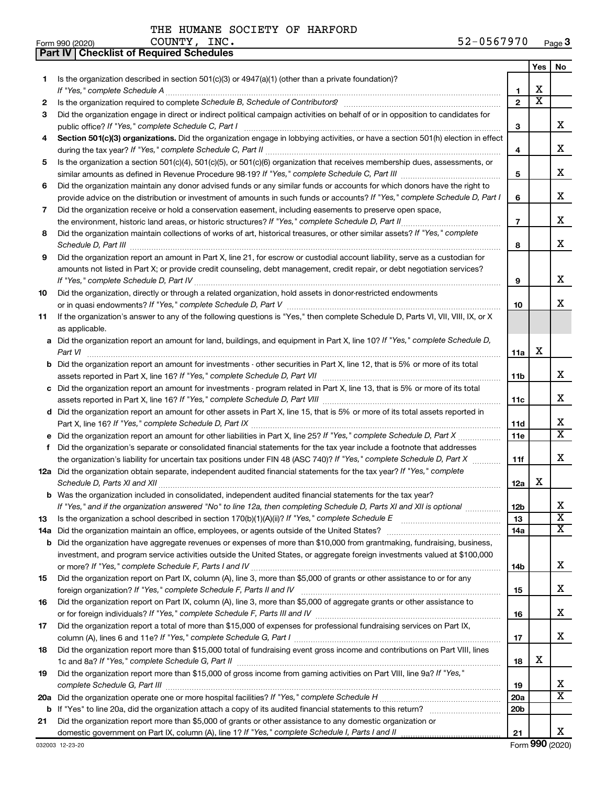**Part IV Checklist of Required Schedules**

|     |                                                                                                                                                                                                                                           |                 | Yes | No                    |
|-----|-------------------------------------------------------------------------------------------------------------------------------------------------------------------------------------------------------------------------------------------|-----------------|-----|-----------------------|
| 1.  | Is the organization described in section $501(c)(3)$ or $4947(a)(1)$ (other than a private foundation)?                                                                                                                                   |                 |     |                       |
|     | If "Yes," complete Schedule A                                                                                                                                                                                                             | 1               | x   |                       |
| 2   |                                                                                                                                                                                                                                           | $\mathbf{2}$    | x   |                       |
| 3   | Did the organization engage in direct or indirect political campaign activities on behalf of or in opposition to candidates for                                                                                                           |                 |     | x.                    |
|     | public office? If "Yes," complete Schedule C, Part I                                                                                                                                                                                      | 3               |     |                       |
| 4   | Section 501(c)(3) organizations. Did the organization engage in lobbying activities, or have a section 501(h) election in effect                                                                                                          |                 |     | x                     |
|     | Is the organization a section 501(c)(4), 501(c)(5), or 501(c)(6) organization that receives membership dues, assessments, or                                                                                                              | 4               |     |                       |
| 5   |                                                                                                                                                                                                                                           | 5               |     | x                     |
| 6   | Did the organization maintain any donor advised funds or any similar funds or accounts for which donors have the right to                                                                                                                 |                 |     |                       |
|     | provide advice on the distribution or investment of amounts in such funds or accounts? If "Yes," complete Schedule D, Part I                                                                                                              | 6               |     | x                     |
| 7   | Did the organization receive or hold a conservation easement, including easements to preserve open space,                                                                                                                                 |                 |     |                       |
|     |                                                                                                                                                                                                                                           | $\overline{7}$  |     | x                     |
| 8   | Did the organization maintain collections of works of art, historical treasures, or other similar assets? If "Yes," complete                                                                                                              |                 |     |                       |
|     |                                                                                                                                                                                                                                           | 8               |     | x                     |
| 9   | Did the organization report an amount in Part X, line 21, for escrow or custodial account liability, serve as a custodian for                                                                                                             |                 |     |                       |
|     | amounts not listed in Part X; or provide credit counseling, debt management, credit repair, or debt negotiation services?                                                                                                                 |                 |     |                       |
|     |                                                                                                                                                                                                                                           | 9               |     | x                     |
| 10  | Did the organization, directly or through a related organization, hold assets in donor-restricted endowments                                                                                                                              |                 |     |                       |
|     |                                                                                                                                                                                                                                           | 10              |     | x.                    |
| 11  | If the organization's answer to any of the following questions is "Yes," then complete Schedule D, Parts VI, VII, VIII, IX, or X                                                                                                          |                 |     |                       |
|     | as applicable.                                                                                                                                                                                                                            |                 |     |                       |
|     | a Did the organization report an amount for land, buildings, and equipment in Part X, line 10? If "Yes," complete Schedule D,                                                                                                             |                 |     |                       |
|     | Part VI                                                                                                                                                                                                                                   | 11a             | х   |                       |
|     | <b>b</b> Did the organization report an amount for investments - other securities in Part X, line 12, that is 5% or more of its total                                                                                                     |                 |     |                       |
|     |                                                                                                                                                                                                                                           | 11b             |     | x                     |
|     | c Did the organization report an amount for investments - program related in Part X, line 13, that is 5% or more of its total                                                                                                             |                 |     |                       |
|     | 11c                                                                                                                                                                                                                                       |                 |     | x                     |
|     | d Did the organization report an amount for other assets in Part X, line 15, that is 5% or more of its total assets reported in                                                                                                           |                 |     |                       |
|     |                                                                                                                                                                                                                                           | 11d             |     | x                     |
|     | e Did the organization report an amount for other liabilities in Part X, line 25? If "Yes," complete Schedule D, Part X                                                                                                                   | 11e             |     | X.                    |
| f.  | Did the organization's separate or consolidated financial statements for the tax year include a footnote that addresses                                                                                                                   |                 |     |                       |
|     | the organization's liability for uncertain tax positions under FIN 48 (ASC 740)? If "Yes," complete Schedule D, Part X                                                                                                                    | 11f             |     | x.                    |
|     | 12a Did the organization obtain separate, independent audited financial statements for the tax year? If "Yes," complete                                                                                                                   |                 | x   |                       |
|     | Schedule D, Parts XI and XII                                                                                                                                                                                                              | 12a             |     |                       |
|     | b Was the organization included in consolidated, independent audited financial statements for the tax year?<br>If "Yes," and if the organization answered "No" to line 12a, then completing Schedule D, Parts XI and XII is optional www. | 12 <sub>b</sub> |     | х                     |
| 13  | Is the organization a school described in section $170(b)(1)(A)(ii)?$ If "Yes," complete Schedule E                                                                                                                                       | 13              |     | $\overline{\text{x}}$ |
| 14a | Did the organization maintain an office, employees, or agents outside of the United States?                                                                                                                                               | 14a             |     | x                     |
|     | <b>b</b> Did the organization have aggregate revenues or expenses of more than \$10,000 from grantmaking, fundraising, business,                                                                                                          |                 |     |                       |
|     | investment, and program service activities outside the United States, or aggregate foreign investments valued at \$100,000                                                                                                                |                 |     |                       |
|     |                                                                                                                                                                                                                                           | 14b             |     | x                     |
| 15  | Did the organization report on Part IX, column (A), line 3, more than \$5,000 of grants or other assistance to or for any                                                                                                                 |                 |     |                       |
|     |                                                                                                                                                                                                                                           | 15              |     | x                     |
| 16  | Did the organization report on Part IX, column (A), line 3, more than \$5,000 of aggregate grants or other assistance to                                                                                                                  |                 |     |                       |
|     |                                                                                                                                                                                                                                           | 16              |     | x                     |
| 17  | Did the organization report a total of more than \$15,000 of expenses for professional fundraising services on Part IX,                                                                                                                   |                 |     |                       |
|     |                                                                                                                                                                                                                                           | 17              |     | x                     |
| 18  | Did the organization report more than \$15,000 total of fundraising event gross income and contributions on Part VIII, lines                                                                                                              |                 |     |                       |
|     |                                                                                                                                                                                                                                           | 18              | x   |                       |
| 19  | Did the organization report more than \$15,000 of gross income from gaming activities on Part VIII, line 9a? If "Yes,"                                                                                                                    |                 |     |                       |
|     |                                                                                                                                                                                                                                           | 19              |     | x                     |
|     |                                                                                                                                                                                                                                           | <b>20a</b>      |     | x                     |
|     |                                                                                                                                                                                                                                           | 20 <sub>b</sub> |     |                       |
| 21  | Did the organization report more than \$5,000 of grants or other assistance to any domestic organization or                                                                                                                               |                 |     |                       |
|     |                                                                                                                                                                                                                                           | 21              |     | X.                    |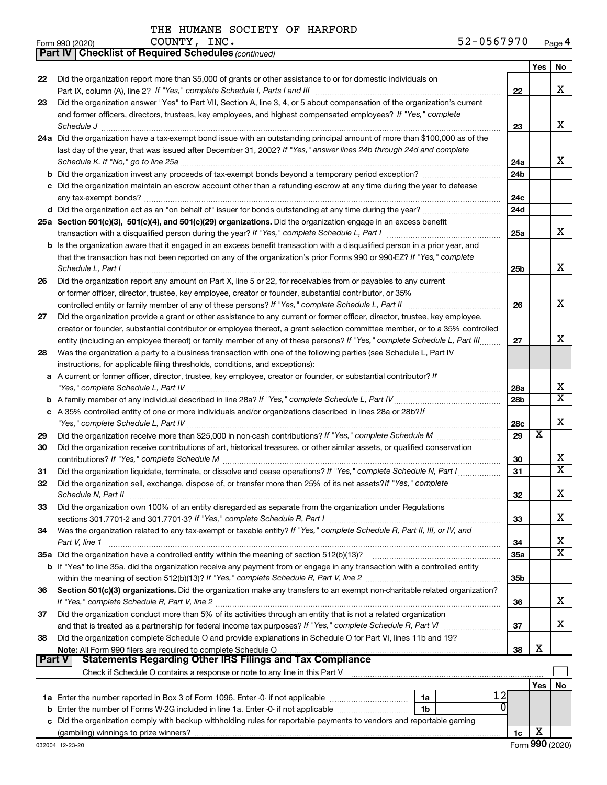|    | <b>Part IV   Checklist of Required Schedules (continued)</b>                                                                                                                                                                                                                                                                                                                                                                                              |                 |                         |                         |
|----|-----------------------------------------------------------------------------------------------------------------------------------------------------------------------------------------------------------------------------------------------------------------------------------------------------------------------------------------------------------------------------------------------------------------------------------------------------------|-----------------|-------------------------|-------------------------|
|    |                                                                                                                                                                                                                                                                                                                                                                                                                                                           |                 | Yes                     | No                      |
| 22 | Did the organization report more than \$5,000 of grants or other assistance to or for domestic individuals on                                                                                                                                                                                                                                                                                                                                             |                 |                         |                         |
|    |                                                                                                                                                                                                                                                                                                                                                                                                                                                           | 22              |                         | X                       |
| 23 | Did the organization answer "Yes" to Part VII, Section A, line 3, 4, or 5 about compensation of the organization's current                                                                                                                                                                                                                                                                                                                                |                 |                         |                         |
|    | and former officers, directors, trustees, key employees, and highest compensated employees? If "Yes," complete                                                                                                                                                                                                                                                                                                                                            |                 |                         |                         |
|    | $\textit{Schedule J} \textit{ \textbf{}} \textit{ \textbf{}} \textit{ \textbf{}} \textit{ \textbf{}} \textit{ \textbf{}} \textit{ \textbf{}} \textit{ \textbf{}} \textit{ \textbf{}} \textit{ \textbf{}} \textit{ \textbf{}} \textit{ \textbf{}} \textit{ \textbf{}} \textit{ \textbf{}} \textit{ \textbf{}} \textit{ \textbf{}} \textit{ \textbf{}} \textit{ \textbf{}} \textit{ \textbf{}} \textit{ \textbf{}} \textit{ \textbf{}} \textit{ \textbf{}}$ | 23              |                         | x                       |
|    | 24a Did the organization have a tax-exempt bond issue with an outstanding principal amount of more than \$100,000 as of the                                                                                                                                                                                                                                                                                                                               |                 |                         |                         |
|    | last day of the year, that was issued after December 31, 2002? If "Yes," answer lines 24b through 24d and complete                                                                                                                                                                                                                                                                                                                                        |                 |                         |                         |
|    |                                                                                                                                                                                                                                                                                                                                                                                                                                                           | 24a             |                         | x                       |
|    |                                                                                                                                                                                                                                                                                                                                                                                                                                                           | 24b             |                         |                         |
|    | c Did the organization maintain an escrow account other than a refunding escrow at any time during the year to defease                                                                                                                                                                                                                                                                                                                                    |                 |                         |                         |
|    |                                                                                                                                                                                                                                                                                                                                                                                                                                                           | 24c             |                         |                         |
|    |                                                                                                                                                                                                                                                                                                                                                                                                                                                           | 24d             |                         |                         |
|    | 25a Section 501(c)(3), 501(c)(4), and 501(c)(29) organizations. Did the organization engage in an excess benefit                                                                                                                                                                                                                                                                                                                                          |                 |                         |                         |
|    |                                                                                                                                                                                                                                                                                                                                                                                                                                                           | 25a             |                         | x                       |
|    | b Is the organization aware that it engaged in an excess benefit transaction with a disqualified person in a prior year, and                                                                                                                                                                                                                                                                                                                              |                 |                         |                         |
|    | that the transaction has not been reported on any of the organization's prior Forms 990 or 990-EZ? If "Yes," complete                                                                                                                                                                                                                                                                                                                                     |                 |                         |                         |
|    | Schedule L, Part I                                                                                                                                                                                                                                                                                                                                                                                                                                        | 25b             |                         | х                       |
| 26 | Did the organization report any amount on Part X, line 5 or 22, for receivables from or payables to any current                                                                                                                                                                                                                                                                                                                                           |                 |                         |                         |
|    | or former officer, director, trustee, key employee, creator or founder, substantial contributor, or 35%                                                                                                                                                                                                                                                                                                                                                   |                 |                         |                         |
|    |                                                                                                                                                                                                                                                                                                                                                                                                                                                           | 26              |                         | X                       |
| 27 | Did the organization provide a grant or other assistance to any current or former officer, director, trustee, key employee,                                                                                                                                                                                                                                                                                                                               |                 |                         |                         |
|    | creator or founder, substantial contributor or employee thereof, a grant selection committee member, or to a 35% controlled                                                                                                                                                                                                                                                                                                                               |                 |                         |                         |
|    | entity (including an employee thereof) or family member of any of these persons? If "Yes," complete Schedule L, Part III.                                                                                                                                                                                                                                                                                                                                 | 27              |                         | X                       |
| 28 | Was the organization a party to a business transaction with one of the following parties (see Schedule L, Part IV                                                                                                                                                                                                                                                                                                                                         |                 |                         |                         |
|    | instructions, for applicable filing thresholds, conditions, and exceptions):                                                                                                                                                                                                                                                                                                                                                                              |                 |                         |                         |
|    | A current or former officer, director, trustee, key employee, creator or founder, or substantial contributor? If                                                                                                                                                                                                                                                                                                                                          |                 |                         |                         |
| а  |                                                                                                                                                                                                                                                                                                                                                                                                                                                           | 28a             |                         | x                       |
|    |                                                                                                                                                                                                                                                                                                                                                                                                                                                           | 28b             |                         | $\overline{\mathbf{x}}$ |
| b  | c A 35% controlled entity of one or more individuals and/or organizations described in lines 28a or 28b?!f                                                                                                                                                                                                                                                                                                                                                |                 |                         |                         |
|    |                                                                                                                                                                                                                                                                                                                                                                                                                                                           |                 |                         | X                       |
|    |                                                                                                                                                                                                                                                                                                                                                                                                                                                           | 28c<br>29       | $\overline{\textbf{x}}$ |                         |
| 29 | Did the organization receive contributions of art, historical treasures, or other similar assets, or qualified conservation                                                                                                                                                                                                                                                                                                                               |                 |                         |                         |
| 30 |                                                                                                                                                                                                                                                                                                                                                                                                                                                           |                 |                         | x                       |
|    |                                                                                                                                                                                                                                                                                                                                                                                                                                                           | 30<br>31        |                         | $\overline{\mathbf{x}}$ |
| 31 | Did the organization liquidate, terminate, or dissolve and cease operations? If "Yes," complete Schedule N, Part I                                                                                                                                                                                                                                                                                                                                        |                 |                         |                         |
| 32 | Did the organization sell, exchange, dispose of, or transfer more than 25% of its net assets? If "Yes," complete                                                                                                                                                                                                                                                                                                                                          | 32              |                         | Χ                       |
|    | Schedule N, Part II<br>Did the organization own 100% of an entity disregarded as separate from the organization under Regulations                                                                                                                                                                                                                                                                                                                         |                 |                         |                         |
| 33 |                                                                                                                                                                                                                                                                                                                                                                                                                                                           |                 |                         | x                       |
|    |                                                                                                                                                                                                                                                                                                                                                                                                                                                           | 33              |                         |                         |
| 34 | Was the organization related to any tax-exempt or taxable entity? If "Yes," complete Schedule R, Part II, III, or IV, and                                                                                                                                                                                                                                                                                                                                 | 34              |                         | x                       |
|    | Part V, line 1                                                                                                                                                                                                                                                                                                                                                                                                                                            |                 |                         | $\overline{\texttt{x}}$ |
|    | 35a Did the organization have a controlled entity within the meaning of section 512(b)(13)?                                                                                                                                                                                                                                                                                                                                                               | 35a             |                         |                         |
|    | b If "Yes" to line 35a, did the organization receive any payment from or engage in any transaction with a controlled entity                                                                                                                                                                                                                                                                                                                               |                 |                         |                         |
|    |                                                                                                                                                                                                                                                                                                                                                                                                                                                           | 35 <sub>b</sub> |                         |                         |
| 36 | Section 501(c)(3) organizations. Did the organization make any transfers to an exempt non-charitable related organization?                                                                                                                                                                                                                                                                                                                                |                 |                         | X                       |
|    | Did the organization conduct more than 5% of its activities through an entity that is not a related organization                                                                                                                                                                                                                                                                                                                                          | 36              |                         |                         |
| 37 |                                                                                                                                                                                                                                                                                                                                                                                                                                                           |                 |                         | X                       |
|    |                                                                                                                                                                                                                                                                                                                                                                                                                                                           | 37              |                         |                         |
| 38 | Did the organization complete Schedule O and provide explanations in Schedule O for Part VI, lines 11b and 19?                                                                                                                                                                                                                                                                                                                                            |                 | х                       |                         |
|    | <b>Statements Regarding Other IRS Filings and Tax Compliance</b><br><b>Part V</b>                                                                                                                                                                                                                                                                                                                                                                         | 38              |                         |                         |
|    |                                                                                                                                                                                                                                                                                                                                                                                                                                                           |                 |                         |                         |
|    |                                                                                                                                                                                                                                                                                                                                                                                                                                                           |                 | Yes                     |                         |
|    | 12<br>1a                                                                                                                                                                                                                                                                                                                                                                                                                                                  |                 |                         | No                      |
|    | Enter the number of Forms W-2G included in line 1a. Enter -0- if not applicable<br>1b                                                                                                                                                                                                                                                                                                                                                                     |                 |                         |                         |
| b  | Did the organization comply with backup withholding rules for reportable payments to vendors and reportable gaming                                                                                                                                                                                                                                                                                                                                        |                 |                         |                         |
|    |                                                                                                                                                                                                                                                                                                                                                                                                                                                           | 1c              | х                       |                         |
|    |                                                                                                                                                                                                                                                                                                                                                                                                                                                           |                 |                         |                         |

THE HUMANE SOCIETY OF HARFORD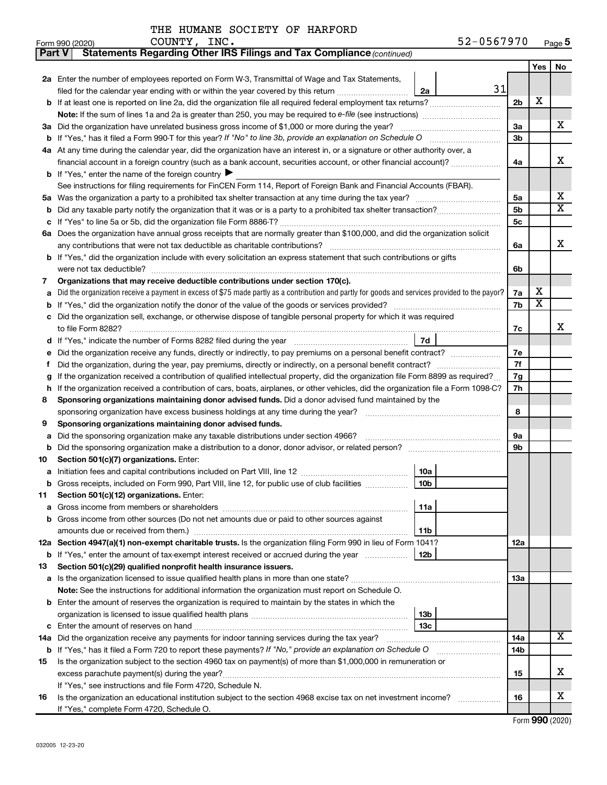| Part V | Statements Regarding Other IRS Filings and Tax Compliance (continued)                                                                           |     |                         |    |  |  |  |  |  |
|--------|-------------------------------------------------------------------------------------------------------------------------------------------------|-----|-------------------------|----|--|--|--|--|--|
|        |                                                                                                                                                 |     | Yes                     | No |  |  |  |  |  |
|        | 2a Enter the number of employees reported on Form W-3, Transmittal of Wage and Tax Statements,                                                  |     |                         |    |  |  |  |  |  |
|        | 31<br>filed for the calendar year ending with or within the year covered by this return<br>2a                                                   |     |                         |    |  |  |  |  |  |
|        | <b>b</b> If at least one is reported on line 2a, did the organization file all required federal employment tax returns?                         | 2b  | Х                       |    |  |  |  |  |  |
|        | Note: If the sum of lines 1a and 2a is greater than 250, you may be required to e-file (see instructions) <i></i>                               |     |                         |    |  |  |  |  |  |
|        | 3a Did the organization have unrelated business gross income of \$1,000 or more during the year?                                                | За  |                         | х  |  |  |  |  |  |
| b      |                                                                                                                                                 | Зb  |                         |    |  |  |  |  |  |
|        | 4a At any time during the calendar year, did the organization have an interest in, or a signature or other authority over, a                    |     |                         |    |  |  |  |  |  |
|        | financial account in a foreign country (such as a bank account, securities account, or other financial account)?                                |     |                         |    |  |  |  |  |  |
|        | <b>b</b> If "Yes," enter the name of the foreign country ▶                                                                                      |     |                         |    |  |  |  |  |  |
|        | See instructions for filing requirements for FinCEN Form 114, Report of Foreign Bank and Financial Accounts (FBAR).                             |     |                         |    |  |  |  |  |  |
| 5a     |                                                                                                                                                 | 5a  |                         | х  |  |  |  |  |  |
| b      |                                                                                                                                                 | 5b  |                         | X  |  |  |  |  |  |
| с      |                                                                                                                                                 | 5c  |                         |    |  |  |  |  |  |
|        | 6a Does the organization have annual gross receipts that are normally greater than \$100,000, and did the organization solicit                  |     |                         |    |  |  |  |  |  |
|        |                                                                                                                                                 | 6a  |                         | x  |  |  |  |  |  |
|        | <b>b</b> If "Yes," did the organization include with every solicitation an express statement that such contributions or gifts                   |     |                         |    |  |  |  |  |  |
|        |                                                                                                                                                 | 6b  |                         |    |  |  |  |  |  |
| 7      | Organizations that may receive deductible contributions under section 170(c).                                                                   |     |                         |    |  |  |  |  |  |
| а      | Did the organization receive a payment in excess of \$75 made partly as a contribution and partly for goods and services provided to the payor? | 7a  | х                       |    |  |  |  |  |  |
| b      |                                                                                                                                                 | 7b  | $\overline{\mathbf{X}}$ |    |  |  |  |  |  |
| с      | Did the organization sell, exchange, or otherwise dispose of tangible personal property for which it was required                               |     |                         |    |  |  |  |  |  |
|        |                                                                                                                                                 | 7c  |                         | x  |  |  |  |  |  |
|        | 7d                                                                                                                                              |     |                         |    |  |  |  |  |  |
| е      |                                                                                                                                                 |     |                         |    |  |  |  |  |  |
| f.     |                                                                                                                                                 | 7f  |                         |    |  |  |  |  |  |
| g      | If the organization received a contribution of qualified intellectual property, did the organization file Form 8899 as required?                |     |                         |    |  |  |  |  |  |
| h      | If the organization received a contribution of cars, boats, airplanes, or other vehicles, did the organization file a Form 1098-C?              |     |                         |    |  |  |  |  |  |
| 8      | Sponsoring organizations maintaining donor advised funds. Did a donor advised fund maintained by the                                            |     |                         |    |  |  |  |  |  |
|        |                                                                                                                                                 | 8   |                         |    |  |  |  |  |  |
| 9      | Sponsoring organizations maintaining donor advised funds.                                                                                       |     |                         |    |  |  |  |  |  |
| а      | Did the sponsoring organization make any taxable distributions under section 4966?                                                              | 9а  |                         |    |  |  |  |  |  |
| b      | Did the sponsoring organization make a distribution to a donor, donor advisor, or related person?                                               | 9b  |                         |    |  |  |  |  |  |
| 10     | Section 501(c)(7) organizations. Enter:                                                                                                         |     |                         |    |  |  |  |  |  |
| а      | 10a                                                                                                                                             |     |                         |    |  |  |  |  |  |
|        | 10 <sub>b</sub><br>b Gross receipts, included on Form 990, Part VIII, line 12, for public use of club facilities                                |     |                         |    |  |  |  |  |  |
| 11     | Section 501(c)(12) organizations. Enter:                                                                                                        |     |                         |    |  |  |  |  |  |
| а      | 11a                                                                                                                                             |     |                         |    |  |  |  |  |  |
|        | b Gross income from other sources (Do not net amounts due or paid to other sources against                                                      |     |                         |    |  |  |  |  |  |
|        | 11b                                                                                                                                             |     |                         |    |  |  |  |  |  |
|        | 12a Section 4947(a)(1) non-exempt charitable trusts. Is the organization filing Form 990 in lieu of Form 1041?                                  | 12a |                         |    |  |  |  |  |  |
|        | <b>b</b> If "Yes," enter the amount of tax-exempt interest received or accrued during the year<br>12b                                           |     |                         |    |  |  |  |  |  |
| 13     | Section 501(c)(29) qualified nonprofit health insurance issuers.                                                                                |     |                         |    |  |  |  |  |  |
|        | a Is the organization licensed to issue qualified health plans in more than one state?                                                          | 13a |                         |    |  |  |  |  |  |
|        | Note: See the instructions for additional information the organization must report on Schedule O.                                               |     |                         |    |  |  |  |  |  |
|        | <b>b</b> Enter the amount of reserves the organization is required to maintain by the states in which the                                       |     |                         |    |  |  |  |  |  |
|        | 13b                                                                                                                                             |     |                         |    |  |  |  |  |  |
| с      | 13 <sub>c</sub>                                                                                                                                 |     |                         | x  |  |  |  |  |  |
| 14a    | Did the organization receive any payments for indoor tanning services during the tax year?                                                      | 14a |                         |    |  |  |  |  |  |
| b      | If "Yes," has it filed a Form 720 to report these payments? If "No," provide an explanation on Schedule O                                       | 14b |                         |    |  |  |  |  |  |
| 15     | Is the organization subject to the section 4960 tax on payment(s) of more than \$1,000,000 in remuneration or                                   |     |                         | х  |  |  |  |  |  |
|        |                                                                                                                                                 | 15  |                         |    |  |  |  |  |  |
|        | If "Yes," see instructions and file Form 4720, Schedule N.                                                                                      |     |                         | х  |  |  |  |  |  |
| 16     | Is the organization an educational institution subject to the section 4968 excise tax on net investment income?                                 | 16  |                         |    |  |  |  |  |  |
|        | If "Yes," complete Form 4720, Schedule O.                                                                                                       |     |                         |    |  |  |  |  |  |

Form (2020) **990**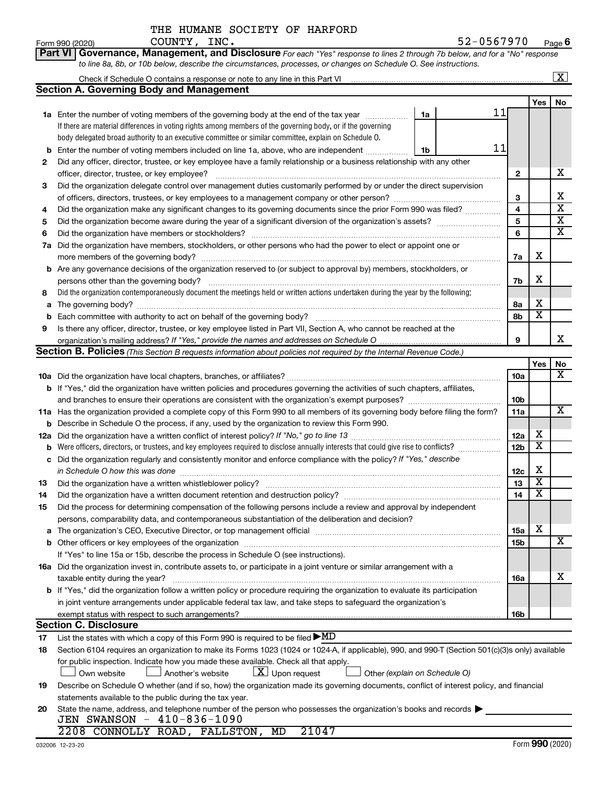|  | THE HUMANE SOCIETY OF HARFORD |  |
|--|-------------------------------|--|
|  |                               |  |

**Part VI Governance, Management, and Disclosure** 

*For each "Yes" response to lines 2 through 7b below, and for a "No" response*

|    | to line 8a, 8b, or 10b below, describe the circumstances, processes, or changes on Schedule O. See instructions.                                                                                                               |                 |                         |                         |  |  |  |  |  |  |  |  |
|----|--------------------------------------------------------------------------------------------------------------------------------------------------------------------------------------------------------------------------------|-----------------|-------------------------|-------------------------|--|--|--|--|--|--|--|--|
|    | Check if Schedule O contains a response or note to any line in this Part VI [11] [12] Check if Schedule O contains a response or note to any line in this Part VI                                                              |                 |                         | $\boxed{\text{X}}$      |  |  |  |  |  |  |  |  |
|    | <b>Section A. Governing Body and Management</b>                                                                                                                                                                                |                 |                         |                         |  |  |  |  |  |  |  |  |
|    |                                                                                                                                                                                                                                |                 | Yes                     | No                      |  |  |  |  |  |  |  |  |
|    | 11<br>1a<br>1a Enter the number of voting members of the governing body at the end of the tax year                                                                                                                             |                 |                         |                         |  |  |  |  |  |  |  |  |
|    | If there are material differences in voting rights among members of the governing body, or if the governing                                                                                                                    |                 |                         |                         |  |  |  |  |  |  |  |  |
|    | body delegated broad authority to an executive committee or similar committee, explain on Schedule O.                                                                                                                          |                 |                         |                         |  |  |  |  |  |  |  |  |
| b  | 11<br>Enter the number of voting members included on line 1a, above, who are independent<br>1b                                                                                                                                 |                 |                         |                         |  |  |  |  |  |  |  |  |
| 2  | Did any officer, director, trustee, or key employee have a family relationship or a business relationship with any other                                                                                                       |                 |                         |                         |  |  |  |  |  |  |  |  |
|    |                                                                                                                                                                                                                                | 2               |                         | х                       |  |  |  |  |  |  |  |  |
| 3  | Did the organization delegate control over management duties customarily performed by or under the direct supervision                                                                                                          |                 |                         |                         |  |  |  |  |  |  |  |  |
|    |                                                                                                                                                                                                                                |                 |                         |                         |  |  |  |  |  |  |  |  |
| 4  | Did the organization make any significant changes to its governing documents since the prior Form 990 was filed?                                                                                                               | 4               |                         | $\overline{\mathbf{x}}$ |  |  |  |  |  |  |  |  |
| 5  |                                                                                                                                                                                                                                | 5               |                         | $\overline{\mathbf{X}}$ |  |  |  |  |  |  |  |  |
| 6  |                                                                                                                                                                                                                                | 6               |                         | $\overline{\mathbf{x}}$ |  |  |  |  |  |  |  |  |
| 7a | Did the organization have members, stockholders, or other persons who had the power to elect or appoint one or                                                                                                                 |                 |                         |                         |  |  |  |  |  |  |  |  |
|    |                                                                                                                                                                                                                                | 7a              | х                       |                         |  |  |  |  |  |  |  |  |
|    | <b>b</b> Are any governance decisions of the organization reserved to (or subject to approval by) members, stockholders, or                                                                                                    |                 |                         |                         |  |  |  |  |  |  |  |  |
|    | persons other than the governing body?                                                                                                                                                                                         | 7b              | х                       |                         |  |  |  |  |  |  |  |  |
| 8  | Did the organization contemporaneously document the meetings held or written actions undertaken during the year by the following:                                                                                              |                 |                         |                         |  |  |  |  |  |  |  |  |
| a  |                                                                                                                                                                                                                                | 8a              | х                       |                         |  |  |  |  |  |  |  |  |
| b  |                                                                                                                                                                                                                                | 8b              | $\overline{\textbf{x}}$ |                         |  |  |  |  |  |  |  |  |
| 9  | Is there any officer, director, trustee, or key employee listed in Part VII, Section A, who cannot be reached at the                                                                                                           |                 |                         |                         |  |  |  |  |  |  |  |  |
|    |                                                                                                                                                                                                                                | 9               |                         | x                       |  |  |  |  |  |  |  |  |
|    | Section B. Policies (This Section B requests information about policies not required by the Internal Revenue Code.)                                                                                                            |                 |                         |                         |  |  |  |  |  |  |  |  |
|    |                                                                                                                                                                                                                                |                 | Yes                     | No                      |  |  |  |  |  |  |  |  |
|    |                                                                                                                                                                                                                                | 10a             |                         | x                       |  |  |  |  |  |  |  |  |
|    | b If "Yes," did the organization have written policies and procedures governing the activities of such chapters, affiliates,                                                                                                   |                 |                         |                         |  |  |  |  |  |  |  |  |
|    |                                                                                                                                                                                                                                | 10 <sub>b</sub> |                         |                         |  |  |  |  |  |  |  |  |
|    | 11a Has the organization provided a complete copy of this Form 990 to all members of its governing body before filing the form?                                                                                                | 11a             |                         | x                       |  |  |  |  |  |  |  |  |
| b  | Describe in Schedule O the process, if any, used by the organization to review this Form 990.                                                                                                                                  |                 |                         |                         |  |  |  |  |  |  |  |  |
|    |                                                                                                                                                                                                                                | 12a             | х                       |                         |  |  |  |  |  |  |  |  |
| b  | Were officers, directors, or trustees, and key employees required to disclose annually interests that could give rise to conflicts?                                                                                            | 12 <sub>b</sub> | $\overline{\textbf{x}}$ |                         |  |  |  |  |  |  |  |  |
| c  | Did the organization regularly and consistently monitor and enforce compliance with the policy? If "Yes," describe                                                                                                             |                 |                         |                         |  |  |  |  |  |  |  |  |
|    | in Schedule O how this was done                                                                                                                                                                                                | 12c             | х                       |                         |  |  |  |  |  |  |  |  |
| 13 |                                                                                                                                                                                                                                | 13              | $\overline{\mathbf{X}}$ |                         |  |  |  |  |  |  |  |  |
| 14 |                                                                                                                                                                                                                                | 14              | $\overline{\mathbf{X}}$ |                         |  |  |  |  |  |  |  |  |
| 15 | Did the process for determining compensation of the following persons include a review and approval by independent                                                                                                             |                 |                         |                         |  |  |  |  |  |  |  |  |
|    | persons, comparability data, and contemporaneous substantiation of the deliberation and decision?                                                                                                                              |                 |                         |                         |  |  |  |  |  |  |  |  |
| a  | The organization's CEO, Executive Director, or top management official manufactured content of the organization's CEO, Executive Director, or top management official manufactured content of the organization's CEO, Executiv | <b>15a</b>      | х                       |                         |  |  |  |  |  |  |  |  |
| b  | Other officers or key employees of the organization                                                                                                                                                                            | 15b             |                         | X                       |  |  |  |  |  |  |  |  |
|    | If "Yes" to line 15a or 15b, describe the process in Schedule O (see instructions).                                                                                                                                            |                 |                         |                         |  |  |  |  |  |  |  |  |
|    | 16a Did the organization invest in, contribute assets to, or participate in a joint venture or similar arrangement with a                                                                                                      |                 |                         |                         |  |  |  |  |  |  |  |  |
|    | taxable entity during the year?                                                                                                                                                                                                | 16a             |                         | х                       |  |  |  |  |  |  |  |  |
|    | b If "Yes," did the organization follow a written policy or procedure requiring the organization to evaluate its participation                                                                                                 |                 |                         |                         |  |  |  |  |  |  |  |  |
|    | in joint venture arrangements under applicable federal tax law, and take steps to safeguard the organization's                                                                                                                 |                 |                         |                         |  |  |  |  |  |  |  |  |
|    | exempt status with respect to such arrangements?                                                                                                                                                                               | 16b             |                         |                         |  |  |  |  |  |  |  |  |
|    | <b>Section C. Disclosure</b>                                                                                                                                                                                                   |                 |                         |                         |  |  |  |  |  |  |  |  |
| 17 | List the states with which a copy of this Form 990 is required to be filed $\blacktriangleright\text{MD}$                                                                                                                      |                 |                         |                         |  |  |  |  |  |  |  |  |
| 18 | Section 6104 requires an organization to make its Forms 1023 (1024 or 1024-A, if applicable), 990, and 990-T (Section 501(c)(3)s only) available                                                                               |                 |                         |                         |  |  |  |  |  |  |  |  |
|    | for public inspection. Indicate how you made these available. Check all that apply.                                                                                                                                            |                 |                         |                         |  |  |  |  |  |  |  |  |
|    | $ \mathbf{X} $ Upon request<br>Another's website<br>Other (explain on Schedule O)<br>Own website                                                                                                                               |                 |                         |                         |  |  |  |  |  |  |  |  |
| 19 | Describe on Schedule O whether (and if so, how) the organization made its governing documents, conflict of interest policy, and financial                                                                                      |                 |                         |                         |  |  |  |  |  |  |  |  |
|    | statements available to the public during the tax year.                                                                                                                                                                        |                 |                         |                         |  |  |  |  |  |  |  |  |
| 20 | State the name, address, and telephone number of the person who possesses the organization's books and records<br>JEN SWANSON - 410-836-1090                                                                                   |                 |                         |                         |  |  |  |  |  |  |  |  |
|    |                                                                                                                                                                                                                                |                 |                         |                         |  |  |  |  |  |  |  |  |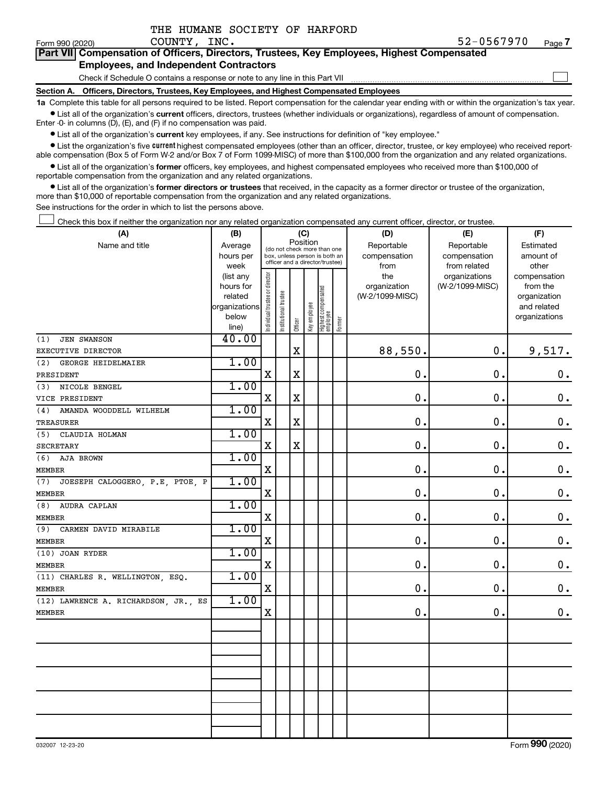|  | THE HUMANE SOCIETY OF HARFORD |  |
|--|-------------------------------|--|
|  |                               |  |

 $\Box$ 

| Form 990 (2020) | COUNTY | INC. | 67070<br>--<br>וז נ<br>$\sim$ | Page |
|-----------------|--------|------|-------------------------------|------|
|                 |        |      |                               |      |

| Part VII Compensation of Officers, Directors, Trustees, Key Employees, Highest Compensated |
|--------------------------------------------------------------------------------------------|
| <b>Employees, and Independent Contractors</b>                                              |

Check if Schedule O contains a response or note to any line in this Part VII

**Section A. Officers, Directors, Trustees, Key Employees, and Highest Compensated Employees**

**1a**  Complete this table for all persons required to be listed. Report compensation for the calendar year ending with or within the organization's tax year.  $\bullet$  List all of the organization's current officers, directors, trustees (whether individuals or organizations), regardless of amount of compensation.

Enter -0- in columns (D), (E), and (F) if no compensation was paid.

**•** List all of the organization's current key employees, if any. See instructions for definition of "key employee."

**•** List the organization's five *current* highest compensated employees (other than an officer, director, trustee, or key employee) who received reportable compensation (Box 5 of Form W-2 and/or Box 7 of Form 1099-MISC) of more than \$100,000 from the organization and any related organizations.

 $\bullet$  List all of the organization's former officers, key employees, and highest compensated employees who received more than \$100,000 of reportable compensation from the organization and any related organizations.

**•** List all of the organization's former directors or trustees that received, in the capacity as a former director or trustee of the organization, more than \$10,000 of reportable compensation from the organization and any related organizations.

See instructions for the order in which to list the persons above.

Check this box if neither the organization nor any related organization compensated any current officer, director, or trustee.  $\Box$ 

| (A)                                    | (B)                    | (C)                                     |                                                                  |             |              |                                 |        | (D)             | (E)             | (F)                          |
|----------------------------------------|------------------------|-----------------------------------------|------------------------------------------------------------------|-------------|--------------|---------------------------------|--------|-----------------|-----------------|------------------------------|
| Name and title                         | Average                | Position<br>(do not check more than one |                                                                  |             |              |                                 |        | Reportable      | Reportable      | Estimated                    |
|                                        | hours per              |                                         | box, unless person is both an<br>officer and a director/trustee) |             |              |                                 |        | compensation    | compensation    | amount of                    |
|                                        | week                   |                                         |                                                                  |             |              |                                 |        | from            | from related    | other                        |
|                                        | (list any              |                                         |                                                                  |             |              |                                 |        | the             | organizations   | compensation                 |
|                                        | hours for              |                                         |                                                                  |             |              |                                 |        | organization    | (W-2/1099-MISC) | from the                     |
|                                        | related                |                                         |                                                                  |             |              |                                 |        | (W-2/1099-MISC) |                 | organization                 |
|                                        | organizations<br>below |                                         |                                                                  |             |              |                                 |        |                 |                 | and related<br>organizations |
|                                        | line)                  | ndividual trustee or director           | Institutional trustee                                            | Officer     | Key employee | Highest compensated<br>employee | Former |                 |                 |                              |
| <b>JEN SWANSON</b><br>(1)              | 40.00                  |                                         |                                                                  |             |              |                                 |        |                 |                 |                              |
| EXECUTIVE DIRECTOR                     |                        |                                         |                                                                  | $\mathbf X$ |              |                                 |        | 88,550.         | $\mathbf 0$ .   | 9,517.                       |
| (2)<br>GEORGE HEIDELMAIER              | 1.00                   |                                         |                                                                  |             |              |                                 |        |                 |                 |                              |
| PRESIDENT                              |                        | $\mathbf X$                             |                                                                  | $\mathbf X$ |              |                                 |        | $\mathbf 0$     | $\mathbf 0$ .   | $\mathbf 0$ .                |
| NICOLE BENGEL<br>(3)                   | 1.00                   |                                         |                                                                  |             |              |                                 |        |                 |                 |                              |
| VICE PRESIDENT                         |                        | X                                       |                                                                  | $\mathbf X$ |              |                                 |        | $\mathbf 0$     | $\mathbf 0$ .   | $\mathbf 0$ .                |
| AMANDA WOODDELL WILHELM<br>(4)         | 1.00                   |                                         |                                                                  |             |              |                                 |        |                 |                 |                              |
| <b>TREASURER</b>                       |                        | X                                       |                                                                  | $\mathbf X$ |              |                                 |        | $\mathbf 0$ .   | $\mathbf 0$ .   | $\boldsymbol{0}$ .           |
| CLAUDIA HOLMAN<br>(5)                  | 1.00                   |                                         |                                                                  |             |              |                                 |        |                 |                 |                              |
| <b>SECRETARY</b>                       |                        | X                                       |                                                                  | X           |              |                                 |        | $\mathbf 0$ .   | $\mathbf 0$ .   | $\mathbf 0$ .                |
| (6)<br>AJA BROWN                       | 1.00                   |                                         |                                                                  |             |              |                                 |        |                 |                 |                              |
| <b>MEMBER</b>                          |                        | $\mathbf X$                             |                                                                  |             |              |                                 |        | $\mathbf 0$ .   | $\mathbf 0$ .   | $\mathbf 0$ .                |
| JOESEPH CALOGGERO, P.E, PTOE, P<br>(7) | 1.00                   |                                         |                                                                  |             |              |                                 |        |                 |                 |                              |
| <b>MEMBER</b>                          |                        | $\mathbf X$                             |                                                                  |             |              |                                 |        | 0.              | $\mathbf 0$ .   | $\mathbf 0$ .                |
| AUDRA CAPLAN<br>(8)                    | 1.00                   |                                         |                                                                  |             |              |                                 |        |                 |                 |                              |
| <b>MEMBER</b>                          |                        | $\mathbf X$                             |                                                                  |             |              |                                 |        | 0.              | 0.              | $\mathbf 0$ .                |
| (9)<br>CARMEN DAVID MIRABILE           | 1.00                   |                                         |                                                                  |             |              |                                 |        |                 |                 |                              |
| <b>MEMBER</b>                          |                        | $\mathbf X$                             |                                                                  |             |              |                                 |        | 0.              | $\mathbf 0$ .   | $\mathbf 0$ .                |
| (10) JOAN RYDER                        | 1.00                   |                                         |                                                                  |             |              |                                 |        |                 |                 |                              |
| <b>MEMBER</b>                          |                        | $\mathbf X$                             |                                                                  |             |              |                                 |        | 0.              | 0.              | $\mathbf 0$ .                |
| (11) CHARLES R. WELLINGTON, ESQ.       | 1.00                   |                                         |                                                                  |             |              |                                 |        |                 |                 |                              |
| <b>MEMBER</b>                          |                        | $\mathbf X$                             |                                                                  |             |              |                                 |        | 0.              | 0.              | $\mathbf 0$ .                |
| (12) LAWRENCE A. RICHARDSON, JR., ES   | 1.00                   |                                         |                                                                  |             |              |                                 |        |                 |                 |                              |
| <b>MEMBER</b>                          |                        | $\mathbf X$                             |                                                                  |             |              |                                 |        | $\mathbf 0$ .   | 0.              | 0.                           |
|                                        |                        |                                         |                                                                  |             |              |                                 |        |                 |                 |                              |
|                                        |                        |                                         |                                                                  |             |              |                                 |        |                 |                 |                              |
|                                        |                        |                                         |                                                                  |             |              |                                 |        |                 |                 |                              |
|                                        |                        |                                         |                                                                  |             |              |                                 |        |                 |                 |                              |
|                                        |                        |                                         |                                                                  |             |              |                                 |        |                 |                 |                              |
|                                        |                        |                                         |                                                                  |             |              |                                 |        |                 |                 |                              |
|                                        |                        |                                         |                                                                  |             |              |                                 |        |                 |                 |                              |
|                                        |                        |                                         |                                                                  |             |              |                                 |        |                 |                 |                              |
|                                        |                        |                                         |                                                                  |             |              |                                 |        |                 |                 |                              |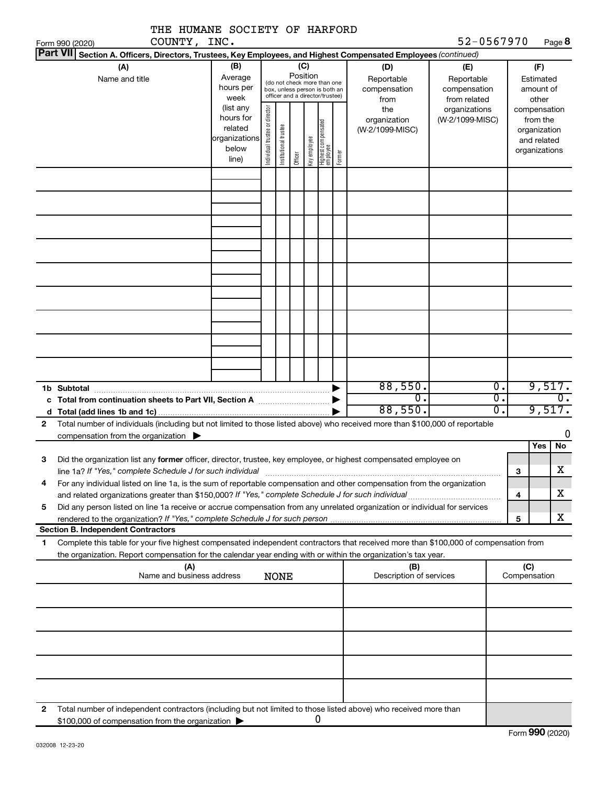| THE HUMANE SOCIETY OF HARFORD                                                                                                                                              |                      |                                |                       |          |              |                                                                  |        |                         |                              |                  |                         |                            |
|----------------------------------------------------------------------------------------------------------------------------------------------------------------------------|----------------------|--------------------------------|-----------------------|----------|--------------|------------------------------------------------------------------|--------|-------------------------|------------------------------|------------------|-------------------------|----------------------------|
| COUNTY, INC.<br>Form 990 (2020)                                                                                                                                            |                      |                                |                       |          |              |                                                                  |        |                         | 52-0567970                   |                  |                         | Page 8                     |
| Part VII Section A. Officers, Directors, Trustees, Key Employees, and Highest Compensated Employees (continued)                                                            |                      |                                |                       |          |              |                                                                  |        |                         |                              |                  |                         |                            |
| (A)                                                                                                                                                                        | (B)                  |                                |                       | Position | (C)          |                                                                  |        | (D)                     | (E)                          |                  | (F)                     |                            |
| Name and title                                                                                                                                                             | Average<br>hours per |                                |                       |          |              | (do not check more than one                                      |        | Reportable              | Reportable                   |                  | Estimated               |                            |
|                                                                                                                                                                            | week                 |                                |                       |          |              | box, unless person is both an<br>officer and a director/trustee) |        | compensation<br>from    | compensation<br>from related |                  | amount of<br>other      |                            |
|                                                                                                                                                                            | (list any            |                                |                       |          |              |                                                                  |        | the                     | organizations                |                  | compensation            |                            |
|                                                                                                                                                                            | hours for            |                                |                       |          |              |                                                                  |        | organization            | (W-2/1099-MISC)              |                  | from the                |                            |
|                                                                                                                                                                            | related              |                                |                       |          |              |                                                                  |        | (W-2/1099-MISC)         |                              |                  | organization            |                            |
|                                                                                                                                                                            | organizations        |                                |                       |          |              |                                                                  |        |                         |                              |                  | and related             |                            |
|                                                                                                                                                                            | below                | Individual trustee or director | Institutional trustee |          | Key employee | Highest compensated<br>employee                                  |        |                         |                              |                  | organizations           |                            |
|                                                                                                                                                                            | line)                |                                |                       | Officer  |              |                                                                  | Former |                         |                              |                  |                         |                            |
|                                                                                                                                                                            |                      |                                |                       |          |              |                                                                  |        |                         |                              |                  |                         |                            |
|                                                                                                                                                                            |                      |                                |                       |          |              |                                                                  |        |                         |                              |                  |                         |                            |
|                                                                                                                                                                            |                      |                                |                       |          |              |                                                                  |        |                         |                              |                  |                         |                            |
|                                                                                                                                                                            |                      |                                |                       |          |              |                                                                  |        |                         |                              |                  |                         |                            |
|                                                                                                                                                                            |                      |                                |                       |          |              |                                                                  |        |                         |                              |                  |                         |                            |
|                                                                                                                                                                            |                      |                                |                       |          |              |                                                                  |        |                         |                              |                  |                         |                            |
|                                                                                                                                                                            |                      |                                |                       |          |              |                                                                  |        |                         |                              |                  |                         |                            |
|                                                                                                                                                                            |                      |                                |                       |          |              |                                                                  |        |                         |                              |                  |                         |                            |
|                                                                                                                                                                            |                      |                                |                       |          |              |                                                                  |        |                         |                              |                  |                         |                            |
|                                                                                                                                                                            |                      |                                |                       |          |              |                                                                  |        |                         |                              |                  |                         |                            |
|                                                                                                                                                                            |                      |                                |                       |          |              |                                                                  |        |                         |                              |                  |                         |                            |
|                                                                                                                                                                            |                      |                                |                       |          |              |                                                                  |        |                         |                              |                  |                         |                            |
|                                                                                                                                                                            |                      |                                |                       |          |              |                                                                  |        |                         |                              |                  |                         |                            |
|                                                                                                                                                                            |                      |                                |                       |          |              |                                                                  |        |                         |                              |                  |                         |                            |
|                                                                                                                                                                            |                      |                                |                       |          |              |                                                                  |        |                         |                              |                  |                         |                            |
|                                                                                                                                                                            |                      |                                |                       |          |              |                                                                  |        |                         |                              | $\overline{0}$ . |                         |                            |
| 1b Subtotal                                                                                                                                                                |                      |                                |                       |          |              |                                                                  |        | 88,550.<br>0.           |                              | $\overline{0}$ . |                         | 9,517.<br>$\overline{0}$ . |
|                                                                                                                                                                            |                      |                                |                       |          |              |                                                                  |        | 88,550.                 |                              | σ.               |                         | 9,517.                     |
| Total number of individuals (including but not limited to those listed above) who received more than \$100,000 of reportable<br>$\mathbf{2}$                               |                      |                                |                       |          |              |                                                                  |        |                         |                              |                  |                         |                            |
| compensation from the organization $\blacktriangleright$                                                                                                                   |                      |                                |                       |          |              |                                                                  |        |                         |                              |                  |                         | 0                          |
|                                                                                                                                                                            |                      |                                |                       |          |              |                                                                  |        |                         |                              |                  | Yes                     | No                         |
| Did the organization list any former officer, director, trustee, key employee, or highest compensated employee on<br>З                                                     |                      |                                |                       |          |              |                                                                  |        |                         |                              |                  |                         |                            |
| line 1a? If "Yes," complete Schedule J for such individual                                                                                                                 |                      |                                |                       |          |              |                                                                  |        |                         |                              |                  | 3                       | Χ                          |
| For any individual listed on line 1a, is the sum of reportable compensation and other compensation from the organization<br>4                                              |                      |                                |                       |          |              |                                                                  |        |                         |                              |                  |                         | х                          |
|                                                                                                                                                                            |                      |                                |                       |          |              |                                                                  |        |                         |                              |                  | $\overline{\mathbf{4}}$ |                            |
| Did any person listed on line 1a receive or accrue compensation from any unrelated organization or individual for services<br>5                                            |                      |                                |                       |          |              |                                                                  |        |                         |                              |                  | 5                       | X                          |
| <b>Section B. Independent Contractors</b>                                                                                                                                  |                      |                                |                       |          |              |                                                                  |        |                         |                              |                  |                         |                            |
| Complete this table for your five highest compensated independent contractors that received more than \$100,000 of compensation from<br>1                                  |                      |                                |                       |          |              |                                                                  |        |                         |                              |                  |                         |                            |
| the organization. Report compensation for the calendar year ending with or within the organization's tax year.                                                             |                      |                                |                       |          |              |                                                                  |        |                         |                              |                  |                         |                            |
| (A)                                                                                                                                                                        |                      |                                |                       |          |              |                                                                  |        | (B)                     |                              |                  | (C)                     |                            |
| Name and business address                                                                                                                                                  |                      |                                | <b>NONE</b>           |          |              |                                                                  |        | Description of services |                              |                  | Compensation            |                            |
|                                                                                                                                                                            |                      |                                |                       |          |              |                                                                  |        |                         |                              |                  |                         |                            |
|                                                                                                                                                                            |                      |                                |                       |          |              |                                                                  |        |                         |                              |                  |                         |                            |
|                                                                                                                                                                            |                      |                                |                       |          |              |                                                                  |        |                         |                              |                  |                         |                            |
|                                                                                                                                                                            |                      |                                |                       |          |              |                                                                  |        |                         |                              |                  |                         |                            |
|                                                                                                                                                                            |                      |                                |                       |          |              |                                                                  |        |                         |                              |                  |                         |                            |
|                                                                                                                                                                            |                      |                                |                       |          |              |                                                                  |        |                         |                              |                  |                         |                            |
|                                                                                                                                                                            |                      |                                |                       |          |              |                                                                  |        |                         |                              |                  |                         |                            |
|                                                                                                                                                                            |                      |                                |                       |          |              |                                                                  |        |                         |                              |                  |                         |                            |
| Total number of independent contractors (including but not limited to those listed above) who received more than<br>2<br>\$100,000 of compensation from the organization > |                      |                                |                       |          |              | 0                                                                |        |                         |                              |                  |                         |                            |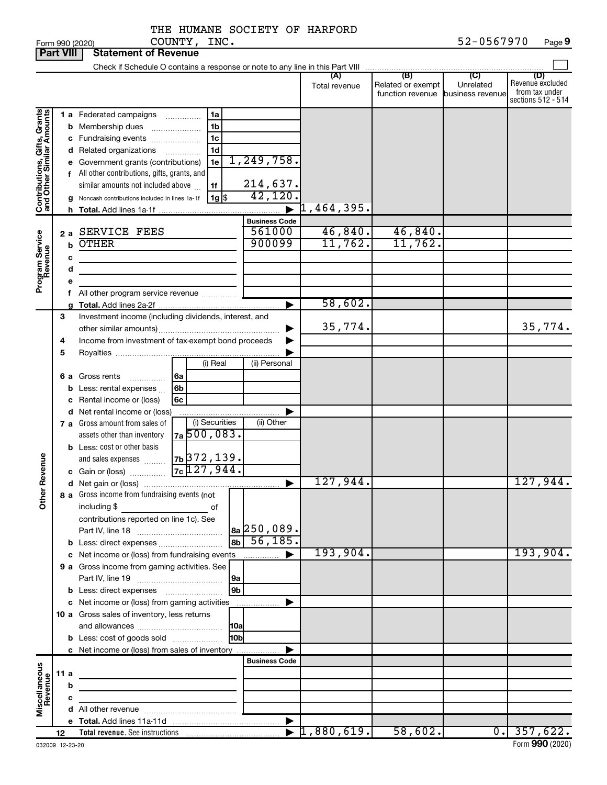THE HUMANE SOCIETY OF HARFORD COUNTY, INC.

|                                                           | <b>Part VIII</b> |         | <b>Statement of Revenue</b>                                                                                                                                                                                                                                                                                                                    |                                             |                          |                                              |                                      |                                                                 |
|-----------------------------------------------------------|------------------|---------|------------------------------------------------------------------------------------------------------------------------------------------------------------------------------------------------------------------------------------------------------------------------------------------------------------------------------------------------|---------------------------------------------|--------------------------|----------------------------------------------|--------------------------------------|-----------------------------------------------------------------|
|                                                           |                  |         | Check if Schedule O contains a response or note to any line in this Part VIII                                                                                                                                                                                                                                                                  |                                             |                          |                                              |                                      |                                                                 |
|                                                           |                  |         |                                                                                                                                                                                                                                                                                                                                                |                                             | (A)<br>Total revenue     | (B)<br>Related or exempt<br>function revenue | (C)<br>Unrelated<br>business revenue | (D)<br>Revenue excluded<br>from tax under<br>sections 512 - 514 |
| Contributions, Gifts, Grants<br>and Other Similar Amounts |                  |         | 1 a Federated campaigns<br>1a<br>.<br><b>b</b> Membership dues<br>1b<br>1c<br>c Fundraising events<br>d Related organizations<br>1d<br>.<br>1e<br>e Government grants (contributions)<br>f All other contributions, gifts, grants, and<br>similar amounts not included above<br>1f<br>$1g$ \$<br>Noncash contributions included in lines 1a-1f | 1, 249, 758.<br>214,637.<br>42,120          |                          |                                              |                                      |                                                                 |
|                                                           |                  | h.      |                                                                                                                                                                                                                                                                                                                                                |                                             | $\overline{1}$ ,464,395. |                                              |                                      |                                                                 |
| Program Service<br>Revenue                                | 2a               | b<br>с  | <b>SERVICE FEES</b><br><b>OTHER</b>                                                                                                                                                                                                                                                                                                            | <b>Business Code</b><br>561000<br>900099    | 46,840.<br>11,762.       | 46,840.<br>11,762.                           |                                      |                                                                 |
|                                                           |                  | d       |                                                                                                                                                                                                                                                                                                                                                |                                             |                          |                                              |                                      |                                                                 |
|                                                           |                  | е<br>f. | All other program service revenue                                                                                                                                                                                                                                                                                                              |                                             |                          |                                              |                                      |                                                                 |
|                                                           |                  |         |                                                                                                                                                                                                                                                                                                                                                |                                             | 58,602.                  |                                              |                                      |                                                                 |
|                                                           | 3                |         | Investment income (including dividends, interest, and                                                                                                                                                                                                                                                                                          |                                             | 35,774.                  |                                              |                                      | 35,774.                                                         |
|                                                           | 4                |         | Income from investment of tax-exempt bond proceeds                                                                                                                                                                                                                                                                                             |                                             |                          |                                              |                                      |                                                                 |
|                                                           | 5                | b       | (i) Real<br>6 a Gross rents<br>6a<br>.<br>Less: rental expenses<br>6b<br>6c<br>Rental income or (loss)                                                                                                                                                                                                                                         | (ii) Personal                               |                          |                                              |                                      |                                                                 |
|                                                           |                  | с       | d Net rental income or (loss)                                                                                                                                                                                                                                                                                                                  |                                             |                          |                                              |                                      |                                                                 |
|                                                           |                  |         | (i) Securities<br>7 a Gross amount from sales of<br>$7a\overline{500,083}$<br>assets other than inventory                                                                                                                                                                                                                                      | (ii) Other                                  |                          |                                              |                                      |                                                                 |
| Revenue                                                   |                  |         | <b>b</b> Less: cost or other basis<br>7b 372, 139.<br>and sales expenses<br>$7c$ 127, 944.<br>c Gain or (loss)                                                                                                                                                                                                                                 |                                             |                          |                                              |                                      |                                                                 |
|                                                           |                  |         |                                                                                                                                                                                                                                                                                                                                                | ▶                                           | 127,944.                 |                                              |                                      | 127,944.                                                        |
| $\tilde{\epsilon}$                                        |                  |         | 8 a Gross income from fundraising events (not  <br>including \$<br>contributions reported on line 1c). See<br><b>b</b> Less: direct expenses <i></i>                                                                                                                                                                                           | $ a_2 $ 250,089.<br>$\overline{36}$ 56,185. |                          |                                              |                                      |                                                                 |
|                                                           |                  |         |                                                                                                                                                                                                                                                                                                                                                |                                             | 193,904.                 |                                              |                                      | 193,904.                                                        |
|                                                           |                  |         | 9 a Gross income from gaming activities. See                                                                                                                                                                                                                                                                                                   |                                             |                          |                                              |                                      |                                                                 |
|                                                           |                  |         | 9 <sub>b</sub>                                                                                                                                                                                                                                                                                                                                 |                                             |                          |                                              |                                      |                                                                 |
|                                                           |                  |         | c Net income or (loss) from gaming activities<br>10 a Gross sales of inventory, less returns                                                                                                                                                                                                                                                   |                                             |                          |                                              |                                      |                                                                 |
|                                                           |                  |         | <b>HOb</b><br><b>b</b> Less: cost of goods sold<br>c Net income or (loss) from sales of inventory                                                                                                                                                                                                                                              |                                             |                          |                                              |                                      |                                                                 |
|                                                           |                  |         |                                                                                                                                                                                                                                                                                                                                                | <b>Business Code</b>                        |                          |                                              |                                      |                                                                 |
| Miscellaneous<br>Revenue                                  | 11 a             |         | <u> 1980 - Johann Barbara, martin a bhann an t-Alban an t-Alban an t-Alban an t-Alban an t-Alban an t-Alban an t-Alban an t-Alban an t-Alban an t-Alban an t-Alban an t-Alban an t-Alban an t-Alban an t-Alban an t-Alban an t-A</u>                                                                                                           |                                             |                          |                                              |                                      |                                                                 |
|                                                           |                  | b       |                                                                                                                                                                                                                                                                                                                                                |                                             |                          |                                              |                                      |                                                                 |
|                                                           |                  | с       | <u> 1989 - Johann Barbara, martin a</u>                                                                                                                                                                                                                                                                                                        |                                             |                          |                                              |                                      |                                                                 |
|                                                           |                  |         |                                                                                                                                                                                                                                                                                                                                                |                                             |                          |                                              |                                      |                                                                 |
|                                                           |                  |         |                                                                                                                                                                                                                                                                                                                                                |                                             |                          |                                              |                                      |                                                                 |
|                                                           | 12               |         |                                                                                                                                                                                                                                                                                                                                                | $\blacktriangleright$                       | 1,880,619.               | 58,602.                                      |                                      | $0.$ 357,622.                                                   |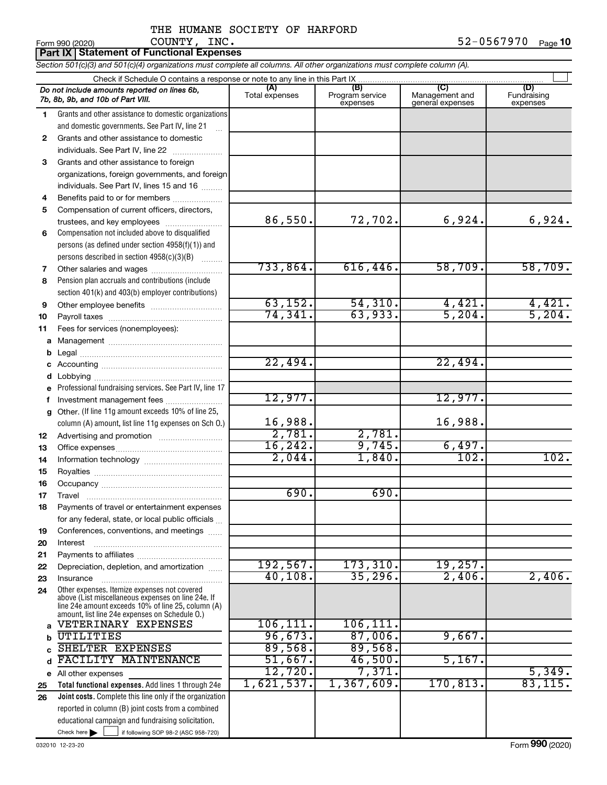# THE HUMANE SOCIETY OF HARFORD COUNTY, INC.

|              | <b>Part IX   Statement of Functional Expenses</b>                                                                                                          |                       |                                    |                                           |                                |  |  |  |  |
|--------------|------------------------------------------------------------------------------------------------------------------------------------------------------------|-----------------------|------------------------------------|-------------------------------------------|--------------------------------|--|--|--|--|
|              | Section 501(c)(3) and 501(c)(4) organizations must complete all columns. All other organizations must complete column (A).                                 |                       |                                    |                                           |                                |  |  |  |  |
|              | Check if Schedule O contains a response or note to any line in this Part IX                                                                                |                       |                                    |                                           |                                |  |  |  |  |
|              | Do not include amounts reported on lines 6b,<br>7b, 8b, 9b, and 10b of Part VIII.                                                                          | (A)<br>Total expenses | (B)<br>Program service<br>expenses | (C)<br>Management and<br>general expenses | (D)<br>Fundraising<br>expenses |  |  |  |  |
| 1            | Grants and other assistance to domestic organizations                                                                                                      |                       |                                    |                                           |                                |  |  |  |  |
|              | and domestic governments. See Part IV, line 21                                                                                                             |                       |                                    |                                           |                                |  |  |  |  |
| $\mathbf{2}$ | Grants and other assistance to domestic                                                                                                                    |                       |                                    |                                           |                                |  |  |  |  |
|              | individuals. See Part IV, line 22                                                                                                                          |                       |                                    |                                           |                                |  |  |  |  |
| 3            | Grants and other assistance to foreign                                                                                                                     |                       |                                    |                                           |                                |  |  |  |  |
|              | organizations, foreign governments, and foreign                                                                                                            |                       |                                    |                                           |                                |  |  |  |  |
|              | individuals. See Part IV, lines 15 and 16                                                                                                                  |                       |                                    |                                           |                                |  |  |  |  |
| 4            | Benefits paid to or for members                                                                                                                            |                       |                                    |                                           |                                |  |  |  |  |
| 5            | Compensation of current officers, directors,                                                                                                               |                       |                                    |                                           |                                |  |  |  |  |
|              | trustees, and key employees                                                                                                                                | 86,550.               | 72,702.                            | 6,924.                                    | 6,924.                         |  |  |  |  |
| 6            | Compensation not included above to disqualified                                                                                                            |                       |                                    |                                           |                                |  |  |  |  |
|              | persons (as defined under section 4958(f)(1)) and                                                                                                          |                       |                                    |                                           |                                |  |  |  |  |
|              | persons described in section 4958(c)(3)(B)                                                                                                                 | 733,864.              |                                    | 58,709.                                   |                                |  |  |  |  |
| 7            | Other salaries and wages                                                                                                                                   |                       | 616, 446.                          |                                           | 58,709.                        |  |  |  |  |
| 8            | Pension plan accruals and contributions (include                                                                                                           |                       |                                    |                                           |                                |  |  |  |  |
|              | section 401(k) and 403(b) employer contributions)                                                                                                          | 63,152.               | 54, 310.                           | 4,421.                                    | 4,421.                         |  |  |  |  |
| 9            |                                                                                                                                                            | 74, 341.              | 63,933.                            | 5,204.                                    | 5,204.                         |  |  |  |  |
| 10<br>11     | Fees for services (nonemployees):                                                                                                                          |                       |                                    |                                           |                                |  |  |  |  |
| a            |                                                                                                                                                            |                       |                                    |                                           |                                |  |  |  |  |
| b            |                                                                                                                                                            |                       |                                    |                                           |                                |  |  |  |  |
| c            |                                                                                                                                                            | 22,494.               |                                    | 22,494.                                   |                                |  |  |  |  |
| d            |                                                                                                                                                            |                       |                                    |                                           |                                |  |  |  |  |
|              | Professional fundraising services. See Part IV, line 17                                                                                                    |                       |                                    |                                           |                                |  |  |  |  |
| f            | Investment management fees                                                                                                                                 | 12,977.               |                                    | 12,977.                                   |                                |  |  |  |  |
| a            | Other. (If line 11g amount exceeds 10% of line 25,                                                                                                         |                       |                                    |                                           |                                |  |  |  |  |
|              | column (A) amount, list line 11g expenses on Sch O.)                                                                                                       | 16,988.               |                                    | 16,988.                                   |                                |  |  |  |  |
| 12           |                                                                                                                                                            | 2,781.                | 2,781.                             |                                           |                                |  |  |  |  |
| 13           |                                                                                                                                                            | 16, 242.              | 9,745.                             | 6,497.                                    |                                |  |  |  |  |
| 14           |                                                                                                                                                            | 2,044.                | 1,840.                             | 102.                                      | 102.                           |  |  |  |  |
| 15           |                                                                                                                                                            |                       |                                    |                                           |                                |  |  |  |  |
| 16           |                                                                                                                                                            |                       |                                    |                                           |                                |  |  |  |  |
| 17           | Travel                                                                                                                                                     | 690.                  | 690.                               |                                           |                                |  |  |  |  |
| 18           | Payments of travel or entertainment expenses                                                                                                               |                       |                                    |                                           |                                |  |  |  |  |
|              | for any federal, state, or local public officials                                                                                                          |                       |                                    |                                           |                                |  |  |  |  |
| 19           | Conferences, conventions, and meetings                                                                                                                     |                       |                                    |                                           |                                |  |  |  |  |
| 20           | Interest                                                                                                                                                   |                       |                                    |                                           |                                |  |  |  |  |
| 21           | Depreciation, depletion, and amortization                                                                                                                  | 192, 567.             | 173,310.                           | 19,257.                                   |                                |  |  |  |  |
| 22<br>23     | Insurance                                                                                                                                                  | 40,108.               | 35,296.                            | 2,406.                                    | 2,406.                         |  |  |  |  |
| 24           | Other expenses. Itemize expenses not covered                                                                                                               |                       |                                    |                                           |                                |  |  |  |  |
|              | above (List miscellaneous expenses on line 24e. If<br>line 24e amount exceeds 10% of line 25, column (A)<br>amount, list line 24e expenses on Schedule O.) |                       |                                    |                                           |                                |  |  |  |  |
| a            | VETERINARY EXPENSES                                                                                                                                        | 106, 111.             | 106, 111.                          |                                           |                                |  |  |  |  |
| b            | UTILITIES                                                                                                                                                  | 96,673.               | 87,006.                            | 9,667.                                    |                                |  |  |  |  |
| C            | SHELTER EXPENSES                                                                                                                                           | 89,568.               | 89,568.                            |                                           |                                |  |  |  |  |
| d            | FACILITY MAINTENANCE                                                                                                                                       | 51,667.               | 46,500.                            | 5,167.                                    |                                |  |  |  |  |
|              | e All other expenses                                                                                                                                       | 12,720.               | 7,371.                             |                                           | 5,349.                         |  |  |  |  |
| 25           | Total functional expenses. Add lines 1 through 24e                                                                                                         | 1,621,537.            | 1,367,609.                         | 170,813.                                  | 83, 115.                       |  |  |  |  |
| 26           | <b>Joint costs.</b> Complete this line only if the organization                                                                                            |                       |                                    |                                           |                                |  |  |  |  |
|              | reported in column (B) joint costs from a combined                                                                                                         |                       |                                    |                                           |                                |  |  |  |  |
|              | educational campaign and fundraising solicitation.                                                                                                         |                       |                                    |                                           |                                |  |  |  |  |
|              | Check here $\blacktriangleright$<br>if following SOP 98-2 (ASC 958-720)                                                                                    |                       |                                    |                                           |                                |  |  |  |  |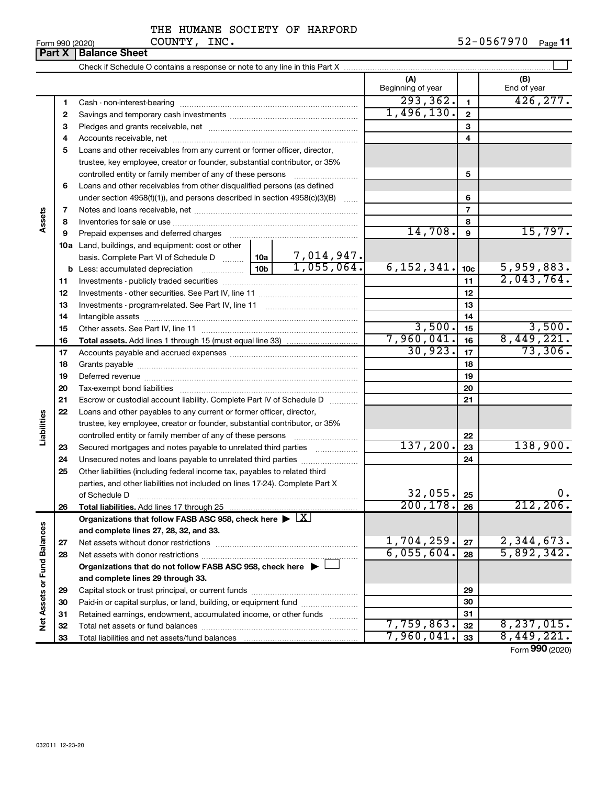# THE HUMANE SOCIETY OF HARFORD COUNTY, INC.

| (A)<br>(B)<br>Beginning of year<br>End of year<br>293, 362.<br>426, 277.<br>1<br>1<br>1,496,130.<br>$\mathbf{2}$<br>2<br>3<br>3<br>4<br>4<br>Loans and other receivables from any current or former officer, director,<br>5<br>trustee, key employee, creator or founder, substantial contributor, or 35%<br>5<br>controlled entity or family member of any of these persons<br>Loans and other receivables from other disqualified persons (as defined<br>6<br>under section 4958(f)(1)), and persons described in section 4958(c)(3)(B)<br>6<br>$\overline{7}$<br>7<br>Assets<br>8<br>8<br>14,708.<br>15,797.<br>9<br>9<br>Prepaid expenses and deferred charges [11] [11] Prepaid expenses and deferred charges [11] [11] Martin Martin Martin Martin Martin Martin Martin Martin Martin Martin Martin Martin Martin Martin Martin Martin Martin Martin<br><b>10a</b> Land, buildings, and equipment: cost or other<br>basis. Complete Part VI of Schedule D $\frac{10a}{10a}$ 10a   7,014,947.<br>1,055,064.<br>6, 152, 341.<br>$\frac{5,959,883.}{2,043,764.}$<br>10 <sub>b</sub><br>10 <sub>c</sub><br>11<br>11<br>12<br>12<br>13<br>13<br>14<br>14<br>3,500.<br>$\frac{3,500}{8,449,221}$<br>15<br>15<br>7,960,041.<br>16<br>16<br>30,923.<br>73,306.<br>17<br>17<br>18<br>18<br>19<br>19<br>20<br>20<br>21<br>Escrow or custodial account liability. Complete Part IV of Schedule D<br>21<br>22<br>Loans and other payables to any current or former officer, director,<br>Liabilities<br>trustee, key employee, creator or founder, substantial contributor, or 35%<br>controlled entity or family member of any of these persons<br>22<br>137,200.<br>138,900.<br>23<br>Secured mortgages and notes payable to unrelated third parties<br>23<br>Unsecured notes and loans payable to unrelated third parties<br>24<br>24<br>25<br>Other liabilities (including federal income tax, payables to related third<br>parties, and other liabilities not included on lines 17-24). Complete Part X<br>32,055.<br>$0$ .<br>of Schedule D<br>25<br>200, 178.<br>212, 206.<br>26<br>26<br><b>Total liabilities.</b> Add lines 17 through 25<br>Organizations that follow FASB ASC 958, check here $\blacktriangleright \lfloor \underline{X} \rfloor$<br>Net Assets or Fund Balances<br>and complete lines 27, 28, 32, and 33.<br>1,704,259.<br>$2,344,673.$<br>5,892,342.<br>27<br>27<br>6,055,604.<br>28<br>28<br>Organizations that do not follow FASB ASC 958, check here $\blacktriangleright$<br>and complete lines 29 through 33.<br>29<br>29<br>Paid-in or capital surplus, or land, building, or equipment fund<br>30<br>30<br>Retained earnings, endowment, accumulated income, or other funds<br>31<br>31<br>7,759,863.<br>8, 237, 015.<br>32<br>32<br>8,449,221. |  | Part X | <b>Balance Sheet</b> |            |    |  |
|-------------------------------------------------------------------------------------------------------------------------------------------------------------------------------------------------------------------------------------------------------------------------------------------------------------------------------------------------------------------------------------------------------------------------------------------------------------------------------------------------------------------------------------------------------------------------------------------------------------------------------------------------------------------------------------------------------------------------------------------------------------------------------------------------------------------------------------------------------------------------------------------------------------------------------------------------------------------------------------------------------------------------------------------------------------------------------------------------------------------------------------------------------------------------------------------------------------------------------------------------------------------------------------------------------------------------------------------------------------------------------------------------------------------------------------------------------------------------------------------------------------------------------------------------------------------------------------------------------------------------------------------------------------------------------------------------------------------------------------------------------------------------------------------------------------------------------------------------------------------------------------------------------------------------------------------------------------------------------------------------------------------------------------------------------------------------------------------------------------------------------------------------------------------------------------------------------------------------------------------------------------------------------------------------------------------------------------------------------------------------------------------------------------------------------------------------------------------------------------------------------------------------------------------------------------------------------------------------------------------------------------------------------------------------------------------------------------------------------------------------------------------------------|--|--------|----------------------|------------|----|--|
|                                                                                                                                                                                                                                                                                                                                                                                                                                                                                                                                                                                                                                                                                                                                                                                                                                                                                                                                                                                                                                                                                                                                                                                                                                                                                                                                                                                                                                                                                                                                                                                                                                                                                                                                                                                                                                                                                                                                                                                                                                                                                                                                                                                                                                                                                                                                                                                                                                                                                                                                                                                                                                                                                                                                                                               |  |        |                      |            |    |  |
|                                                                                                                                                                                                                                                                                                                                                                                                                                                                                                                                                                                                                                                                                                                                                                                                                                                                                                                                                                                                                                                                                                                                                                                                                                                                                                                                                                                                                                                                                                                                                                                                                                                                                                                                                                                                                                                                                                                                                                                                                                                                                                                                                                                                                                                                                                                                                                                                                                                                                                                                                                                                                                                                                                                                                                               |  |        |                      |            |    |  |
|                                                                                                                                                                                                                                                                                                                                                                                                                                                                                                                                                                                                                                                                                                                                                                                                                                                                                                                                                                                                                                                                                                                                                                                                                                                                                                                                                                                                                                                                                                                                                                                                                                                                                                                                                                                                                                                                                                                                                                                                                                                                                                                                                                                                                                                                                                                                                                                                                                                                                                                                                                                                                                                                                                                                                                               |  |        |                      |            |    |  |
|                                                                                                                                                                                                                                                                                                                                                                                                                                                                                                                                                                                                                                                                                                                                                                                                                                                                                                                                                                                                                                                                                                                                                                                                                                                                                                                                                                                                                                                                                                                                                                                                                                                                                                                                                                                                                                                                                                                                                                                                                                                                                                                                                                                                                                                                                                                                                                                                                                                                                                                                                                                                                                                                                                                                                                               |  |        |                      |            |    |  |
|                                                                                                                                                                                                                                                                                                                                                                                                                                                                                                                                                                                                                                                                                                                                                                                                                                                                                                                                                                                                                                                                                                                                                                                                                                                                                                                                                                                                                                                                                                                                                                                                                                                                                                                                                                                                                                                                                                                                                                                                                                                                                                                                                                                                                                                                                                                                                                                                                                                                                                                                                                                                                                                                                                                                                                               |  |        |                      |            |    |  |
|                                                                                                                                                                                                                                                                                                                                                                                                                                                                                                                                                                                                                                                                                                                                                                                                                                                                                                                                                                                                                                                                                                                                                                                                                                                                                                                                                                                                                                                                                                                                                                                                                                                                                                                                                                                                                                                                                                                                                                                                                                                                                                                                                                                                                                                                                                                                                                                                                                                                                                                                                                                                                                                                                                                                                                               |  |        |                      |            |    |  |
|                                                                                                                                                                                                                                                                                                                                                                                                                                                                                                                                                                                                                                                                                                                                                                                                                                                                                                                                                                                                                                                                                                                                                                                                                                                                                                                                                                                                                                                                                                                                                                                                                                                                                                                                                                                                                                                                                                                                                                                                                                                                                                                                                                                                                                                                                                                                                                                                                                                                                                                                                                                                                                                                                                                                                                               |  |        |                      |            |    |  |
|                                                                                                                                                                                                                                                                                                                                                                                                                                                                                                                                                                                                                                                                                                                                                                                                                                                                                                                                                                                                                                                                                                                                                                                                                                                                                                                                                                                                                                                                                                                                                                                                                                                                                                                                                                                                                                                                                                                                                                                                                                                                                                                                                                                                                                                                                                                                                                                                                                                                                                                                                                                                                                                                                                                                                                               |  |        |                      |            |    |  |
|                                                                                                                                                                                                                                                                                                                                                                                                                                                                                                                                                                                                                                                                                                                                                                                                                                                                                                                                                                                                                                                                                                                                                                                                                                                                                                                                                                                                                                                                                                                                                                                                                                                                                                                                                                                                                                                                                                                                                                                                                                                                                                                                                                                                                                                                                                                                                                                                                                                                                                                                                                                                                                                                                                                                                                               |  |        |                      |            |    |  |
|                                                                                                                                                                                                                                                                                                                                                                                                                                                                                                                                                                                                                                                                                                                                                                                                                                                                                                                                                                                                                                                                                                                                                                                                                                                                                                                                                                                                                                                                                                                                                                                                                                                                                                                                                                                                                                                                                                                                                                                                                                                                                                                                                                                                                                                                                                                                                                                                                                                                                                                                                                                                                                                                                                                                                                               |  |        |                      |            |    |  |
|                                                                                                                                                                                                                                                                                                                                                                                                                                                                                                                                                                                                                                                                                                                                                                                                                                                                                                                                                                                                                                                                                                                                                                                                                                                                                                                                                                                                                                                                                                                                                                                                                                                                                                                                                                                                                                                                                                                                                                                                                                                                                                                                                                                                                                                                                                                                                                                                                                                                                                                                                                                                                                                                                                                                                                               |  |        |                      |            |    |  |
|                                                                                                                                                                                                                                                                                                                                                                                                                                                                                                                                                                                                                                                                                                                                                                                                                                                                                                                                                                                                                                                                                                                                                                                                                                                                                                                                                                                                                                                                                                                                                                                                                                                                                                                                                                                                                                                                                                                                                                                                                                                                                                                                                                                                                                                                                                                                                                                                                                                                                                                                                                                                                                                                                                                                                                               |  |        |                      |            |    |  |
|                                                                                                                                                                                                                                                                                                                                                                                                                                                                                                                                                                                                                                                                                                                                                                                                                                                                                                                                                                                                                                                                                                                                                                                                                                                                                                                                                                                                                                                                                                                                                                                                                                                                                                                                                                                                                                                                                                                                                                                                                                                                                                                                                                                                                                                                                                                                                                                                                                                                                                                                                                                                                                                                                                                                                                               |  |        |                      |            |    |  |
|                                                                                                                                                                                                                                                                                                                                                                                                                                                                                                                                                                                                                                                                                                                                                                                                                                                                                                                                                                                                                                                                                                                                                                                                                                                                                                                                                                                                                                                                                                                                                                                                                                                                                                                                                                                                                                                                                                                                                                                                                                                                                                                                                                                                                                                                                                                                                                                                                                                                                                                                                                                                                                                                                                                                                                               |  |        |                      |            |    |  |
|                                                                                                                                                                                                                                                                                                                                                                                                                                                                                                                                                                                                                                                                                                                                                                                                                                                                                                                                                                                                                                                                                                                                                                                                                                                                                                                                                                                                                                                                                                                                                                                                                                                                                                                                                                                                                                                                                                                                                                                                                                                                                                                                                                                                                                                                                                                                                                                                                                                                                                                                                                                                                                                                                                                                                                               |  |        |                      |            |    |  |
|                                                                                                                                                                                                                                                                                                                                                                                                                                                                                                                                                                                                                                                                                                                                                                                                                                                                                                                                                                                                                                                                                                                                                                                                                                                                                                                                                                                                                                                                                                                                                                                                                                                                                                                                                                                                                                                                                                                                                                                                                                                                                                                                                                                                                                                                                                                                                                                                                                                                                                                                                                                                                                                                                                                                                                               |  |        |                      |            |    |  |
|                                                                                                                                                                                                                                                                                                                                                                                                                                                                                                                                                                                                                                                                                                                                                                                                                                                                                                                                                                                                                                                                                                                                                                                                                                                                                                                                                                                                                                                                                                                                                                                                                                                                                                                                                                                                                                                                                                                                                                                                                                                                                                                                                                                                                                                                                                                                                                                                                                                                                                                                                                                                                                                                                                                                                                               |  |        |                      |            |    |  |
|                                                                                                                                                                                                                                                                                                                                                                                                                                                                                                                                                                                                                                                                                                                                                                                                                                                                                                                                                                                                                                                                                                                                                                                                                                                                                                                                                                                                                                                                                                                                                                                                                                                                                                                                                                                                                                                                                                                                                                                                                                                                                                                                                                                                                                                                                                                                                                                                                                                                                                                                                                                                                                                                                                                                                                               |  |        |                      |            |    |  |
|                                                                                                                                                                                                                                                                                                                                                                                                                                                                                                                                                                                                                                                                                                                                                                                                                                                                                                                                                                                                                                                                                                                                                                                                                                                                                                                                                                                                                                                                                                                                                                                                                                                                                                                                                                                                                                                                                                                                                                                                                                                                                                                                                                                                                                                                                                                                                                                                                                                                                                                                                                                                                                                                                                                                                                               |  |        |                      |            |    |  |
|                                                                                                                                                                                                                                                                                                                                                                                                                                                                                                                                                                                                                                                                                                                                                                                                                                                                                                                                                                                                                                                                                                                                                                                                                                                                                                                                                                                                                                                                                                                                                                                                                                                                                                                                                                                                                                                                                                                                                                                                                                                                                                                                                                                                                                                                                                                                                                                                                                                                                                                                                                                                                                                                                                                                                                               |  |        |                      |            |    |  |
|                                                                                                                                                                                                                                                                                                                                                                                                                                                                                                                                                                                                                                                                                                                                                                                                                                                                                                                                                                                                                                                                                                                                                                                                                                                                                                                                                                                                                                                                                                                                                                                                                                                                                                                                                                                                                                                                                                                                                                                                                                                                                                                                                                                                                                                                                                                                                                                                                                                                                                                                                                                                                                                                                                                                                                               |  |        |                      |            |    |  |
|                                                                                                                                                                                                                                                                                                                                                                                                                                                                                                                                                                                                                                                                                                                                                                                                                                                                                                                                                                                                                                                                                                                                                                                                                                                                                                                                                                                                                                                                                                                                                                                                                                                                                                                                                                                                                                                                                                                                                                                                                                                                                                                                                                                                                                                                                                                                                                                                                                                                                                                                                                                                                                                                                                                                                                               |  |        |                      |            |    |  |
|                                                                                                                                                                                                                                                                                                                                                                                                                                                                                                                                                                                                                                                                                                                                                                                                                                                                                                                                                                                                                                                                                                                                                                                                                                                                                                                                                                                                                                                                                                                                                                                                                                                                                                                                                                                                                                                                                                                                                                                                                                                                                                                                                                                                                                                                                                                                                                                                                                                                                                                                                                                                                                                                                                                                                                               |  |        |                      |            |    |  |
|                                                                                                                                                                                                                                                                                                                                                                                                                                                                                                                                                                                                                                                                                                                                                                                                                                                                                                                                                                                                                                                                                                                                                                                                                                                                                                                                                                                                                                                                                                                                                                                                                                                                                                                                                                                                                                                                                                                                                                                                                                                                                                                                                                                                                                                                                                                                                                                                                                                                                                                                                                                                                                                                                                                                                                               |  |        |                      |            |    |  |
|                                                                                                                                                                                                                                                                                                                                                                                                                                                                                                                                                                                                                                                                                                                                                                                                                                                                                                                                                                                                                                                                                                                                                                                                                                                                                                                                                                                                                                                                                                                                                                                                                                                                                                                                                                                                                                                                                                                                                                                                                                                                                                                                                                                                                                                                                                                                                                                                                                                                                                                                                                                                                                                                                                                                                                               |  |        |                      |            |    |  |
|                                                                                                                                                                                                                                                                                                                                                                                                                                                                                                                                                                                                                                                                                                                                                                                                                                                                                                                                                                                                                                                                                                                                                                                                                                                                                                                                                                                                                                                                                                                                                                                                                                                                                                                                                                                                                                                                                                                                                                                                                                                                                                                                                                                                                                                                                                                                                                                                                                                                                                                                                                                                                                                                                                                                                                               |  |        |                      |            |    |  |
|                                                                                                                                                                                                                                                                                                                                                                                                                                                                                                                                                                                                                                                                                                                                                                                                                                                                                                                                                                                                                                                                                                                                                                                                                                                                                                                                                                                                                                                                                                                                                                                                                                                                                                                                                                                                                                                                                                                                                                                                                                                                                                                                                                                                                                                                                                                                                                                                                                                                                                                                                                                                                                                                                                                                                                               |  |        |                      |            |    |  |
|                                                                                                                                                                                                                                                                                                                                                                                                                                                                                                                                                                                                                                                                                                                                                                                                                                                                                                                                                                                                                                                                                                                                                                                                                                                                                                                                                                                                                                                                                                                                                                                                                                                                                                                                                                                                                                                                                                                                                                                                                                                                                                                                                                                                                                                                                                                                                                                                                                                                                                                                                                                                                                                                                                                                                                               |  |        |                      |            |    |  |
|                                                                                                                                                                                                                                                                                                                                                                                                                                                                                                                                                                                                                                                                                                                                                                                                                                                                                                                                                                                                                                                                                                                                                                                                                                                                                                                                                                                                                                                                                                                                                                                                                                                                                                                                                                                                                                                                                                                                                                                                                                                                                                                                                                                                                                                                                                                                                                                                                                                                                                                                                                                                                                                                                                                                                                               |  |        |                      |            |    |  |
|                                                                                                                                                                                                                                                                                                                                                                                                                                                                                                                                                                                                                                                                                                                                                                                                                                                                                                                                                                                                                                                                                                                                                                                                                                                                                                                                                                                                                                                                                                                                                                                                                                                                                                                                                                                                                                                                                                                                                                                                                                                                                                                                                                                                                                                                                                                                                                                                                                                                                                                                                                                                                                                                                                                                                                               |  |        |                      |            |    |  |
|                                                                                                                                                                                                                                                                                                                                                                                                                                                                                                                                                                                                                                                                                                                                                                                                                                                                                                                                                                                                                                                                                                                                                                                                                                                                                                                                                                                                                                                                                                                                                                                                                                                                                                                                                                                                                                                                                                                                                                                                                                                                                                                                                                                                                                                                                                                                                                                                                                                                                                                                                                                                                                                                                                                                                                               |  |        |                      |            |    |  |
|                                                                                                                                                                                                                                                                                                                                                                                                                                                                                                                                                                                                                                                                                                                                                                                                                                                                                                                                                                                                                                                                                                                                                                                                                                                                                                                                                                                                                                                                                                                                                                                                                                                                                                                                                                                                                                                                                                                                                                                                                                                                                                                                                                                                                                                                                                                                                                                                                                                                                                                                                                                                                                                                                                                                                                               |  |        |                      |            |    |  |
|                                                                                                                                                                                                                                                                                                                                                                                                                                                                                                                                                                                                                                                                                                                                                                                                                                                                                                                                                                                                                                                                                                                                                                                                                                                                                                                                                                                                                                                                                                                                                                                                                                                                                                                                                                                                                                                                                                                                                                                                                                                                                                                                                                                                                                                                                                                                                                                                                                                                                                                                                                                                                                                                                                                                                                               |  |        |                      |            |    |  |
|                                                                                                                                                                                                                                                                                                                                                                                                                                                                                                                                                                                                                                                                                                                                                                                                                                                                                                                                                                                                                                                                                                                                                                                                                                                                                                                                                                                                                                                                                                                                                                                                                                                                                                                                                                                                                                                                                                                                                                                                                                                                                                                                                                                                                                                                                                                                                                                                                                                                                                                                                                                                                                                                                                                                                                               |  |        |                      |            |    |  |
|                                                                                                                                                                                                                                                                                                                                                                                                                                                                                                                                                                                                                                                                                                                                                                                                                                                                                                                                                                                                                                                                                                                                                                                                                                                                                                                                                                                                                                                                                                                                                                                                                                                                                                                                                                                                                                                                                                                                                                                                                                                                                                                                                                                                                                                                                                                                                                                                                                                                                                                                                                                                                                                                                                                                                                               |  |        |                      |            |    |  |
|                                                                                                                                                                                                                                                                                                                                                                                                                                                                                                                                                                                                                                                                                                                                                                                                                                                                                                                                                                                                                                                                                                                                                                                                                                                                                                                                                                                                                                                                                                                                                                                                                                                                                                                                                                                                                                                                                                                                                                                                                                                                                                                                                                                                                                                                                                                                                                                                                                                                                                                                                                                                                                                                                                                                                                               |  |        |                      |            |    |  |
|                                                                                                                                                                                                                                                                                                                                                                                                                                                                                                                                                                                                                                                                                                                                                                                                                                                                                                                                                                                                                                                                                                                                                                                                                                                                                                                                                                                                                                                                                                                                                                                                                                                                                                                                                                                                                                                                                                                                                                                                                                                                                                                                                                                                                                                                                                                                                                                                                                                                                                                                                                                                                                                                                                                                                                               |  |        |                      |            |    |  |
|                                                                                                                                                                                                                                                                                                                                                                                                                                                                                                                                                                                                                                                                                                                                                                                                                                                                                                                                                                                                                                                                                                                                                                                                                                                                                                                                                                                                                                                                                                                                                                                                                                                                                                                                                                                                                                                                                                                                                                                                                                                                                                                                                                                                                                                                                                                                                                                                                                                                                                                                                                                                                                                                                                                                                                               |  |        |                      |            |    |  |
|                                                                                                                                                                                                                                                                                                                                                                                                                                                                                                                                                                                                                                                                                                                                                                                                                                                                                                                                                                                                                                                                                                                                                                                                                                                                                                                                                                                                                                                                                                                                                                                                                                                                                                                                                                                                                                                                                                                                                                                                                                                                                                                                                                                                                                                                                                                                                                                                                                                                                                                                                                                                                                                                                                                                                                               |  |        |                      |            |    |  |
|                                                                                                                                                                                                                                                                                                                                                                                                                                                                                                                                                                                                                                                                                                                                                                                                                                                                                                                                                                                                                                                                                                                                                                                                                                                                                                                                                                                                                                                                                                                                                                                                                                                                                                                                                                                                                                                                                                                                                                                                                                                                                                                                                                                                                                                                                                                                                                                                                                                                                                                                                                                                                                                                                                                                                                               |  |        |                      |            |    |  |
|                                                                                                                                                                                                                                                                                                                                                                                                                                                                                                                                                                                                                                                                                                                                                                                                                                                                                                                                                                                                                                                                                                                                                                                                                                                                                                                                                                                                                                                                                                                                                                                                                                                                                                                                                                                                                                                                                                                                                                                                                                                                                                                                                                                                                                                                                                                                                                                                                                                                                                                                                                                                                                                                                                                                                                               |  |        |                      |            |    |  |
|                                                                                                                                                                                                                                                                                                                                                                                                                                                                                                                                                                                                                                                                                                                                                                                                                                                                                                                                                                                                                                                                                                                                                                                                                                                                                                                                                                                                                                                                                                                                                                                                                                                                                                                                                                                                                                                                                                                                                                                                                                                                                                                                                                                                                                                                                                                                                                                                                                                                                                                                                                                                                                                                                                                                                                               |  |        |                      |            |    |  |
|                                                                                                                                                                                                                                                                                                                                                                                                                                                                                                                                                                                                                                                                                                                                                                                                                                                                                                                                                                                                                                                                                                                                                                                                                                                                                                                                                                                                                                                                                                                                                                                                                                                                                                                                                                                                                                                                                                                                                                                                                                                                                                                                                                                                                                                                                                                                                                                                                                                                                                                                                                                                                                                                                                                                                                               |  |        |                      |            |    |  |
|                                                                                                                                                                                                                                                                                                                                                                                                                                                                                                                                                                                                                                                                                                                                                                                                                                                                                                                                                                                                                                                                                                                                                                                                                                                                                                                                                                                                                                                                                                                                                                                                                                                                                                                                                                                                                                                                                                                                                                                                                                                                                                                                                                                                                                                                                                                                                                                                                                                                                                                                                                                                                                                                                                                                                                               |  |        |                      |            |    |  |
|                                                                                                                                                                                                                                                                                                                                                                                                                                                                                                                                                                                                                                                                                                                                                                                                                                                                                                                                                                                                                                                                                                                                                                                                                                                                                                                                                                                                                                                                                                                                                                                                                                                                                                                                                                                                                                                                                                                                                                                                                                                                                                                                                                                                                                                                                                                                                                                                                                                                                                                                                                                                                                                                                                                                                                               |  |        |                      |            |    |  |
|                                                                                                                                                                                                                                                                                                                                                                                                                                                                                                                                                                                                                                                                                                                                                                                                                                                                                                                                                                                                                                                                                                                                                                                                                                                                                                                                                                                                                                                                                                                                                                                                                                                                                                                                                                                                                                                                                                                                                                                                                                                                                                                                                                                                                                                                                                                                                                                                                                                                                                                                                                                                                                                                                                                                                                               |  |        |                      |            |    |  |
|                                                                                                                                                                                                                                                                                                                                                                                                                                                                                                                                                                                                                                                                                                                                                                                                                                                                                                                                                                                                                                                                                                                                                                                                                                                                                                                                                                                                                                                                                                                                                                                                                                                                                                                                                                                                                                                                                                                                                                                                                                                                                                                                                                                                                                                                                                                                                                                                                                                                                                                                                                                                                                                                                                                                                                               |  | 33     |                      | 7,960,041. | 33 |  |

Form (2020) **990**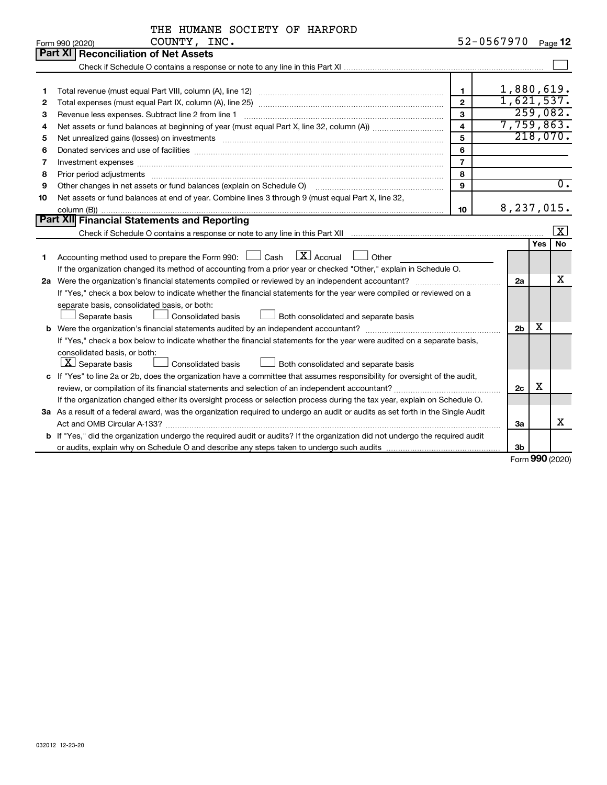|              | THE HUMANE SOCIETY OF HARFORD                                                                                                   |                         |                |     |                         |
|--------------|---------------------------------------------------------------------------------------------------------------------------------|-------------------------|----------------|-----|-------------------------|
|              | COUNTY, INC.<br>Form 990 (2020)                                                                                                 | 52-0567970 Page 12      |                |     |                         |
|              | Part XI   Reconciliation of Net Assets                                                                                          |                         |                |     |                         |
|              |                                                                                                                                 |                         |                |     |                         |
|              |                                                                                                                                 |                         |                |     |                         |
| 1            |                                                                                                                                 | $\mathbf{1}$            | 1,880,619.     |     |                         |
| $\mathbf{2}$ |                                                                                                                                 | $\overline{2}$          | 1,621,537.     |     |                         |
| 3            |                                                                                                                                 | 3                       |                |     | 259,082.                |
| 4            |                                                                                                                                 | $\overline{\mathbf{A}}$ | 7,759,863.     |     |                         |
| 5            |                                                                                                                                 | 5                       |                |     | 218,070.                |
| 6            |                                                                                                                                 | 6                       |                |     |                         |
| 7            | Investment expenses www.communication.com/www.communication.com/www.communication.com/www.com                                   | $\overline{7}$          |                |     |                         |
| 8            | Prior period adjustments www.communication.communication.communication.com/                                                     | 8                       |                |     |                         |
| 9            | Other changes in net assets or fund balances (explain on Schedule O)                                                            | 9                       |                |     | $\overline{0}$ .        |
| 10           | Net assets or fund balances at end of year. Combine lines 3 through 9 (must equal Part X, line 32,                              |                         |                |     |                         |
|              |                                                                                                                                 | 10                      | 8,237,015.     |     |                         |
|              | Part XII Financial Statements and Reporting                                                                                     |                         |                |     |                         |
|              |                                                                                                                                 |                         |                |     | $\overline{\mathbf{x}}$ |
|              |                                                                                                                                 |                         |                | Yes | No                      |
| 1            | $\boxed{\mathbf{X}}$ Accrual<br>Accounting method used to prepare the Form 990: $\Box$ Cash<br>Other                            |                         |                |     |                         |
|              | If the organization changed its method of accounting from a prior year or checked "Other," explain in Schedule O.               |                         |                |     |                         |
|              |                                                                                                                                 |                         | 2a             |     | x                       |
|              | If "Yes," check a box below to indicate whether the financial statements for the year were compiled or reviewed on a            |                         |                |     |                         |
|              | separate basis, consolidated basis, or both:                                                                                    |                         |                |     |                         |
|              | Consolidated basis<br>Separate basis<br>Both consolidated and separate basis                                                    |                         |                |     |                         |
|              |                                                                                                                                 |                         | 2 <sub>b</sub> | х   |                         |
|              | If "Yes," check a box below to indicate whether the financial statements for the year were audited on a separate basis,         |                         |                |     |                         |
|              | consolidated basis, or both:                                                                                                    |                         |                |     |                         |
|              | $\boxed{\textbf{X}}$ Separate basis<br>Both consolidated and separate basis<br><b>Consolidated basis</b>                        |                         |                |     |                         |
|              | c If "Yes" to line 2a or 2b, does the organization have a committee that assumes responsibility for oversight of the audit,     |                         |                |     |                         |
|              |                                                                                                                                 |                         | 2c             | х   |                         |
|              | If the organization changed either its oversight process or selection process during the tax year, explain on Schedule O.       |                         |                |     |                         |
|              | 3a As a result of a federal award, was the organization required to undergo an audit or audits as set forth in the Single Audit |                         |                |     |                         |
|              |                                                                                                                                 |                         | За             |     | х                       |
|              | b If "Yes," did the organization undergo the required audit or audits? If the organization did not undergo the required audit   |                         |                |     |                         |
|              |                                                                                                                                 |                         | 3b             |     |                         |

Form (2020) **990**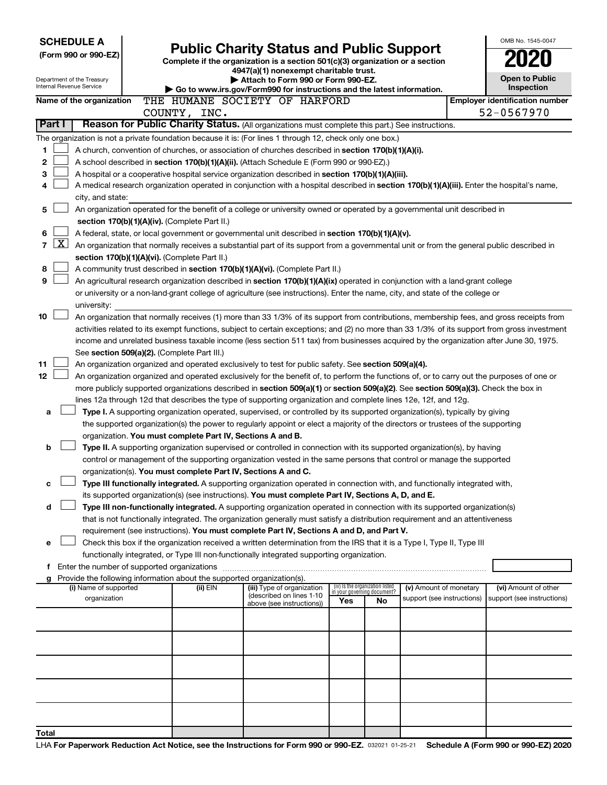|                      | <b>SCHEDULE A</b>                                      |  |                                                                        |                                                                                                                                                                                                                                                                |                             |                                 |                            | OMB No. 1545-0047                     |
|----------------------|--------------------------------------------------------|--|------------------------------------------------------------------------|----------------------------------------------------------------------------------------------------------------------------------------------------------------------------------------------------------------------------------------------------------------|-----------------------------|---------------------------------|----------------------------|---------------------------------------|
| (Form 990 or 990-EZ) |                                                        |  |                                                                        | <b>Public Charity Status and Public Support</b><br>Complete if the organization is a section 501(c)(3) organization or a section                                                                                                                               |                             |                                 |                            |                                       |
|                      |                                                        |  |                                                                        | 4947(a)(1) nonexempt charitable trust.                                                                                                                                                                                                                         |                             |                                 |                            |                                       |
|                      | Department of the Treasury<br>Internal Revenue Service |  |                                                                        | Attach to Form 990 or Form 990-EZ.                                                                                                                                                                                                                             |                             |                                 |                            | Open to Public<br>Inspection          |
|                      | Name of the organization                               |  |                                                                        | Go to www.irs.gov/Form990 for instructions and the latest information.<br>THE HUMANE SOCIETY OF HARFORD                                                                                                                                                        |                             |                                 |                            | <b>Employer identification number</b> |
|                      |                                                        |  | COUNTY, INC.                                                           |                                                                                                                                                                                                                                                                |                             |                                 |                            | 52-0567970                            |
| Part I               |                                                        |  |                                                                        | Reason for Public Charity Status. (All organizations must complete this part.) See instructions.                                                                                                                                                               |                             |                                 |                            |                                       |
|                      |                                                        |  |                                                                        | The organization is not a private foundation because it is: (For lines 1 through 12, check only one box.)                                                                                                                                                      |                             |                                 |                            |                                       |
| 1                    |                                                        |  |                                                                        | A church, convention of churches, or association of churches described in section 170(b)(1)(A)(i).                                                                                                                                                             |                             |                                 |                            |                                       |
| 2                    |                                                        |  |                                                                        | A school described in section 170(b)(1)(A)(ii). (Attach Schedule E (Form 990 or 990-EZ).)                                                                                                                                                                      |                             |                                 |                            |                                       |
| 3<br>4               |                                                        |  |                                                                        | A hospital or a cooperative hospital service organization described in section 170(b)(1)(A)(iii).<br>A medical research organization operated in conjunction with a hospital described in section 170(b)(1)(A)(iii). Enter the hospital's name,                |                             |                                 |                            |                                       |
|                      | city, and state:                                       |  |                                                                        |                                                                                                                                                                                                                                                                |                             |                                 |                            |                                       |
| 5                    |                                                        |  |                                                                        | An organization operated for the benefit of a college or university owned or operated by a governmental unit described in                                                                                                                                      |                             |                                 |                            |                                       |
|                      |                                                        |  | section 170(b)(1)(A)(iv). (Complete Part II.)                          |                                                                                                                                                                                                                                                                |                             |                                 |                            |                                       |
| 6                    |                                                        |  |                                                                        | A federal, state, or local government or governmental unit described in section 170(b)(1)(A)(v).                                                                                                                                                               |                             |                                 |                            |                                       |
| 7                    | $\mathbf{X}$                                           |  |                                                                        | An organization that normally receives a substantial part of its support from a governmental unit or from the general public described in                                                                                                                      |                             |                                 |                            |                                       |
| 8                    |                                                        |  | section 170(b)(1)(A)(vi). (Complete Part II.)                          | A community trust described in section 170(b)(1)(A)(vi). (Complete Part II.)                                                                                                                                                                                   |                             |                                 |                            |                                       |
| 9                    |                                                        |  |                                                                        | An agricultural research organization described in section 170(b)(1)(A)(ix) operated in conjunction with a land-grant college                                                                                                                                  |                             |                                 |                            |                                       |
|                      |                                                        |  |                                                                        | or university or a non-land-grant college of agriculture (see instructions). Enter the name, city, and state of the college or                                                                                                                                 |                             |                                 |                            |                                       |
|                      | university:                                            |  |                                                                        |                                                                                                                                                                                                                                                                |                             |                                 |                            |                                       |
| 10                   |                                                        |  |                                                                        | An organization that normally receives (1) more than 33 1/3% of its support from contributions, membership fees, and gross receipts from                                                                                                                       |                             |                                 |                            |                                       |
|                      |                                                        |  |                                                                        | activities related to its exempt functions, subject to certain exceptions; and (2) no more than 33 1/3% of its support from gross investment                                                                                                                   |                             |                                 |                            |                                       |
|                      |                                                        |  | See section 509(a)(2). (Complete Part III.)                            | income and unrelated business taxable income (less section 511 tax) from businesses acquired by the organization after June 30, 1975.                                                                                                                          |                             |                                 |                            |                                       |
| 11                   |                                                        |  |                                                                        | An organization organized and operated exclusively to test for public safety. See section 509(a)(4).                                                                                                                                                           |                             |                                 |                            |                                       |
| 12                   |                                                        |  |                                                                        | An organization organized and operated exclusively for the benefit of, to perform the functions of, or to carry out the purposes of one or                                                                                                                     |                             |                                 |                            |                                       |
|                      |                                                        |  |                                                                        | more publicly supported organizations described in section 509(a)(1) or section 509(a)(2). See section 509(a)(3). Check the box in                                                                                                                             |                             |                                 |                            |                                       |
|                      |                                                        |  |                                                                        | lines 12a through 12d that describes the type of supporting organization and complete lines 12e, 12f, and 12g.                                                                                                                                                 |                             |                                 |                            |                                       |
| а                    |                                                        |  |                                                                        | Type I. A supporting organization operated, supervised, or controlled by its supported organization(s), typically by giving<br>the supported organization(s) the power to regularly appoint or elect a majority of the directors or trustees of the supporting |                             |                                 |                            |                                       |
|                      |                                                        |  | organization. You must complete Part IV, Sections A and B.             |                                                                                                                                                                                                                                                                |                             |                                 |                            |                                       |
| b                    |                                                        |  |                                                                        | Type II. A supporting organization supervised or controlled in connection with its supported organization(s), by having                                                                                                                                        |                             |                                 |                            |                                       |
|                      |                                                        |  |                                                                        | control or management of the supporting organization vested in the same persons that control or manage the supported                                                                                                                                           |                             |                                 |                            |                                       |
|                      |                                                        |  | organization(s). You must complete Part IV, Sections A and C.          |                                                                                                                                                                                                                                                                |                             |                                 |                            |                                       |
| с                    |                                                        |  |                                                                        | Type III functionally integrated. A supporting organization operated in connection with, and functionally integrated with,<br>its supported organization(s) (see instructions). You must complete Part IV, Sections A, D, and E.                               |                             |                                 |                            |                                       |
| d                    |                                                        |  |                                                                        | Type III non-functionally integrated. A supporting organization operated in connection with its supported organization(s)                                                                                                                                      |                             |                                 |                            |                                       |
|                      |                                                        |  |                                                                        | that is not functionally integrated. The organization generally must satisfy a distribution requirement and an attentiveness                                                                                                                                   |                             |                                 |                            |                                       |
|                      |                                                        |  |                                                                        | requirement (see instructions). You must complete Part IV, Sections A and D, and Part V.                                                                                                                                                                       |                             |                                 |                            |                                       |
| е                    |                                                        |  |                                                                        | Check this box if the organization received a written determination from the IRS that it is a Type I, Type II, Type III                                                                                                                                        |                             |                                 |                            |                                       |
|                      |                                                        |  |                                                                        | functionally integrated, or Type III non-functionally integrated supporting organization.                                                                                                                                                                      |                             |                                 |                            |                                       |
| f                    |                                                        |  | Provide the following information about the supported organization(s). |                                                                                                                                                                                                                                                                |                             |                                 |                            |                                       |
|                      | (i) Name of supported                                  |  | (ii) EIN                                                               | (iii) Type of organization                                                                                                                                                                                                                                     | in your governing document? | (iv) Is the organization listed | (v) Amount of monetary     | (vi) Amount of other                  |
|                      | organization                                           |  |                                                                        | (described on lines 1-10<br>above (see instructions))                                                                                                                                                                                                          | Yes                         | No.                             | support (see instructions) | support (see instructions)            |
|                      |                                                        |  |                                                                        |                                                                                                                                                                                                                                                                |                             |                                 |                            |                                       |
|                      |                                                        |  |                                                                        |                                                                                                                                                                                                                                                                |                             |                                 |                            |                                       |
|                      |                                                        |  |                                                                        |                                                                                                                                                                                                                                                                |                             |                                 |                            |                                       |
|                      |                                                        |  |                                                                        |                                                                                                                                                                                                                                                                |                             |                                 |                            |                                       |
|                      |                                                        |  |                                                                        |                                                                                                                                                                                                                                                                |                             |                                 |                            |                                       |
|                      |                                                        |  |                                                                        |                                                                                                                                                                                                                                                                |                             |                                 |                            |                                       |
|                      |                                                        |  |                                                                        |                                                                                                                                                                                                                                                                |                             |                                 |                            |                                       |
|                      |                                                        |  |                                                                        |                                                                                                                                                                                                                                                                |                             |                                 |                            |                                       |
| Total                |                                                        |  |                                                                        |                                                                                                                                                                                                                                                                |                             |                                 |                            |                                       |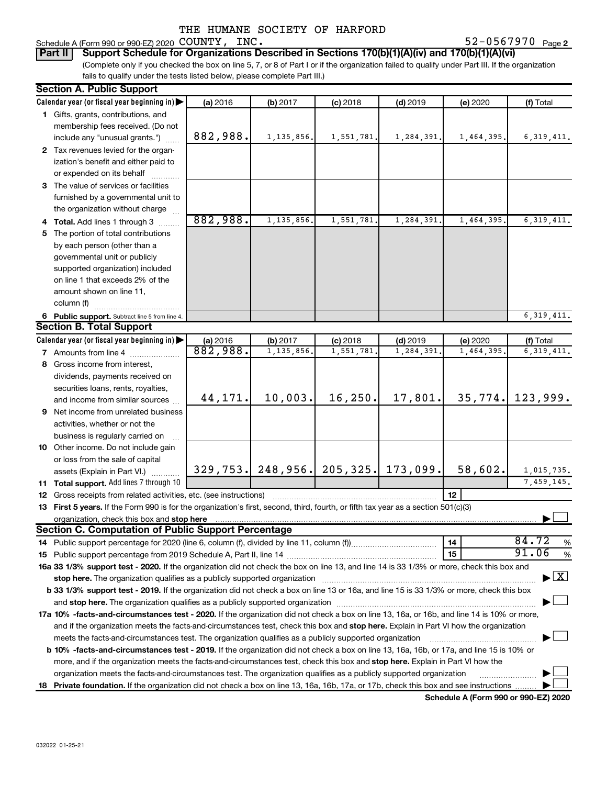### Schedule A (Form 990 or 990-EZ) 2020  $\mathtt{COUNTY}$ ,  $\mathtt{INC.}$   $\mathtt{S2-0567970}$   $\mathtt{Page}$

52-0567970 Page 2

(Complete only if you checked the box on line 5, 7, or 8 of Part I or if the organization failed to qualify under Part III. If the organization fails to qualify under the tests listed below, please complete Part III.) **Part II** | Support Schedule for Organizations Described in Sections 170(b)(1)(A)(iv) and 170(b)(1)(A)(vi)

| <b>Section A. Public Support</b>                                                                                                                                                                                                                                                             |          |                                         |            |            |            |                                          |
|----------------------------------------------------------------------------------------------------------------------------------------------------------------------------------------------------------------------------------------------------------------------------------------------|----------|-----------------------------------------|------------|------------|------------|------------------------------------------|
| Calendar year (or fiscal year beginning in)                                                                                                                                                                                                                                                  | (a) 2016 | (b) 2017                                | $(c)$ 2018 | $(d)$ 2019 | (e) 2020   | (f) Total                                |
| 1 Gifts, grants, contributions, and                                                                                                                                                                                                                                                          |          |                                         |            |            |            |                                          |
| membership fees received. (Do not                                                                                                                                                                                                                                                            |          |                                         |            |            |            |                                          |
| include any "unusual grants.")                                                                                                                                                                                                                                                               | 882,988. | 1, 135, 856.                            | 1,551,781. | 1,284,391. | 1,464,395. | 6,319,411.                               |
| 2 Tax revenues levied for the organ-                                                                                                                                                                                                                                                         |          |                                         |            |            |            |                                          |
| ization's benefit and either paid to                                                                                                                                                                                                                                                         |          |                                         |            |            |            |                                          |
| or expended on its behalf                                                                                                                                                                                                                                                                    |          |                                         |            |            |            |                                          |
| 3 The value of services or facilities                                                                                                                                                                                                                                                        |          |                                         |            |            |            |                                          |
| furnished by a governmental unit to                                                                                                                                                                                                                                                          |          |                                         |            |            |            |                                          |
| the organization without charge                                                                                                                                                                                                                                                              |          |                                         |            |            |            |                                          |
| 4 Total. Add lines 1 through 3                                                                                                                                                                                                                                                               | 882,988. | 1, 135, 856.                            | 1,551,781  | 1,284,391  | 1,464,395  | 6,319,411.                               |
| 5 The portion of total contributions                                                                                                                                                                                                                                                         |          |                                         |            |            |            |                                          |
| by each person (other than a                                                                                                                                                                                                                                                                 |          |                                         |            |            |            |                                          |
| governmental unit or publicly                                                                                                                                                                                                                                                                |          |                                         |            |            |            |                                          |
| supported organization) included                                                                                                                                                                                                                                                             |          |                                         |            |            |            |                                          |
| on line 1 that exceeds 2% of the                                                                                                                                                                                                                                                             |          |                                         |            |            |            |                                          |
| amount shown on line 11,                                                                                                                                                                                                                                                                     |          |                                         |            |            |            |                                          |
| column (f)                                                                                                                                                                                                                                                                                   |          |                                         |            |            |            |                                          |
| 6 Public support. Subtract line 5 from line 4.                                                                                                                                                                                                                                               |          |                                         |            |            |            | 6, 319, 411.                             |
| <b>Section B. Total Support</b>                                                                                                                                                                                                                                                              |          |                                         |            |            |            |                                          |
| Calendar year (or fiscal year beginning in)                                                                                                                                                                                                                                                  | (a) 2016 | (b) 2017                                | $(c)$ 2018 | $(d)$ 2019 | (e) 2020   | (f) Total                                |
| <b>7</b> Amounts from line 4                                                                                                                                                                                                                                                                 | 882,988. | 1, 135, 856.                            | 1,551,781  | 1,284,391  | 1,464,395  | 6, 319, 411.                             |
| 8 Gross income from interest,                                                                                                                                                                                                                                                                |          |                                         |            |            |            |                                          |
| dividends, payments received on                                                                                                                                                                                                                                                              |          |                                         |            |            |            |                                          |
| securities loans, rents, royalties,                                                                                                                                                                                                                                                          |          |                                         |            |            |            |                                          |
| and income from similar sources                                                                                                                                                                                                                                                              | 44,171.  | 10,003.                                 | 16, 250.   | 17,801.    | 35,774.    | 123,999.                                 |
| 9 Net income from unrelated business                                                                                                                                                                                                                                                         |          |                                         |            |            |            |                                          |
|                                                                                                                                                                                                                                                                                              |          |                                         |            |            |            |                                          |
| activities, whether or not the                                                                                                                                                                                                                                                               |          |                                         |            |            |            |                                          |
| business is regularly carried on                                                                                                                                                                                                                                                             |          |                                         |            |            |            |                                          |
| 10 Other income. Do not include gain                                                                                                                                                                                                                                                         |          |                                         |            |            |            |                                          |
| or loss from the sale of capital                                                                                                                                                                                                                                                             |          | 329, 753. 248, 956. 205, 325. 173, 099. |            |            | 58,602.    | 1,015,735.                               |
| assets (Explain in Part VI.)                                                                                                                                                                                                                                                                 |          |                                         |            |            |            | 7,459,145.                               |
| 11 Total support. Add lines 7 through 10                                                                                                                                                                                                                                                     |          |                                         |            |            | 12         |                                          |
| <b>12</b> Gross receipts from related activities, etc. (see instructions)                                                                                                                                                                                                                    |          |                                         |            |            |            |                                          |
| 13 First 5 years. If the Form 990 is for the organization's first, second, third, fourth, or fifth tax year as a section 501(c)(3)                                                                                                                                                           |          |                                         |            |            |            |                                          |
| organization, check this box and stop here [1,1,200] with the content of the content of the content of the content of the content of the content of the content of the content of the content of the content of the content of<br><b>Section C. Computation of Public Support Percentage</b> |          |                                         |            |            |            |                                          |
|                                                                                                                                                                                                                                                                                              |          |                                         |            |            | 14         | 84.72<br>%                               |
|                                                                                                                                                                                                                                                                                              |          |                                         |            |            | 15         | 91.06<br>%                               |
| 16a 33 1/3% support test - 2020. If the organization did not check the box on line 13, and line 14 is 33 1/3% or more, check this box and                                                                                                                                                    |          |                                         |            |            |            |                                          |
| stop here. The organization qualifies as a publicly supported organization manufactured content and the support of the state of the state of the state of the state of the state of the state of the state of the state of the                                                               |          |                                         |            |            |            | $\blacktriangleright$ $\boxed{\text{X}}$ |
| b 33 1/3% support test - 2019. If the organization did not check a box on line 13 or 16a, and line 15 is 33 1/3% or more, check this box                                                                                                                                                     |          |                                         |            |            |            |                                          |
|                                                                                                                                                                                                                                                                                              |          |                                         |            |            |            |                                          |
| 17a 10% -facts-and-circumstances test - 2020. If the organization did not check a box on line 13, 16a, or 16b, and line 14 is 10% or more,                                                                                                                                                   |          |                                         |            |            |            |                                          |
|                                                                                                                                                                                                                                                                                              |          |                                         |            |            |            |                                          |
| and if the organization meets the facts-and-circumstances test, check this box and stop here. Explain in Part VI how the organization                                                                                                                                                        |          |                                         |            |            |            |                                          |
| meets the facts-and-circumstances test. The organization qualifies as a publicly supported organization                                                                                                                                                                                      |          |                                         |            |            |            |                                          |
| b 10% -facts-and-circumstances test - 2019. If the organization did not check a box on line 13, 16a, 16b, or 17a, and line 15 is 10% or                                                                                                                                                      |          |                                         |            |            |            |                                          |
| more, and if the organization meets the facts-and-circumstances test, check this box and stop here. Explain in Part VI how the                                                                                                                                                               |          |                                         |            |            |            |                                          |
| organization meets the facts-and-circumstances test. The organization qualifies as a publicly supported organization                                                                                                                                                                         |          |                                         |            |            |            |                                          |
| 18 Private foundation. If the organization did not check a box on line 13, 16a, 16b, 17a, or 17b, check this box and see instructions                                                                                                                                                        |          |                                         |            |            |            |                                          |

**Schedule A (Form 990 or 990-EZ) 2020**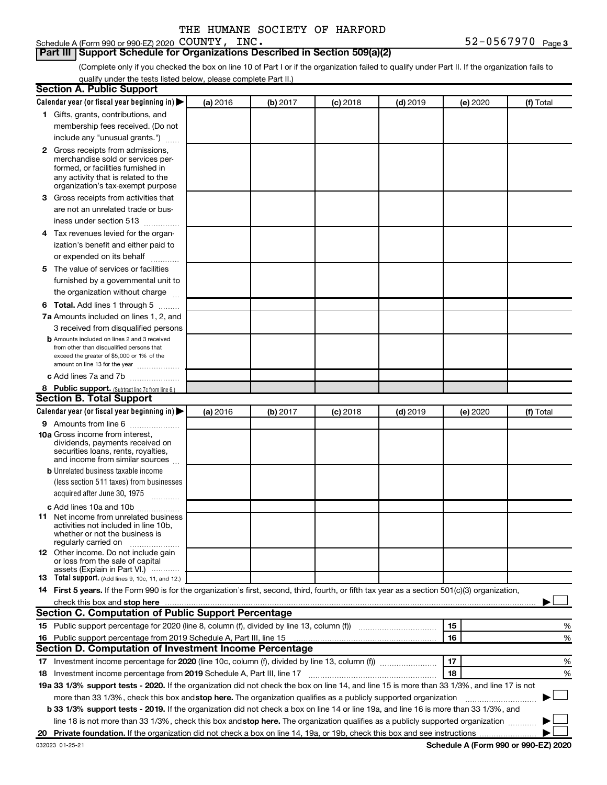### **Part III | Support Schedule for Organizations Described in Section 509(a)(2)**

(Complete only if you checked the box on line 10 of Part I or if the organization failed to qualify under Part II. If the organization fails to qualify under the tests listed below, please complete Part II.)

| <b>Section A. Public Support</b>                                                                                                                 |          |          |            |            |          |           |
|--------------------------------------------------------------------------------------------------------------------------------------------------|----------|----------|------------|------------|----------|-----------|
| Calendar year (or fiscal year beginning in)                                                                                                      | (a) 2016 | (b) 2017 | $(c)$ 2018 | $(d)$ 2019 | (e) 2020 | (f) Total |
| 1 Gifts, grants, contributions, and                                                                                                              |          |          |            |            |          |           |
| membership fees received. (Do not                                                                                                                |          |          |            |            |          |           |
| include any "unusual grants.")                                                                                                                   |          |          |            |            |          |           |
| 2 Gross receipts from admissions,                                                                                                                |          |          |            |            |          |           |
| merchandise sold or services per-                                                                                                                |          |          |            |            |          |           |
| formed, or facilities furnished in                                                                                                               |          |          |            |            |          |           |
| any activity that is related to the<br>organization's tax-exempt purpose                                                                         |          |          |            |            |          |           |
| 3 Gross receipts from activities that                                                                                                            |          |          |            |            |          |           |
| are not an unrelated trade or bus-                                                                                                               |          |          |            |            |          |           |
| iness under section 513                                                                                                                          |          |          |            |            |          |           |
| 4 Tax revenues levied for the organ-                                                                                                             |          |          |            |            |          |           |
| ization's benefit and either paid to                                                                                                             |          |          |            |            |          |           |
| or expended on its behalf                                                                                                                        |          |          |            |            |          |           |
| 5 The value of services or facilities                                                                                                            |          |          |            |            |          |           |
| furnished by a governmental unit to                                                                                                              |          |          |            |            |          |           |
| the organization without charge                                                                                                                  |          |          |            |            |          |           |
| <b>6 Total.</b> Add lines 1 through 5                                                                                                            |          |          |            |            |          |           |
| 7a Amounts included on lines 1, 2, and                                                                                                           |          |          |            |            |          |           |
| 3 received from disqualified persons                                                                                                             |          |          |            |            |          |           |
| <b>b</b> Amounts included on lines 2 and 3 received                                                                                              |          |          |            |            |          |           |
| from other than disqualified persons that                                                                                                        |          |          |            |            |          |           |
| exceed the greater of \$5,000 or 1% of the                                                                                                       |          |          |            |            |          |           |
| amount on line 13 for the year                                                                                                                   |          |          |            |            |          |           |
| c Add lines 7a and 7b                                                                                                                            |          |          |            |            |          |           |
| 8 Public support. (Subtract line 7c from line 6.)<br><b>Section B. Total Support</b>                                                             |          |          |            |            |          |           |
|                                                                                                                                                  |          |          |            |            |          |           |
| Calendar year (or fiscal year beginning in)                                                                                                      | (a) 2016 | (b) 2017 | (c) 2018   | $(d)$ 2019 | (e) 2020 | (f) Total |
| 9 Amounts from line 6<br><b>10a</b> Gross income from interest,                                                                                  |          |          |            |            |          |           |
| dividends, payments received on                                                                                                                  |          |          |            |            |          |           |
| securities loans, rents, royalties,                                                                                                              |          |          |            |            |          |           |
| and income from similar sources                                                                                                                  |          |          |            |            |          |           |
| <b>b</b> Unrelated business taxable income                                                                                                       |          |          |            |            |          |           |
| (less section 511 taxes) from businesses                                                                                                         |          |          |            |            |          |           |
| acquired after June 30, 1975<br>$\frac{1}{2}$                                                                                                    |          |          |            |            |          |           |
| c Add lines 10a and 10b                                                                                                                          |          |          |            |            |          |           |
| 11 Net income from unrelated business<br>activities not included in line 10b.                                                                    |          |          |            |            |          |           |
| whether or not the business is                                                                                                                   |          |          |            |            |          |           |
| regularly carried on                                                                                                                             |          |          |            |            |          |           |
| <b>12</b> Other income. Do not include gain<br>or loss from the sale of capital                                                                  |          |          |            |            |          |           |
| assets (Explain in Part VI.)                                                                                                                     |          |          |            |            |          |           |
| <b>13</b> Total support. (Add lines 9, 10c, 11, and 12.)                                                                                         |          |          |            |            |          |           |
| 14 First 5 years. If the Form 990 is for the organization's first, second, third, fourth, or fifth tax year as a section 501(c)(3) organization, |          |          |            |            |          |           |
|                                                                                                                                                  |          |          |            |            |          |           |
| Section C. Computation of Public Support Percentage                                                                                              |          |          |            |            |          |           |
|                                                                                                                                                  |          |          |            |            | 15       | %         |
| 16 Public support percentage from 2019 Schedule A, Part III, line 15                                                                             |          |          |            |            | 16       | %         |
| <b>Section D. Computation of Investment Income Percentage</b>                                                                                    |          |          |            |            |          |           |
|                                                                                                                                                  |          |          |            |            | 17       | %         |
| 18 Investment income percentage from 2019 Schedule A, Part III, line 17                                                                          |          |          |            |            | 18       | %         |
| 19a 33 1/3% support tests - 2020. If the organization did not check the box on line 14, and line 15 is more than 33 1/3%, and line 17 is not     |          |          |            |            |          |           |
| more than 33 1/3%, check this box and stop here. The organization qualifies as a publicly supported organization                                 |          |          |            |            |          |           |
| b 33 1/3% support tests - 2019. If the organization did not check a box on line 14 or line 19a, and line 16 is more than 33 1/3%, and            |          |          |            |            |          |           |
| line 18 is not more than 33 1/3%, check this box and stop here. The organization qualifies as a publicly supported organization                  |          |          |            |            |          |           |
|                                                                                                                                                  |          |          |            |            |          |           |
|                                                                                                                                                  |          |          |            |            |          |           |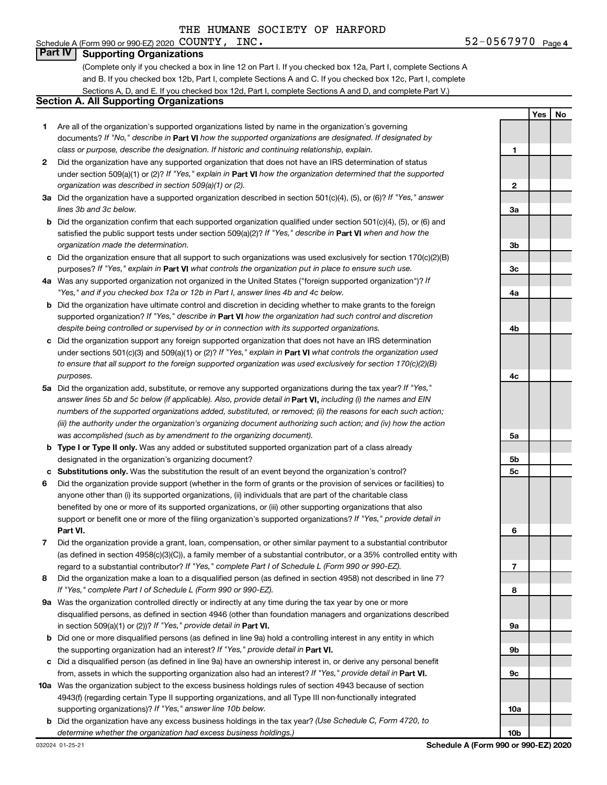# **4** COUNTY, INC. **12** 2 2 2 3 2 4 52 - 0567970  $_{\text{Page 4}}$

### Schedule A (Form 990 or 990-EZ) 2020 COUNTY, INC. **Part IV Supporting Organizations**

(Complete only if you checked a box in line 12 on Part I. If you checked box 12a, Part I, complete Sections A and B. If you checked box 12b, Part I, complete Sections A and C. If you checked box 12c, Part I, complete Sections A, D, and E. If you checked box 12d, Part I, complete Sections A and D, and complete Part V.)

# **Section A. All Supporting Organizations**

- **1** Are all of the organization's supported organizations listed by name in the organization's governing documents? If "No," describe in Part VI how the supported organizations are designated. If designated by *class or purpose, describe the designation. If historic and continuing relationship, explain.*
- **2** Did the organization have any supported organization that does not have an IRS determination of status under section 509(a)(1) or (2)? If "Yes," explain in Part **VI** how the organization determined that the supported *organization was described in section 509(a)(1) or (2).*
- **3a** Did the organization have a supported organization described in section 501(c)(4), (5), or (6)? If "Yes," answer *lines 3b and 3c below.*
- **b** Did the organization confirm that each supported organization qualified under section 501(c)(4), (5), or (6) and satisfied the public support tests under section 509(a)(2)? If "Yes," describe in Part VI when and how the *organization made the determination.*
- **c** Did the organization ensure that all support to such organizations was used exclusively for section 170(c)(2)(B) purposes? If "Yes," explain in Part VI what controls the organization put in place to ensure such use.
- **4 a** *If* Was any supported organization not organized in the United States ("foreign supported organization")? *"Yes," and if you checked box 12a or 12b in Part I, answer lines 4b and 4c below.*
- **b** Did the organization have ultimate control and discretion in deciding whether to make grants to the foreign supported organization? If "Yes," describe in Part VI how the organization had such control and discretion *despite being controlled or supervised by or in connection with its supported organizations.*
- **c** Did the organization support any foreign supported organization that does not have an IRS determination under sections 501(c)(3) and 509(a)(1) or (2)? If "Yes," explain in Part VI what controls the organization used *to ensure that all support to the foreign supported organization was used exclusively for section 170(c)(2)(B) purposes.*
- **5a** Did the organization add, substitute, or remove any supported organizations during the tax year? If "Yes," answer lines 5b and 5c below (if applicable). Also, provide detail in **Part VI,** including (i) the names and EIN *numbers of the supported organizations added, substituted, or removed; (ii) the reasons for each such action; (iii) the authority under the organization's organizing document authorizing such action; and (iv) how the action was accomplished (such as by amendment to the organizing document).*
- **b Type I or Type II only.** Was any added or substituted supported organization part of a class already designated in the organization's organizing document?
- **c Substitutions only.**  Was the substitution the result of an event beyond the organization's control?
- **6** Did the organization provide support (whether in the form of grants or the provision of services or facilities) to **Part VI.** support or benefit one or more of the filing organization's supported organizations? If "Yes," provide detail in anyone other than (i) its supported organizations, (ii) individuals that are part of the charitable class benefited by one or more of its supported organizations, or (iii) other supporting organizations that also
- **7** Did the organization provide a grant, loan, compensation, or other similar payment to a substantial contributor regard to a substantial contributor? If "Yes," complete Part I of Schedule L (Form 990 or 990-EZ). (as defined in section 4958(c)(3)(C)), a family member of a substantial contributor, or a 35% controlled entity with
- **8** Did the organization make a loan to a disqualified person (as defined in section 4958) not described in line 7? *If "Yes," complete Part I of Schedule L (Form 990 or 990-EZ).*
- **9 a** Was the organization controlled directly or indirectly at any time during the tax year by one or more in section 509(a)(1) or (2))? If "Yes," provide detail in **Part VI.** disqualified persons, as defined in section 4946 (other than foundation managers and organizations described
- **b** Did one or more disqualified persons (as defined in line 9a) hold a controlling interest in any entity in which the supporting organization had an interest? If "Yes," provide detail in Part VI.
- **c** Did a disqualified person (as defined in line 9a) have an ownership interest in, or derive any personal benefit from, assets in which the supporting organization also had an interest? If "Yes," provide detail in Part VI.
- **10 a** Was the organization subject to the excess business holdings rules of section 4943 because of section supporting organizations)? If "Yes," answer line 10b below. 4943(f) (regarding certain Type II supporting organizations, and all Type III non-functionally integrated
- **b** Did the organization have any excess business holdings in the tax year? (Use Schedule C, Form 4720, to *determine whether the organization had excess business holdings.)*

**Yes No 1 2 3a 3b 3c 4a 4b 4c 5a 5b 5c 6 7 8 9a 9b 9c 10a 10b**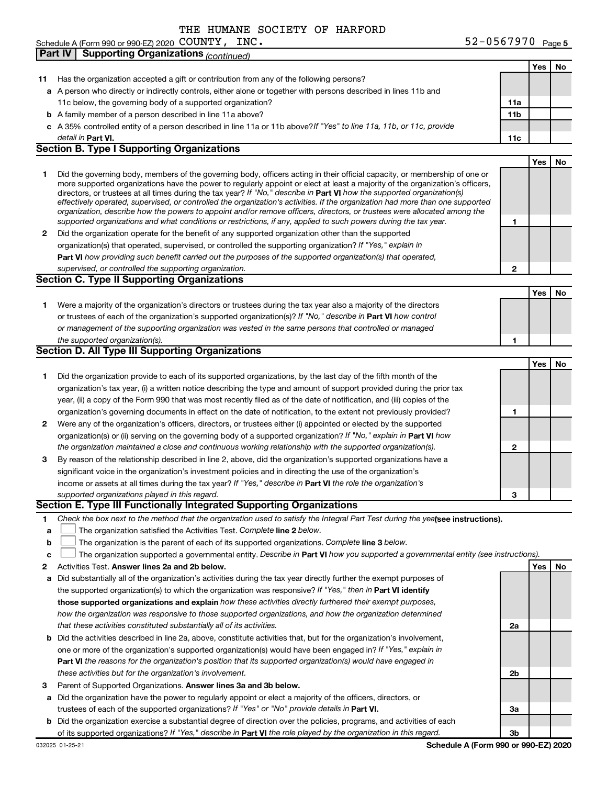52-0567970 Page 5 Schedule A (Form 990 or 990-EZ) 2020 Page COUNTY, INC. 52-0567970

|              | <b>Supporting Organizations (continued)</b><br><b>Part IV</b>                                                                                                                                                                                             |                 |     |    |
|--------------|-----------------------------------------------------------------------------------------------------------------------------------------------------------------------------------------------------------------------------------------------------------|-----------------|-----|----|
|              |                                                                                                                                                                                                                                                           |                 | Yes | No |
| 11           | Has the organization accepted a gift or contribution from any of the following persons?                                                                                                                                                                   |                 |     |    |
|              | a A person who directly or indirectly controls, either alone or together with persons described in lines 11b and                                                                                                                                          |                 |     |    |
|              | 11c below, the governing body of a supported organization?                                                                                                                                                                                                | 11a             |     |    |
|              | <b>b</b> A family member of a person described in line 11a above?                                                                                                                                                                                         | 11 <sub>b</sub> |     |    |
|              | c A 35% controlled entity of a person described in line 11a or 11b above?If "Yes" to line 11a, 11b, or 11c, provide                                                                                                                                       |                 |     |    |
|              | detail in Part VI.                                                                                                                                                                                                                                        | 11c             |     |    |
|              | <b>Section B. Type I Supporting Organizations</b>                                                                                                                                                                                                         |                 |     |    |
|              |                                                                                                                                                                                                                                                           |                 | Yes | No |
| 1            | Did the governing body, members of the governing body, officers acting in their official capacity, or membership of one or                                                                                                                                |                 |     |    |
|              | more supported organizations have the power to regularly appoint or elect at least a majority of the organization's officers,                                                                                                                             |                 |     |    |
|              | directors, or trustees at all times during the tax year? If "No," describe in Part VI how the supported organization(s)<br>effectively operated, supervised, or controlled the organization's activities. If the organization had more than one supported |                 |     |    |
|              | organization, describe how the powers to appoint and/or remove officers, directors, or trustees were allocated among the                                                                                                                                  |                 |     |    |
|              | supported organizations and what conditions or restrictions, if any, applied to such powers during the tax year.                                                                                                                                          | 1               |     |    |
| 2            | Did the organization operate for the benefit of any supported organization other than the supported                                                                                                                                                       |                 |     |    |
|              | organization(s) that operated, supervised, or controlled the supporting organization? If "Yes," explain in                                                                                                                                                |                 |     |    |
|              | Part VI how providing such benefit carried out the purposes of the supported organization(s) that operated,                                                                                                                                               |                 |     |    |
|              | supervised, or controlled the supporting organization.                                                                                                                                                                                                    | $\mathbf{2}$    |     |    |
|              | <b>Section C. Type II Supporting Organizations</b>                                                                                                                                                                                                        |                 |     |    |
|              |                                                                                                                                                                                                                                                           |                 | Yes | No |
| 1.           | Were a majority of the organization's directors or trustees during the tax year also a majority of the directors                                                                                                                                          |                 |     |    |
|              | or trustees of each of the organization's supported organization(s)? If "No," describe in Part VI how control                                                                                                                                             |                 |     |    |
|              | or management of the supporting organization was vested in the same persons that controlled or managed                                                                                                                                                    |                 |     |    |
|              | the supported organization(s).                                                                                                                                                                                                                            | 1               |     |    |
|              | Section D. All Type III Supporting Organizations                                                                                                                                                                                                          |                 |     |    |
|              |                                                                                                                                                                                                                                                           |                 | Yes | No |
| 1            | Did the organization provide to each of its supported organizations, by the last day of the fifth month of the                                                                                                                                            |                 |     |    |
|              | organization's tax year, (i) a written notice describing the type and amount of support provided during the prior tax                                                                                                                                     |                 |     |    |
|              | year, (ii) a copy of the Form 990 that was most recently filed as of the date of notification, and (iii) copies of the                                                                                                                                    |                 |     |    |
|              | organization's governing documents in effect on the date of notification, to the extent not previously provided?                                                                                                                                          | 1               |     |    |
| $\mathbf{2}$ | Were any of the organization's officers, directors, or trustees either (i) appointed or elected by the supported                                                                                                                                          |                 |     |    |
|              | organization(s) or (ii) serving on the governing body of a supported organization? If "No," explain in Part VI how                                                                                                                                        |                 |     |    |
|              | the organization maintained a close and continuous working relationship with the supported organization(s).                                                                                                                                               | $\mathbf{2}$    |     |    |
| 3            | By reason of the relationship described in line 2, above, did the organization's supported organizations have a                                                                                                                                           |                 |     |    |
|              | significant voice in the organization's investment policies and in directing the use of the organization's                                                                                                                                                |                 |     |    |
|              | income or assets at all times during the tax year? If "Yes," describe in Part VI the role the organization's                                                                                                                                              |                 |     |    |
|              | supported organizations played in this regard.                                                                                                                                                                                                            | 3               |     |    |
|              | Section E. Type III Functionally Integrated Supporting Organizations                                                                                                                                                                                      |                 |     |    |
| 1.           | Check the box next to the method that the organization used to satisfy the Integral Part Test during the yealsee instructions).                                                                                                                           |                 |     |    |
| a            | The organization satisfied the Activities Test. Complete line 2 below.                                                                                                                                                                                    |                 |     |    |
| b            | The organization is the parent of each of its supported organizations. Complete line 3 below.                                                                                                                                                             |                 |     |    |
| c            | The organization supported a governmental entity. Describe in Part VI how you supported a governmental entity (see instructions).                                                                                                                         |                 |     |    |
| 2            | Activities Test. Answer lines 2a and 2b below.                                                                                                                                                                                                            |                 | Yes | No |
| а            | Did substantially all of the organization's activities during the tax year directly further the exempt purposes of                                                                                                                                        |                 |     |    |
|              | the supported organization(s) to which the organization was responsive? If "Yes," then in Part VI identify                                                                                                                                                |                 |     |    |
|              | those supported organizations and explain how these activities directly furthered their exempt purposes,                                                                                                                                                  |                 |     |    |
|              | how the organization was responsive to those supported organizations, and how the organization determined                                                                                                                                                 |                 |     |    |
|              | that these activities constituted substantially all of its activities.                                                                                                                                                                                    | 2a              |     |    |
| b            | Did the activities described in line 2a, above, constitute activities that, but for the organization's involvement,                                                                                                                                       |                 |     |    |
|              | one or more of the organization's supported organization(s) would have been engaged in? If "Yes," explain in                                                                                                                                              |                 |     |    |
|              | Part VI the reasons for the organization's position that its supported organization(s) would have engaged in                                                                                                                                              |                 |     |    |
|              | these activities but for the organization's involvement.                                                                                                                                                                                                  | 2b              |     |    |
| 3            | Parent of Supported Organizations. Answer lines 3a and 3b below.                                                                                                                                                                                          |                 |     |    |
| а            | Did the organization have the power to regularly appoint or elect a majority of the officers, directors, or                                                                                                                                               |                 |     |    |
|              | trustees of each of the supported organizations? If "Yes" or "No" provide details in Part VI.                                                                                                                                                             | За              |     |    |
| b            | Did the organization exercise a substantial degree of direction over the policies, programs, and activities of each                                                                                                                                       |                 |     |    |
|              | of its supported organizations? If "Yes," describe in Part VI the role played by the organization in this regard.<br>Schedule A (Form 990 or 990-EZ) 2020                                                                                                 | Зb              |     |    |
|              | 032025 01-25-21                                                                                                                                                                                                                                           |                 |     |    |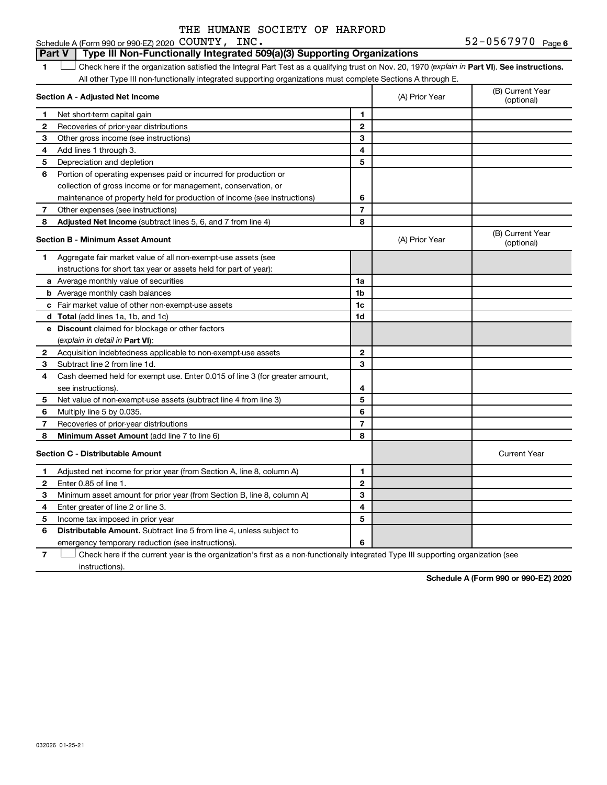#### 1 **Luding Check here if the organization satisfied the Integral Part Test as a qualifying trust on Nov. 20, 1970 (explain in Part VI). See instructions. Section A - Adjusted Net Income 1 2 3 4 5 6 7 8 1 2 3 4 5 6 7 Adjusted Net Income** (subtract lines 5, 6, and 7 from line 4) **8 8 Section B - Minimum Asset Amount 1 2 3 4 5 6 7 8 a** Average monthly value of securities **b** Average monthly cash balances **c** Fair market value of other non-exempt-use assets **d Total**  (add lines 1a, 1b, and 1c) **e Discount** claimed for blockage or other factors **1a 1b 1c 1d 2 3 4 5 6 7 8** (explain in detail in Part VI): **Minimum Asset Amount**  (add line 7 to line 6) **Section C - Distributable Amount 1 2 3 4 1 2 3 4** Schedule A (Form 990 or 990-EZ) 2020  $\mathtt{COUNTY}$ ,  $\mathtt{INC.}$   $\mathtt{S2-0567970}$   $\mathtt{Page}$ All other Type III non-functionally integrated supporting organizations must complete Sections A through E. (B) Current Year (A) Prior Year Net short-term capital gain Recoveries of prior-year distributions Other gross income (see instructions) Add lines 1 through 3. Depreciation and depletion Portion of operating expenses paid or incurred for production or collection of gross income or for management, conservation, or maintenance of property held for production of income (see instructions) Other expenses (see instructions) (B) Current Year  $(A)$  Prior Year  $\left\{\n\begin{array}{ccc}\n\end{array}\n\right\}$  (optional) Aggregate fair market value of all non-exempt-use assets (see instructions for short tax year or assets held for part of year): Acquisition indebtedness applicable to non-exempt-use assets Subtract line 2 from line 1d. Cash deemed held for exempt use. Enter 0.015 of line 3 (for greater amount, see instructions). Net value of non-exempt-use assets (subtract line 4 from line 3) Multiply line 5 by 0.035. Recoveries of prior-year distributions Current Year Adjusted net income for prior year (from Section A, line 8, column A) Enter 0.85 of line 1. Minimum asset amount for prior year (from Section B, line 8, column A) Enter greater of line 2 or line 3. **Part V** Type III Non-Functionally Integrated 509(a)(3) Supporting Organizations  $\mathbf{f}(\mathbf{r})$

**6** Distributable Amount. Subtract line 5 from line 4, unless subject to emergency temporary reduction (see instructions).

Income tax imposed in prior year

**7** Check here if the current year is the organization's first as a non-functionally integrated Type III supporting organization (see instructions).

**5**

**6**

**Schedule A (Form 990 or 990-EZ) 2020**

**5**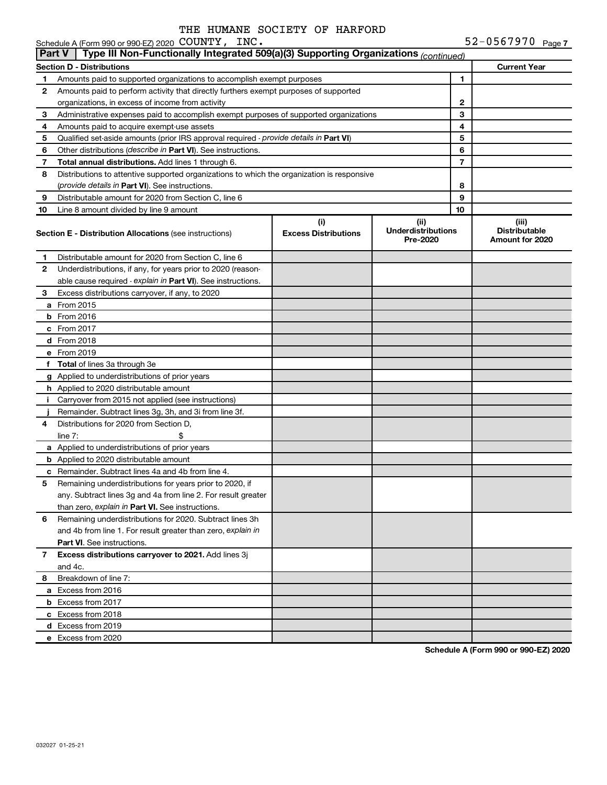|               | Schedule A (Form 990 or 990-EZ) 2020 COUNTY, INC.                                          |                                    |                                                |                | 52-0567970 Page7                                 |
|---------------|--------------------------------------------------------------------------------------------|------------------------------------|------------------------------------------------|----------------|--------------------------------------------------|
| <b>Part V</b> | Type III Non-Functionally Integrated 509(a)(3) Supporting Organizations (continued)        |                                    |                                                |                |                                                  |
|               | <b>Section D - Distributions</b>                                                           |                                    |                                                |                | <b>Current Year</b>                              |
| 1             | Amounts paid to supported organizations to accomplish exempt purposes                      |                                    |                                                | 1              |                                                  |
| 2             | Amounts paid to perform activity that directly furthers exempt purposes of supported       |                                    |                                                |                |                                                  |
|               | organizations, in excess of income from activity                                           |                                    |                                                | 2              |                                                  |
| 3             | Administrative expenses paid to accomplish exempt purposes of supported organizations      |                                    |                                                | 3              |                                                  |
| 4             | Amounts paid to acquire exempt-use assets                                                  |                                    |                                                | 4              |                                                  |
| 5             | Qualified set-aside amounts (prior IRS approval required - provide details in Part VI)     |                                    |                                                | 5              |                                                  |
| 6             | Other distributions (describe in Part VI). See instructions.                               |                                    |                                                | 6              |                                                  |
| 7             | Total annual distributions. Add lines 1 through 6.                                         |                                    |                                                | $\overline{7}$ |                                                  |
| 8             | Distributions to attentive supported organizations to which the organization is responsive |                                    |                                                |                |                                                  |
|               | (provide details in Part VI). See instructions.                                            |                                    |                                                | 8              |                                                  |
| 9             | Distributable amount for 2020 from Section C, line 6                                       |                                    |                                                | 9              |                                                  |
| 10            | Line 8 amount divided by line 9 amount                                                     |                                    |                                                | 10             |                                                  |
|               | <b>Section E - Distribution Allocations (see instructions)</b>                             | (i)<br><b>Excess Distributions</b> | (iii)<br><b>Underdistributions</b><br>Pre-2020 |                | (iii)<br><b>Distributable</b><br>Amount for 2020 |
| 1.            | Distributable amount for 2020 from Section C, line 6                                       |                                    |                                                |                |                                                  |
| 2             | Underdistributions, if any, for years prior to 2020 (reason-                               |                                    |                                                |                |                                                  |
|               | able cause required - explain in Part VI). See instructions.                               |                                    |                                                |                |                                                  |
| 3             | Excess distributions carryover, if any, to 2020                                            |                                    |                                                |                |                                                  |
|               | a From 2015                                                                                |                                    |                                                |                |                                                  |
|               | $b$ From 2016                                                                              |                                    |                                                |                |                                                  |
|               | c From 2017                                                                                |                                    |                                                |                |                                                  |
|               | <b>d</b> From 2018                                                                         |                                    |                                                |                |                                                  |
|               | e From 2019                                                                                |                                    |                                                |                |                                                  |
|               | f Total of lines 3a through 3e                                                             |                                    |                                                |                |                                                  |
|               | g Applied to underdistributions of prior years                                             |                                    |                                                |                |                                                  |
|               | h Applied to 2020 distributable amount                                                     |                                    |                                                |                |                                                  |
|               | <i>i</i> Carryover from 2015 not applied (see instructions)                                |                                    |                                                |                |                                                  |
|               | Remainder. Subtract lines 3g, 3h, and 3i from line 3f.                                     |                                    |                                                |                |                                                  |
| 4             | Distributions for 2020 from Section D,                                                     |                                    |                                                |                |                                                  |
|               | line $7:$<br>\$                                                                            |                                    |                                                |                |                                                  |
|               | a Applied to underdistributions of prior years                                             |                                    |                                                |                |                                                  |
|               | <b>b</b> Applied to 2020 distributable amount                                              |                                    |                                                |                |                                                  |
|               | c Remainder. Subtract lines 4a and 4b from line 4.                                         |                                    |                                                |                |                                                  |
| 5             | Remaining underdistributions for years prior to 2020, if                                   |                                    |                                                |                |                                                  |
|               | any. Subtract lines 3g and 4a from line 2. For result greater                              |                                    |                                                |                |                                                  |
|               | than zero, explain in Part VI. See instructions.                                           |                                    |                                                |                |                                                  |
| 6             | Remaining underdistributions for 2020. Subtract lines 3h                                   |                                    |                                                |                |                                                  |
|               | and 4b from line 1. For result greater than zero, explain in                               |                                    |                                                |                |                                                  |
|               | Part VI. See instructions.                                                                 |                                    |                                                |                |                                                  |
| 7             | Excess distributions carryover to 2021. Add lines 3j                                       |                                    |                                                |                |                                                  |
|               | and 4c.                                                                                    |                                    |                                                |                |                                                  |
| 8             | Breakdown of line 7:                                                                       |                                    |                                                |                |                                                  |
|               | a Excess from 2016                                                                         |                                    |                                                |                |                                                  |
|               | <b>b</b> Excess from 2017                                                                  |                                    |                                                |                |                                                  |
|               | c Excess from 2018                                                                         |                                    |                                                |                |                                                  |
|               | d Excess from 2019                                                                         |                                    |                                                |                |                                                  |
|               | e Excess from 2020                                                                         |                                    |                                                |                |                                                  |
|               |                                                                                            |                                    |                                                |                |                                                  |

**Schedule A (Form 990 or 990-EZ) 2020**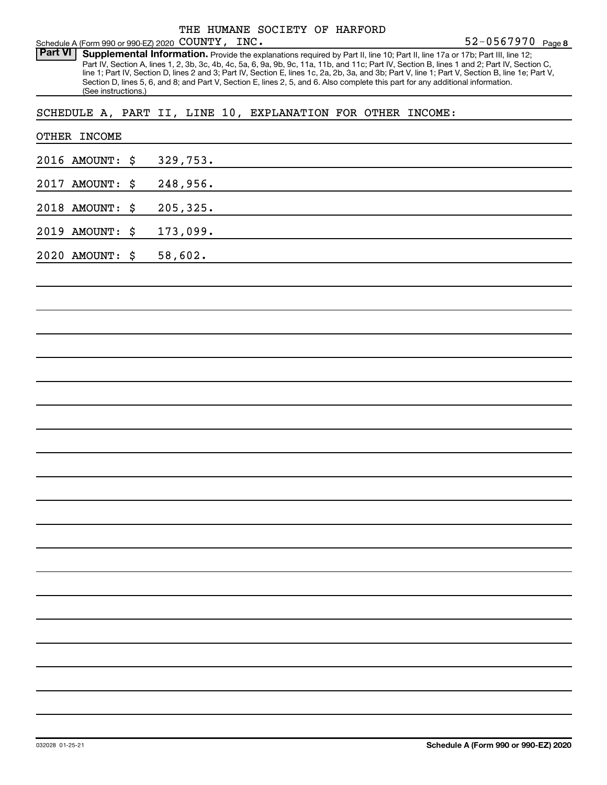Schedule A (Form 990 or 990-EZ) 2020 COUNTY,  $\overline{L}$  INC.<br>**Part VI Supplemental Information**, Provide the exp Part VI | Supplemental Information. Provide the explanations required by Part II, line 10; Part II, line 17a or 17b; Part III, line 12; Part IV, Section A, lines 1, 2, 3b, 3c, 4b, 4c, 5a, 6, 9a, 9b, 9c, 11a, 11b, and 11c; Part IV, Section B, lines 1 and 2; Part IV, Section C, line 1; Part IV, Section D, lines 2 and 3; Part IV, Section E, lines 1c, 2a, 2b, 3a, and 3b; Part V, line 1; Part V, Section B, line 1e; Part V, Section D, lines 5, 6, and 8; and Part V, Section E, lines 2, 5, and 6. Also complete this part for any additional information. (See instructions.)

SCHEDULE A, PART II, LINE 10, EXPLANATION FOR OTHER INCOME:

| OTHER INCOME       |           |
|--------------------|-----------|
| 2016 AMOUNT: \$    | 329,753.  |
| 2017 AMOUNT:<br>\$ | 248,956.  |
| 2018 AMOUNT:<br>\$ | 205, 325. |
| 2019 AMOUNT: \$    | 173,099.  |
| 2020 AMOUNT: \$    | 58,602.   |
|                    |           |
|                    |           |
|                    |           |
|                    |           |
|                    |           |
|                    |           |
|                    |           |
|                    |           |
|                    |           |
|                    |           |
|                    |           |
|                    |           |
|                    |           |
|                    |           |
|                    |           |
|                    |           |
|                    |           |
|                    |           |
|                    |           |
|                    |           |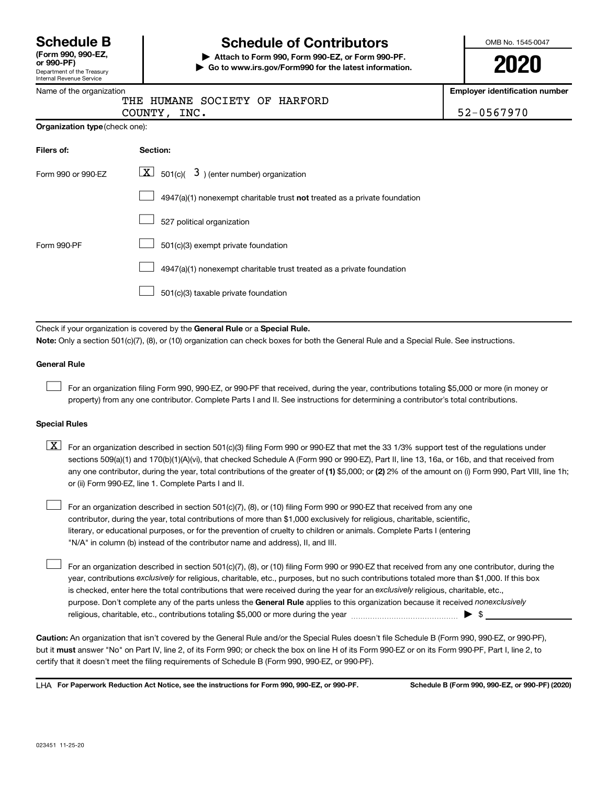| <b>Schedule B</b>           |  |
|-----------------------------|--|
| $T_{\rm arm}$ 000 000 $E$ 7 |  |

# Department of the Treasury **(Form 990, 990-EZ,**

# Internal Revenue Service

# **Schedule of Contributors**

**or 990-PF) | Attach to Form 990, Form 990-EZ, or Form 990-PF. | Go to www.irs.gov/Form990 for the latest information.** OMB No. 1545-0047

**2020**

**Employer identification number**

| Name of the organization |                               |  |
|--------------------------|-------------------------------|--|
|                          | THE HUMANE SOCIETY OF HARFORD |  |

COUNTY, INC. 52-0567970

| Filers of:         | Section:                                                                           |
|--------------------|------------------------------------------------------------------------------------|
| Form 990 or 990-EZ | $\boxed{\textbf{X}}$ 501(c)( 3) (enter number) organization                        |
|                    | $4947(a)(1)$ nonexempt charitable trust <b>not</b> treated as a private foundation |
|                    | 527 political organization                                                         |
| Form 990-PF        | 501(c)(3) exempt private foundation                                                |
|                    | 4947(a)(1) nonexempt charitable trust treated as a private foundation              |
|                    | 501(c)(3) taxable private foundation                                               |

Check if your organization is covered by the General Rule or a Special Rule.

**Note:**  Only a section 501(c)(7), (8), or (10) organization can check boxes for both the General Rule and a Special Rule. See instructions.

### **General Rule**

 $\mathcal{L}^{\text{eff}}$ 

 $\mathcal{L}^{\text{eff}}$ 

For an organization filing Form 990, 990-EZ, or 990-PF that received, during the year, contributions totaling \$5,000 or more (in money or property) from any one contributor. Complete Parts I and II. See instructions for determining a contributor's total contributions.

### **Special Rules**

any one contributor, during the year, total contributions of the greater of (1) \$5,000; or (2) 2% of the amount on (i) Form 990, Part VIII, line 1h;  $\boxed{\text{X}}$  For an organization described in section 501(c)(3) filing Form 990 or 990-EZ that met the 33 1/3% support test of the regulations under sections 509(a)(1) and 170(b)(1)(A)(vi), that checked Schedule A (Form 990 or 990-EZ), Part II, line 13, 16a, or 16b, and that received from or (ii) Form 990-EZ, line 1. Complete Parts I and II.

For an organization described in section 501(c)(7), (8), or (10) filing Form 990 or 990-EZ that received from any one contributor, during the year, total contributions of more than \$1,000 exclusively for religious, charitable, scientific, literary, or educational purposes, or for the prevention of cruelty to children or animals. Complete Parts I (entering "N/A" in column (b) instead of the contributor name and address), II, and III.  $\mathcal{L}^{\text{eff}}$ 

purpose. Don't complete any of the parts unless the General Rule applies to this organization because it received nonexclusively year, contributions exclusively for religious, charitable, etc., purposes, but no such contributions totaled more than \$1,000. If this box is checked, enter here the total contributions that were received during the year for an exclusively religious, charitable, etc., For an organization described in section 501(c)(7), (8), or (10) filing Form 990 or 990-EZ that received from any one contributor, during the religious, charitable, etc., contributions totaling \$5,000 or more during the year  $~\ldots\ldots\ldots\ldots\ldots\ldots\ldots\ldots\blacktriangleright~$ \$

**Caution:**  An organization that isn't covered by the General Rule and/or the Special Rules doesn't file Schedule B (Form 990, 990-EZ, or 990-PF),  **must** but it answer "No" on Part IV, line 2, of its Form 990; or check the box on line H of its Form 990-EZ or on its Form 990-PF, Part I, line 2, to certify that it doesn't meet the filing requirements of Schedule B (Form 990, 990-EZ, or 990-PF).

**For Paperwork Reduction Act Notice, see the instructions for Form 990, 990-EZ, or 990-PF. Schedule B (Form 990, 990-EZ, or 990-PF) (2020)** LHA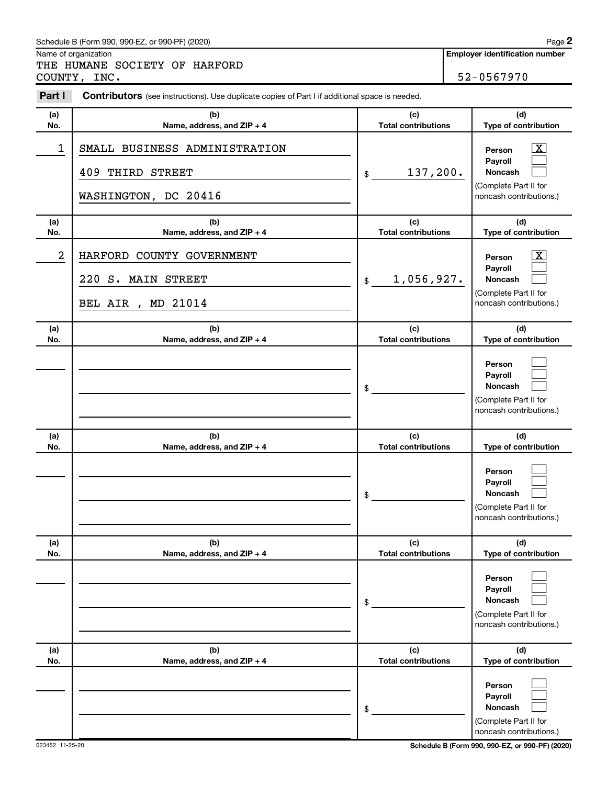#### Schedule B (Form 990, 990-EZ, or 990-PF) (2020)

Name of organization

THE HUMANE SOCIETY OF HARFORD COUNTY, INC. 52-0567970

| Part I     | <b>Contributors</b> (see instructions). Use duplicate copies of Part I if additional space is needed. |                                   |                                                                                                                 |
|------------|-------------------------------------------------------------------------------------------------------|-----------------------------------|-----------------------------------------------------------------------------------------------------------------|
| (a)<br>No. | (b)<br>Name, address, and ZIP + 4                                                                     | (c)<br><b>Total contributions</b> | (d)<br>Type of contribution                                                                                     |
| 1          | SMALL BUSINESS ADMINISTRATION<br>409 THIRD STREET<br>WASHINGTON, DC 20416                             | 137,200.<br>\$                    | $\boxed{\textbf{X}}$<br>Person<br>Pavroll<br>Noncash<br>(Complete Part II for<br>noncash contributions.)        |
| (a)<br>No. | (b)<br>Name, address, and ZIP + 4                                                                     | (c)<br><b>Total contributions</b> | (d)<br>Type of contribution                                                                                     |
| 2          | HARFORD COUNTY GOVERNMENT<br>220 S. MAIN STREET<br>MD 21014<br>BEL AIR,                               | 1,056,927.<br>\$                  | $\overline{\mathbf{X}}$<br>Person<br>Payroll<br>Noncash<br>(Complete Part II for<br>noncash contributions.)     |
| (a)<br>No. | (b)<br>Name, address, and ZIP + 4                                                                     | (c)<br><b>Total contributions</b> | (d)<br>Type of contribution                                                                                     |
|            |                                                                                                       | \$                                | Person<br>Payroll<br>Noncash<br>(Complete Part II for<br>noncash contributions.)                                |
| (a)        | (b)                                                                                                   | (c)                               | (d)                                                                                                             |
| No.        | Name, address, and ZIP + 4                                                                            | <b>Total contributions</b><br>\$  | Type of contribution<br>Person<br>Payroll<br><b>Noncash</b><br>(Complete Part II for<br>noncash contributions.) |
| (a)<br>No. | (b)<br>Name, address, and ZIP + 4                                                                     | (c)<br><b>Total contributions</b> | (d)<br>Type of contribution                                                                                     |
|            |                                                                                                       | \$                                | Person<br>Payroll<br>Noncash<br>(Complete Part II for<br>noncash contributions.)                                |
| (a)<br>No. | (b)<br>Name, address, and ZIP + 4                                                                     | (c)<br><b>Total contributions</b> | (d)<br>Type of contribution                                                                                     |
|            |                                                                                                       | \$                                | Person<br>Payroll<br>Noncash<br>(Complete Part II for<br>noncash contributions.)                                |

**2**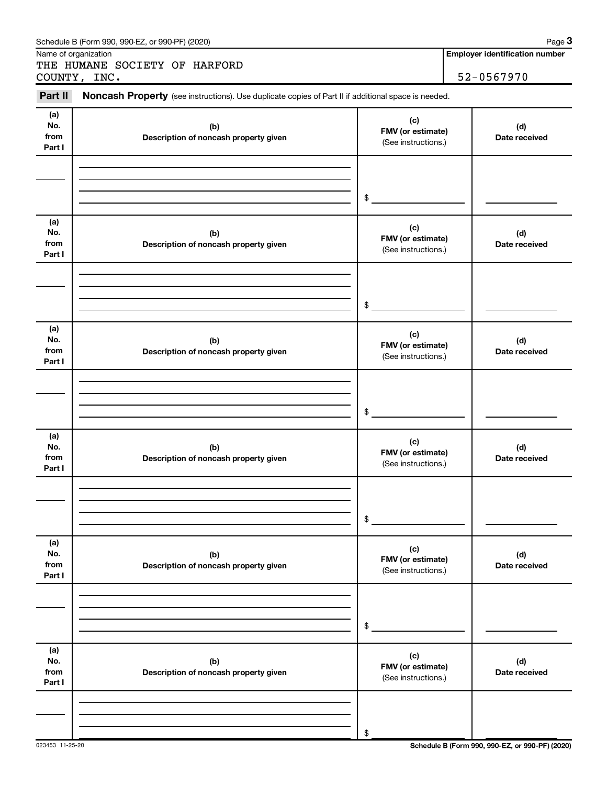|                              | Schedule B (Form 990, 990-EZ, or 990-PF) (2020)                                                     |                                                 | Page 3                                              |
|------------------------------|-----------------------------------------------------------------------------------------------------|-------------------------------------------------|-----------------------------------------------------|
|                              | Name of organization<br>THE HUMANE SOCIETY OF HARFORD<br>COUNTY, INC.                               |                                                 | <b>Employer identification number</b><br>52-0567970 |
| Part II                      | Noncash Property (see instructions). Use duplicate copies of Part II if additional space is needed. |                                                 |                                                     |
| (a)<br>No.<br>from<br>Part I | (c)<br>(b)<br>FMV (or estimate)<br>Description of noncash property given<br>(See instructions.)     |                                                 | (d)<br>Date received                                |
|                              |                                                                                                     | \$                                              |                                                     |
| (a)<br>No.<br>from<br>Part I | (b)<br>Description of noncash property given                                                        | (c)<br>FMV (or estimate)<br>(See instructions.) | (d)<br>Date received                                |
|                              |                                                                                                     | \$                                              |                                                     |
| (a)<br>No.<br>from<br>Part I | (b)<br>Description of noncash property given                                                        | (c)<br>FMV (or estimate)<br>(See instructions.) | (d)<br>Date received                                |
|                              |                                                                                                     | \$                                              |                                                     |
| (a)<br>No.<br>from<br>Part I | (b)<br>Description of noncash property given                                                        | (c)<br>FMV (or estimate)<br>(See instructions.) | (d)<br>Date received                                |
|                              |                                                                                                     | \$                                              |                                                     |
| (a)<br>No.<br>from<br>Part I | (b)<br>Description of noncash property given                                                        | (c)<br>FMV (or estimate)<br>(See instructions.) | (d)<br>Date received                                |
|                              |                                                                                                     | \$                                              |                                                     |
| (a)<br>No.<br>from<br>Part I | (b)<br>Description of noncash property given                                                        | (c)<br>FMV (or estimate)<br>(See instructions.) | (d)<br>Date received                                |
|                              |                                                                                                     | \$                                              |                                                     |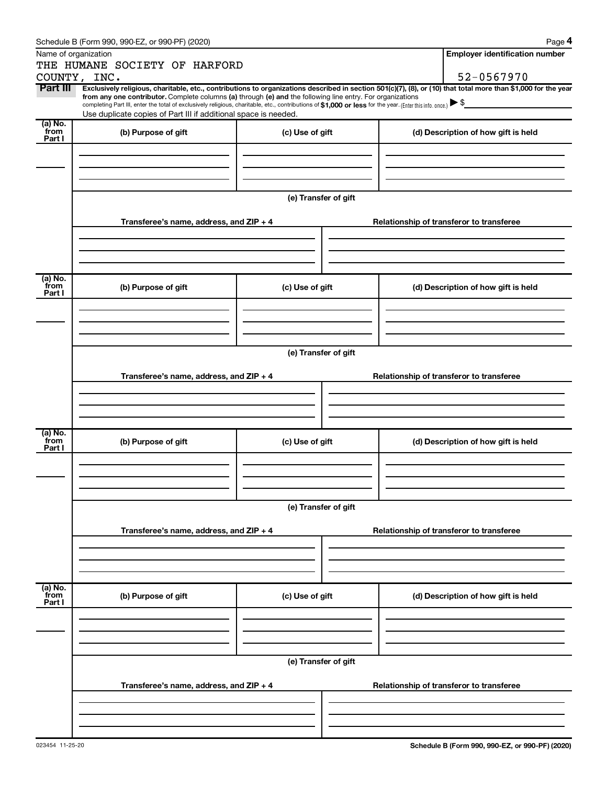|                 | Schedule B (Form 990, 990-EZ, or 990-PF) (2020)                                                                                                                                                                                                                              |                      |  |                                          | Page 4                                   |  |  |  |
|-----------------|------------------------------------------------------------------------------------------------------------------------------------------------------------------------------------------------------------------------------------------------------------------------------|----------------------|--|------------------------------------------|------------------------------------------|--|--|--|
|                 | Name of organization                                                                                                                                                                                                                                                         |                      |  |                                          | <b>Employer identification number</b>    |  |  |  |
|                 | THE HUMANE SOCIETY OF HARFORD                                                                                                                                                                                                                                                |                      |  |                                          |                                          |  |  |  |
|                 | COUNTY, INC.                                                                                                                                                                                                                                                                 |                      |  |                                          | 52-0567970                               |  |  |  |
| Part III        | Exclusively religious, charitable, etc., contributions to organizations described in section 501(c)(7), (8), or (10) that total more than \$1,000 for the year<br>from any one contributor. Complete columns (a) through (e) and the following line entry. For organizations |                      |  |                                          |                                          |  |  |  |
|                 | completing Part III, enter the total of exclusively religious, charitable, etc., contributions of \$1,000 or less for the year. (Enter this info. once.)                                                                                                                     |                      |  |                                          |                                          |  |  |  |
|                 | Use duplicate copies of Part III if additional space is needed.                                                                                                                                                                                                              |                      |  |                                          |                                          |  |  |  |
| (a) No.<br>from | (b) Purpose of gift                                                                                                                                                                                                                                                          | (c) Use of gift      |  |                                          | (d) Description of how gift is held      |  |  |  |
| Part I          |                                                                                                                                                                                                                                                                              |                      |  |                                          |                                          |  |  |  |
|                 |                                                                                                                                                                                                                                                                              |                      |  |                                          |                                          |  |  |  |
|                 |                                                                                                                                                                                                                                                                              |                      |  |                                          |                                          |  |  |  |
|                 |                                                                                                                                                                                                                                                                              |                      |  |                                          |                                          |  |  |  |
|                 |                                                                                                                                                                                                                                                                              | (e) Transfer of gift |  |                                          |                                          |  |  |  |
|                 |                                                                                                                                                                                                                                                                              |                      |  |                                          |                                          |  |  |  |
|                 | Transferee's name, address, and $ZIP + 4$                                                                                                                                                                                                                                    |                      |  |                                          | Relationship of transferor to transferee |  |  |  |
|                 |                                                                                                                                                                                                                                                                              |                      |  |                                          |                                          |  |  |  |
|                 |                                                                                                                                                                                                                                                                              |                      |  |                                          |                                          |  |  |  |
|                 |                                                                                                                                                                                                                                                                              |                      |  |                                          |                                          |  |  |  |
| (a) No.         |                                                                                                                                                                                                                                                                              |                      |  |                                          |                                          |  |  |  |
| from<br>Part I  | (b) Purpose of gift                                                                                                                                                                                                                                                          | (c) Use of gift      |  |                                          | (d) Description of how gift is held      |  |  |  |
|                 |                                                                                                                                                                                                                                                                              |                      |  |                                          |                                          |  |  |  |
|                 |                                                                                                                                                                                                                                                                              |                      |  |                                          |                                          |  |  |  |
|                 |                                                                                                                                                                                                                                                                              |                      |  |                                          |                                          |  |  |  |
|                 |                                                                                                                                                                                                                                                                              |                      |  |                                          |                                          |  |  |  |
|                 | (e) Transfer of gift                                                                                                                                                                                                                                                         |                      |  |                                          |                                          |  |  |  |
|                 | Transferee's name, address, and ZIP + 4                                                                                                                                                                                                                                      |                      |  | Relationship of transferor to transferee |                                          |  |  |  |
|                 |                                                                                                                                                                                                                                                                              |                      |  |                                          |                                          |  |  |  |
|                 |                                                                                                                                                                                                                                                                              |                      |  |                                          |                                          |  |  |  |
|                 |                                                                                                                                                                                                                                                                              |                      |  |                                          |                                          |  |  |  |
|                 |                                                                                                                                                                                                                                                                              |                      |  |                                          |                                          |  |  |  |
| (a) No.<br>from | (b) Purpose of gift                                                                                                                                                                                                                                                          | (c) Use of gift      |  |                                          | (d) Description of how gift is held      |  |  |  |
| Part I          |                                                                                                                                                                                                                                                                              |                      |  |                                          |                                          |  |  |  |
|                 |                                                                                                                                                                                                                                                                              |                      |  |                                          |                                          |  |  |  |
|                 |                                                                                                                                                                                                                                                                              |                      |  |                                          |                                          |  |  |  |
|                 |                                                                                                                                                                                                                                                                              |                      |  |                                          |                                          |  |  |  |
|                 |                                                                                                                                                                                                                                                                              | (e) Transfer of gift |  |                                          |                                          |  |  |  |
|                 |                                                                                                                                                                                                                                                                              |                      |  |                                          |                                          |  |  |  |
|                 | Transferee's name, address, and ZIP + 4                                                                                                                                                                                                                                      |                      |  |                                          | Relationship of transferor to transferee |  |  |  |
|                 |                                                                                                                                                                                                                                                                              |                      |  |                                          |                                          |  |  |  |
|                 |                                                                                                                                                                                                                                                                              |                      |  |                                          |                                          |  |  |  |
|                 |                                                                                                                                                                                                                                                                              |                      |  |                                          |                                          |  |  |  |
| (a) No.<br>from |                                                                                                                                                                                                                                                                              |                      |  |                                          |                                          |  |  |  |
| Part I          | (b) Purpose of gift                                                                                                                                                                                                                                                          | (c) Use of gift      |  |                                          | (d) Description of how gift is held      |  |  |  |
|                 |                                                                                                                                                                                                                                                                              |                      |  |                                          |                                          |  |  |  |
|                 |                                                                                                                                                                                                                                                                              |                      |  |                                          |                                          |  |  |  |
|                 |                                                                                                                                                                                                                                                                              |                      |  |                                          |                                          |  |  |  |
|                 |                                                                                                                                                                                                                                                                              | (e) Transfer of gift |  |                                          |                                          |  |  |  |
|                 |                                                                                                                                                                                                                                                                              |                      |  |                                          |                                          |  |  |  |
|                 | Transferee's name, address, and $ZIP + 4$                                                                                                                                                                                                                                    |                      |  |                                          | Relationship of transferor to transferee |  |  |  |
|                 |                                                                                                                                                                                                                                                                              |                      |  |                                          |                                          |  |  |  |
|                 |                                                                                                                                                                                                                                                                              |                      |  |                                          |                                          |  |  |  |
|                 |                                                                                                                                                                                                                                                                              |                      |  |                                          |                                          |  |  |  |
|                 |                                                                                                                                                                                                                                                                              |                      |  |                                          |                                          |  |  |  |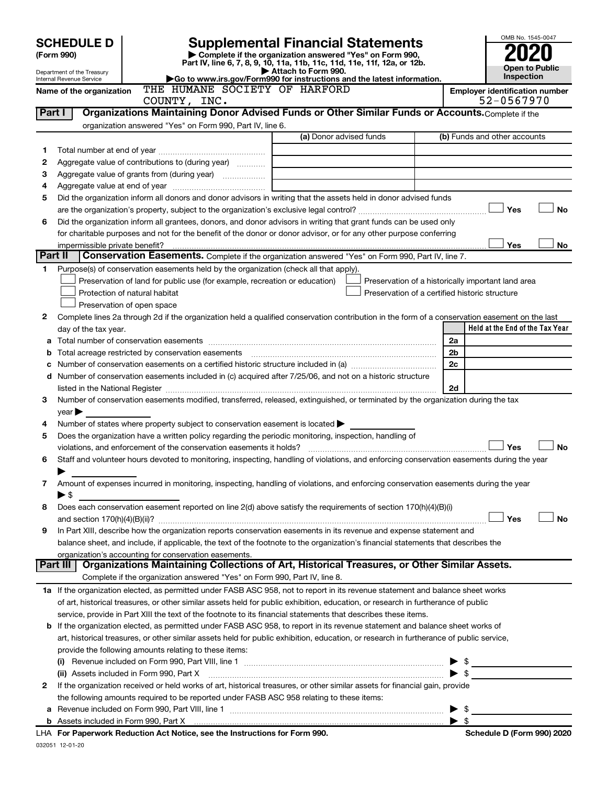| <b>SCHEDULE D</b><br>(Form 990)<br>Department of the Treasury<br>Internal Revenue Service | OMB No. 1545-0047<br><b>Open to Public</b><br>Inspection                                                                                                                                                                      |                                                    |                          |                                       |
|-------------------------------------------------------------------------------------------|-------------------------------------------------------------------------------------------------------------------------------------------------------------------------------------------------------------------------------|----------------------------------------------------|--------------------------|---------------------------------------|
|                                                                                           | THE HUMANE SOCIETY OF HARFORD<br>Name of the organization                                                                                                                                                                     |                                                    |                          | <b>Employer identification number</b> |
| Part I                                                                                    | COUNTY, INC.<br>Organizations Maintaining Donor Advised Funds or Other Similar Funds or Accounts. Complete if the                                                                                                             |                                                    |                          | 52-0567970                            |
|                                                                                           | organization answered "Yes" on Form 990, Part IV, line 6.                                                                                                                                                                     |                                                    |                          |                                       |
|                                                                                           |                                                                                                                                                                                                                               | (a) Donor advised funds                            |                          | (b) Funds and other accounts          |
| 1                                                                                         |                                                                                                                                                                                                                               |                                                    |                          |                                       |
| 2                                                                                         | Aggregate value of contributions to (during year)                                                                                                                                                                             |                                                    |                          |                                       |
| з                                                                                         |                                                                                                                                                                                                                               |                                                    |                          |                                       |
| 4                                                                                         |                                                                                                                                                                                                                               |                                                    |                          |                                       |
| 5                                                                                         | Did the organization inform all donors and donor advisors in writing that the assets held in donor advised funds                                                                                                              |                                                    |                          |                                       |
|                                                                                           |                                                                                                                                                                                                                               |                                                    |                          | Yes<br>No                             |
| 6                                                                                         | Did the organization inform all grantees, donors, and donor advisors in writing that grant funds can be used only                                                                                                             |                                                    |                          |                                       |
|                                                                                           | for charitable purposes and not for the benefit of the donor or donor advisor, or for any other purpose conferring<br>impermissible private benefit?                                                                          |                                                    |                          | Yes<br>No.                            |
| Part II                                                                                   | Conservation Easements. Complete if the organization answered "Yes" on Form 990, Part IV, line 7.                                                                                                                             |                                                    |                          |                                       |
| 1                                                                                         | Purpose(s) of conservation easements held by the organization (check all that apply).                                                                                                                                         |                                                    |                          |                                       |
|                                                                                           | Preservation of land for public use (for example, recreation or education)                                                                                                                                                    | Preservation of a historically important land area |                          |                                       |
|                                                                                           | Protection of natural habitat                                                                                                                                                                                                 | Preservation of a certified historic structure     |                          |                                       |
|                                                                                           | Preservation of open space                                                                                                                                                                                                    |                                                    |                          |                                       |
| 2                                                                                         | Complete lines 2a through 2d if the organization held a qualified conservation contribution in the form of a conservation easement on the last                                                                                |                                                    |                          |                                       |
|                                                                                           | day of the tax year.                                                                                                                                                                                                          |                                                    |                          | Held at the End of the Tax Year       |
|                                                                                           |                                                                                                                                                                                                                               |                                                    | 2a                       |                                       |
|                                                                                           | Total acreage restricted by conservation easements                                                                                                                                                                            |                                                    | 2 <sub>b</sub><br>2c     |                                       |
| d                                                                                         | Number of conservation easements included in (c) acquired after 7/25/06, and not on a historic structure                                                                                                                      |                                                    |                          |                                       |
|                                                                                           | listed in the National Register [111] Marshall Register [11] Marshall Register [11] Marshall Register [11] Marshall Register [11] Marshall Register [11] Marshall Register [11] Marshall Register [11] Marshall Register [11] |                                                    | 2d                       |                                       |
| з                                                                                         | Number of conservation easements modified, transferred, released, extinguished, or terminated by the organization during the tax                                                                                              |                                                    |                          |                                       |
|                                                                                           | $\vee$ ear $\blacktriangleright$                                                                                                                                                                                              |                                                    |                          |                                       |
| 4                                                                                         | Number of states where property subject to conservation easement is located $\blacktriangleright$                                                                                                                             |                                                    |                          |                                       |
| 5                                                                                         | Does the organization have a written policy regarding the periodic monitoring, inspection, handling of                                                                                                                        |                                                    |                          |                                       |
|                                                                                           | violations, and enforcement of the conservation easements it holds?                                                                                                                                                           |                                                    |                          | Yes<br>No                             |
| 6                                                                                         | Staff and volunteer hours devoted to monitoring, inspecting, handling of violations, and enforcing conservation easements during the year                                                                                     |                                                    |                          |                                       |
| 7                                                                                         | Amount of expenses incurred in monitoring, inspecting, handling of violations, and enforcing conservation easements during the year                                                                                           |                                                    |                          |                                       |
|                                                                                           | ▶ \$                                                                                                                                                                                                                          |                                                    |                          |                                       |
| 8                                                                                         | Does each conservation easement reported on line 2(d) above satisfy the requirements of section 170(h)(4)(B)(i)                                                                                                               |                                                    |                          |                                       |
|                                                                                           | and section $170(h)(4)(B)(ii)?$                                                                                                                                                                                               |                                                    |                          | Yes<br>No                             |
| 9                                                                                         | In Part XIII, describe how the organization reports conservation easements in its revenue and expense statement and                                                                                                           |                                                    |                          |                                       |
|                                                                                           | balance sheet, and include, if applicable, the text of the footnote to the organization's financial statements that describes the                                                                                             |                                                    |                          |                                       |
|                                                                                           | organization's accounting for conservation easements.<br>Organizations Maintaining Collections of Art, Historical Treasures, or Other Similar Assets.<br>Part III                                                             |                                                    |                          |                                       |
|                                                                                           | Complete if the organization answered "Yes" on Form 990, Part IV, line 8.                                                                                                                                                     |                                                    |                          |                                       |
|                                                                                           | 1a If the organization elected, as permitted under FASB ASC 958, not to report in its revenue statement and balance sheet works                                                                                               |                                                    |                          |                                       |
|                                                                                           | of art, historical treasures, or other similar assets held for public exhibition, education, or research in furtherance of public                                                                                             |                                                    |                          |                                       |
|                                                                                           | service, provide in Part XIII the text of the footnote to its financial statements that describes these items.                                                                                                                |                                                    |                          |                                       |
|                                                                                           | <b>b</b> If the organization elected, as permitted under FASB ASC 958, to report in its revenue statement and balance sheet works of                                                                                          |                                                    |                          |                                       |
|                                                                                           | art, historical treasures, or other similar assets held for public exhibition, education, or research in furtherance of public service,                                                                                       |                                                    |                          |                                       |
|                                                                                           | provide the following amounts relating to these items:                                                                                                                                                                        |                                                    |                          |                                       |
|                                                                                           | Revenue included on Form 990, Part VIII, line 1 [2000] [2000] [2000] [2000] [2000] [2000] [2000] [2000] [2000                                                                                                                 |                                                    |                          |                                       |
|                                                                                           | (ii) Assets included in Form 990, Part X                                                                                                                                                                                      |                                                    | $\blacktriangleright$ \$ |                                       |
| 2                                                                                         | If the organization received or held works of art, historical treasures, or other similar assets for financial gain, provide                                                                                                  |                                                    |                          |                                       |
|                                                                                           | the following amounts required to be reported under FASB ASC 958 relating to these items:                                                                                                                                     |                                                    |                          |                                       |
|                                                                                           |                                                                                                                                                                                                                               |                                                    |                          |                                       |
|                                                                                           |                                                                                                                                                                                                                               |                                                    | $\blacktriangleright$ s  |                                       |

| LHA For Paperwork Reduction Act Notice, see the Instructions for Form 990. |
|----------------------------------------------------------------------------|
| 032051 12-01-20                                                            |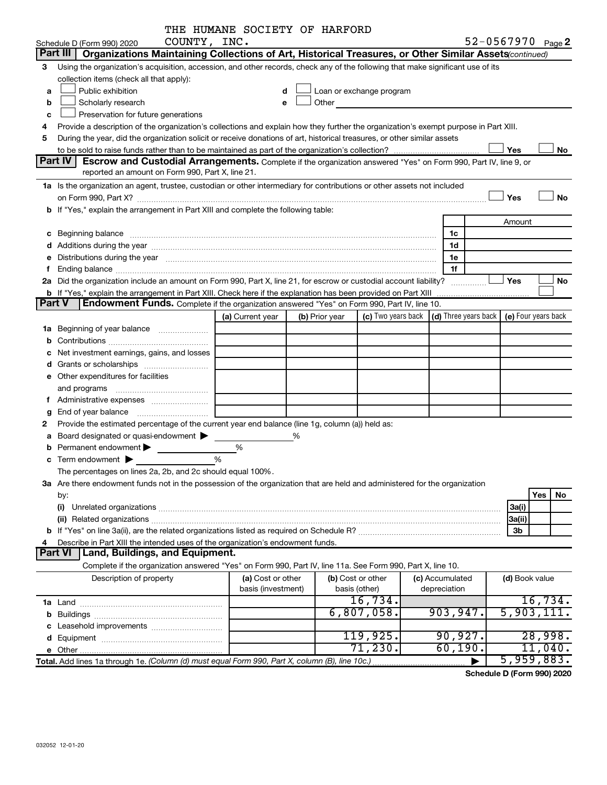|               |                                                                                                                                                                                                                                | THE HUMANE SOCIETY OF HARFORD |   |                |                                                                                                                                                                                                                               |                 |              |                                              |
|---------------|--------------------------------------------------------------------------------------------------------------------------------------------------------------------------------------------------------------------------------|-------------------------------|---|----------------|-------------------------------------------------------------------------------------------------------------------------------------------------------------------------------------------------------------------------------|-----------------|--------------|----------------------------------------------|
|               | COUNTY, INC.<br>Schedule D (Form 990) 2020                                                                                                                                                                                     |                               |   |                |                                                                                                                                                                                                                               |                 |              | 52-0567970 Page 2                            |
|               | Organizations Maintaining Collections of Art, Historical Treasures, or Other Similar Assets(continued)<br>Part III                                                                                                             |                               |   |                |                                                                                                                                                                                                                               |                 |              |                                              |
| 3             | Using the organization's acquisition, accession, and other records, check any of the following that make significant use of its                                                                                                |                               |   |                |                                                                                                                                                                                                                               |                 |              |                                              |
|               | collection items (check all that apply):                                                                                                                                                                                       |                               |   |                |                                                                                                                                                                                                                               |                 |              |                                              |
| a             | Public exhibition                                                                                                                                                                                                              | d                             |   |                | Loan or exchange program                                                                                                                                                                                                      |                 |              |                                              |
| b             | Scholarly research                                                                                                                                                                                                             | e                             |   |                | Other and the contract of the contract of the contract of the contract of the contract of the contract of the contract of the contract of the contract of the contract of the contract of the contract of the contract of the |                 |              |                                              |
| с             | Preservation for future generations                                                                                                                                                                                            |                               |   |                |                                                                                                                                                                                                                               |                 |              |                                              |
| 4             | Provide a description of the organization's collections and explain how they further the organization's exempt purpose in Part XIII.                                                                                           |                               |   |                |                                                                                                                                                                                                                               |                 |              |                                              |
| 5             | During the year, did the organization solicit or receive donations of art, historical treasures, or other similar assets                                                                                                       |                               |   |                |                                                                                                                                                                                                                               |                 |              |                                              |
|               |                                                                                                                                                                                                                                |                               |   |                |                                                                                                                                                                                                                               |                 |              | Yes<br>No                                    |
|               | Part IV<br><b>Escrow and Custodial Arrangements.</b> Complete if the organization answered "Yes" on Form 990, Part IV, line 9, or                                                                                              |                               |   |                |                                                                                                                                                                                                                               |                 |              |                                              |
|               | reported an amount on Form 990, Part X, line 21.                                                                                                                                                                               |                               |   |                |                                                                                                                                                                                                                               |                 |              |                                              |
|               | 1a Is the organization an agent, trustee, custodian or other intermediary for contributions or other assets not included                                                                                                       |                               |   |                |                                                                                                                                                                                                                               |                 |              |                                              |
|               |                                                                                                                                                                                                                                |                               |   |                |                                                                                                                                                                                                                               |                 |              | Yes<br>No                                    |
|               | b If "Yes," explain the arrangement in Part XIII and complete the following table:                                                                                                                                             |                               |   |                |                                                                                                                                                                                                                               |                 |              |                                              |
|               |                                                                                                                                                                                                                                |                               |   |                |                                                                                                                                                                                                                               |                 |              | Amount                                       |
|               |                                                                                                                                                                                                                                |                               |   |                |                                                                                                                                                                                                                               |                 | 1c           |                                              |
|               |                                                                                                                                                                                                                                |                               |   |                |                                                                                                                                                                                                                               |                 | 1d           |                                              |
| е             | Distributions during the year manufactured and an account of the state of the state of the state of the state of the state of the state of the state of the state of the state of the state of the state of the state of the s |                               |   |                |                                                                                                                                                                                                                               |                 | 1e           |                                              |
| f             |                                                                                                                                                                                                                                |                               |   |                |                                                                                                                                                                                                                               |                 | 1f           |                                              |
|               | 2a Did the organization include an amount on Form 990, Part X, line 21, for escrow or custodial account liability?                                                                                                             |                               |   |                |                                                                                                                                                                                                                               |                 | .            | Yes<br>No                                    |
|               | <b>b</b> If "Yes," explain the arrangement in Part XIII. Check here if the explanation has been provided on Part XIII                                                                                                          |                               |   |                |                                                                                                                                                                                                                               |                 |              |                                              |
| <b>Part V</b> | Endowment Funds. Complete if the organization answered "Yes" on Form 990, Part IV, line 10.                                                                                                                                    |                               |   |                |                                                                                                                                                                                                                               |                 |              |                                              |
|               |                                                                                                                                                                                                                                | (a) Current year              |   | (b) Prior year | (c) Two years back                                                                                                                                                                                                            |                 |              | (d) Three years back $ $ (e) Four years back |
|               | 1a Beginning of year balance                                                                                                                                                                                                   |                               |   |                |                                                                                                                                                                                                                               |                 |              |                                              |
| b             |                                                                                                                                                                                                                                |                               |   |                |                                                                                                                                                                                                                               |                 |              |                                              |
| с             | Net investment earnings, gains, and losses                                                                                                                                                                                     |                               |   |                |                                                                                                                                                                                                                               |                 |              |                                              |
| d             |                                                                                                                                                                                                                                |                               |   |                |                                                                                                                                                                                                                               |                 |              |                                              |
| е             | Other expenditures for facilities                                                                                                                                                                                              |                               |   |                |                                                                                                                                                                                                                               |                 |              |                                              |
|               | and programs                                                                                                                                                                                                                   |                               |   |                |                                                                                                                                                                                                                               |                 |              |                                              |
|               | Administrative expenses                                                                                                                                                                                                        |                               |   |                |                                                                                                                                                                                                                               |                 |              |                                              |
| g             |                                                                                                                                                                                                                                |                               |   |                |                                                                                                                                                                                                                               |                 |              |                                              |
| 2             | Provide the estimated percentage of the current year end balance (line 1g, column (a)) held as:                                                                                                                                |                               |   |                |                                                                                                                                                                                                                               |                 |              |                                              |
| а             | Board designated or quasi-endowment                                                                                                                                                                                            |                               | % |                |                                                                                                                                                                                                                               |                 |              |                                              |
|               | Permanent endowment >                                                                                                                                                                                                          | %                             |   |                |                                                                                                                                                                                                                               |                 |              |                                              |
|               | %<br>$c$ Term endowment $\blacktriangleright$                                                                                                                                                                                  |                               |   |                |                                                                                                                                                                                                                               |                 |              |                                              |
|               | The percentages on lines 2a, 2b, and 2c should equal 100%.                                                                                                                                                                     |                               |   |                |                                                                                                                                                                                                                               |                 |              |                                              |
|               | 3a Are there endowment funds not in the possession of the organization that are held and administered for the organization                                                                                                     |                               |   |                |                                                                                                                                                                                                                               |                 |              |                                              |
|               | by:                                                                                                                                                                                                                            |                               |   |                |                                                                                                                                                                                                                               |                 |              | Yes<br>No                                    |
|               | (i)                                                                                                                                                                                                                            |                               |   |                |                                                                                                                                                                                                                               |                 |              | 3a(i)                                        |
|               |                                                                                                                                                                                                                                |                               |   |                |                                                                                                                                                                                                                               |                 |              | 3a(ii)                                       |
|               |                                                                                                                                                                                                                                |                               |   |                |                                                                                                                                                                                                                               |                 |              | 3b                                           |
| 4             | Describe in Part XIII the intended uses of the organization's endowment funds.                                                                                                                                                 |                               |   |                |                                                                                                                                                                                                                               |                 |              |                                              |
|               | Part VI<br>Land, Buildings, and Equipment.                                                                                                                                                                                     |                               |   |                |                                                                                                                                                                                                                               |                 |              |                                              |
|               | Complete if the organization answered "Yes" on Form 990, Part IV, line 11a. See Form 990, Part X, line 10.                                                                                                                     |                               |   |                |                                                                                                                                                                                                                               |                 |              |                                              |
|               | Description of property                                                                                                                                                                                                        | (a) Cost or other             |   |                | (b) Cost or other                                                                                                                                                                                                             | (c) Accumulated |              | (d) Book value                               |
|               |                                                                                                                                                                                                                                | basis (investment)            |   |                | basis (other)                                                                                                                                                                                                                 |                 | depreciation |                                              |
|               |                                                                                                                                                                                                                                |                               |   |                | 16,734.                                                                                                                                                                                                                       |                 |              | 16,734.                                      |
|               |                                                                                                                                                                                                                                |                               |   |                | 6,807,058.                                                                                                                                                                                                                    |                 | 903,947.     | 5,903,111                                    |
| b             |                                                                                                                                                                                                                                |                               |   |                |                                                                                                                                                                                                                               |                 |              |                                              |
|               | Leasehold improvements                                                                                                                                                                                                         |                               |   |                | 119,925.                                                                                                                                                                                                                      |                 | 90,927.      | 28,998.                                      |
| d             |                                                                                                                                                                                                                                |                               |   |                | 71,230.                                                                                                                                                                                                                       |                 | 60, 190.     | $11,040$ .                                   |
|               |                                                                                                                                                                                                                                |                               |   |                |                                                                                                                                                                                                                               |                 |              | 5,959,883.                                   |
|               | Total. Add lines 1a through 1e. (Column (d) must equal Form 990, Part X, column (B), line 10c.)                                                                                                                                |                               |   |                |                                                                                                                                                                                                                               |                 |              |                                              |

**Schedule D (Form 990) 2020**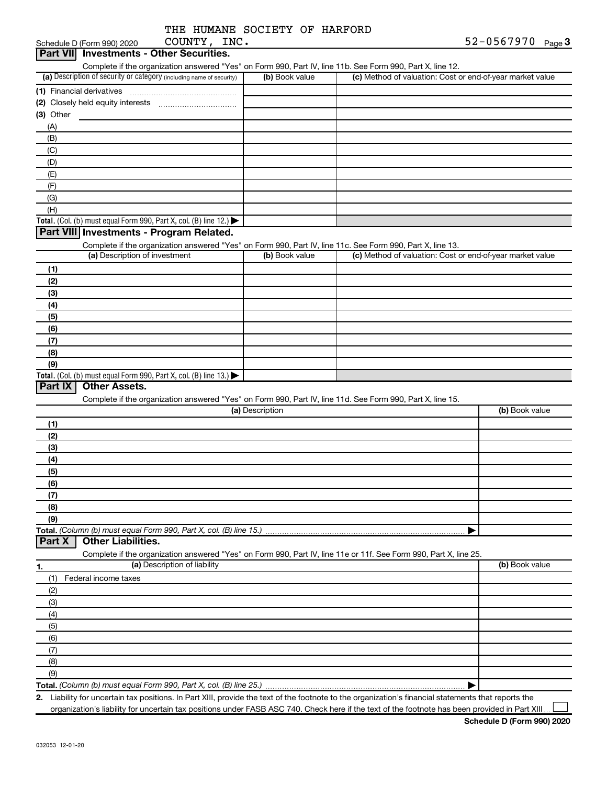|  | THE HUMANE SOCIETY OF HARFORD |  |
|--|-------------------------------|--|
|  |                               |  |

| COUNTY, INC.<br>Schedule D (Form 990) 2020                                                                        |                 |                                                           | $52 - 0567970$ Page 3 |
|-------------------------------------------------------------------------------------------------------------------|-----------------|-----------------------------------------------------------|-----------------------|
| <b>Investments - Other Securities.</b><br><b>Part VII</b>                                                         |                 |                                                           |                       |
| Complete if the organization answered "Yes" on Form 990, Part IV, line 11b. See Form 990, Part X, line 12.        |                 |                                                           |                       |
| (a) Description of security or category (including name of security)                                              | (b) Book value  | (c) Method of valuation: Cost or end-of-year market value |                       |
| (1) Financial derivatives                                                                                         |                 |                                                           |                       |
|                                                                                                                   |                 |                                                           |                       |
| (3) Other                                                                                                         |                 |                                                           |                       |
| (A)                                                                                                               |                 |                                                           |                       |
| (B)                                                                                                               |                 |                                                           |                       |
| (C)                                                                                                               |                 |                                                           |                       |
|                                                                                                                   |                 |                                                           |                       |
| (D)                                                                                                               |                 |                                                           |                       |
| (E)                                                                                                               |                 |                                                           |                       |
| (F)                                                                                                               |                 |                                                           |                       |
| (G)                                                                                                               |                 |                                                           |                       |
| (H)                                                                                                               |                 |                                                           |                       |
| Total. (Col. (b) must equal Form 990, Part X, col. (B) line 12.)                                                  |                 |                                                           |                       |
| Part VIII Investments - Program Related.                                                                          |                 |                                                           |                       |
| Complete if the organization answered "Yes" on Form 990, Part IV, line 11c. See Form 990, Part X, line 13.        |                 |                                                           |                       |
| (a) Description of investment                                                                                     | (b) Book value  | (c) Method of valuation: Cost or end-of-year market value |                       |
| (1)                                                                                                               |                 |                                                           |                       |
| (2)                                                                                                               |                 |                                                           |                       |
| (3)                                                                                                               |                 |                                                           |                       |
| (4)                                                                                                               |                 |                                                           |                       |
| (5)                                                                                                               |                 |                                                           |                       |
| (6)                                                                                                               |                 |                                                           |                       |
| (7)                                                                                                               |                 |                                                           |                       |
| (8)                                                                                                               |                 |                                                           |                       |
| (9)                                                                                                               |                 |                                                           |                       |
| Total. (Col. (b) must equal Form 990, Part X, col. (B) line 13.)                                                  |                 |                                                           |                       |
| Part IX<br><b>Other Assets.</b>                                                                                   |                 |                                                           |                       |
| Complete if the organization answered "Yes" on Form 990, Part IV, line 11d. See Form 990, Part X, line 15.        |                 |                                                           |                       |
|                                                                                                                   | (a) Description |                                                           | (b) Book value        |
| (1)                                                                                                               |                 |                                                           |                       |
| (2)                                                                                                               |                 |                                                           |                       |
| (3)                                                                                                               |                 |                                                           |                       |
| (4)                                                                                                               |                 |                                                           |                       |
| (5)                                                                                                               |                 |                                                           |                       |
| (6)                                                                                                               |                 |                                                           |                       |
| (7)                                                                                                               |                 |                                                           |                       |
| (8)                                                                                                               |                 |                                                           |                       |
| (9)                                                                                                               |                 |                                                           |                       |
| Total. (Column (b) must equal Form 990, Part X, col. (B) line 15.)                                                |                 |                                                           |                       |
| <b>Other Liabilities.</b><br>Part X                                                                               |                 |                                                           |                       |
| Complete if the organization answered "Yes" on Form 990, Part IV, line 11e or 11f. See Form 990, Part X, line 25. |                 |                                                           |                       |
| (a) Description of liability                                                                                      |                 |                                                           | (b) Book value        |
| 1.                                                                                                                |                 |                                                           |                       |
| Federal income taxes<br>(1)                                                                                       |                 |                                                           |                       |
| (2)                                                                                                               |                 |                                                           |                       |
| (3)                                                                                                               |                 |                                                           |                       |
| (4)                                                                                                               |                 |                                                           |                       |
| (5)                                                                                                               |                 |                                                           |                       |
| (6)                                                                                                               |                 |                                                           |                       |
| (7)                                                                                                               |                 |                                                           |                       |
| (8)                                                                                                               |                 |                                                           |                       |
| (9)                                                                                                               |                 |                                                           |                       |
|                                                                                                                   |                 | ▶                                                         |                       |

**2.** Liability for uncertain tax positions. In Part XIII, provide the text of the footnote to the organization's financial statements that reports the organization's liability for uncertain tax positions under FASB ASC 740. Check here if the text of the footnote has been provided in Part XIII.

 $\perp$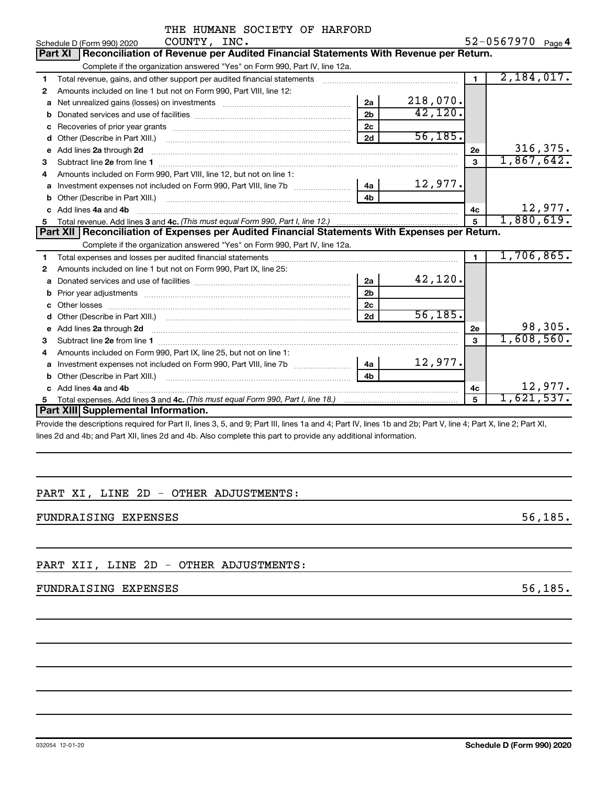|    | THE HUMANE SOCIETY OF HARFORD                                                                                                                               |                |          |                |                   |
|----|-------------------------------------------------------------------------------------------------------------------------------------------------------------|----------------|----------|----------------|-------------------|
|    | COUNTY, INC.<br>Schedule D (Form 990) 2020                                                                                                                  |                |          |                | 52-0567970 Page 4 |
|    | Reconciliation of Revenue per Audited Financial Statements With Revenue per Return.<br>Part XI                                                              |                |          |                |                   |
|    | Complete if the organization answered "Yes" on Form 990, Part IV, line 12a.                                                                                 |                |          |                |                   |
| 1  | Total revenue, gains, and other support per audited financial statements [11] [11] Total revenue, gains, and other support per audited financial statements |                |          | $\blacksquare$ | 2,184,017.        |
| 2  | Amounts included on line 1 but not on Form 990, Part VIII, line 12:                                                                                         |                |          |                |                   |
| a  |                                                                                                                                                             | 2a             | 218,070. |                |                   |
| b  |                                                                                                                                                             | 2 <sub>b</sub> | 42,120.  |                |                   |
| с  |                                                                                                                                                             | 2c             |          |                |                   |
| d  |                                                                                                                                                             | 2d             | 56, 185. |                |                   |
| e  | Add lines 2a through 2d                                                                                                                                     |                |          | 2е             | 316, 375.         |
| 3  |                                                                                                                                                             |                |          | 3              | 1,867,642.        |
| 4  | Amounts included on Form 990, Part VIII, line 12, but not on line 1:                                                                                        |                |          |                |                   |
|    | a Investment expenses not included on Form 990, Part VIII, line 7b [11, 11, 11, 11, 11]                                                                     | 4a l           | 12,977.  |                |                   |
| b  |                                                                                                                                                             | 4 <sub>h</sub> |          |                |                   |
|    | c Add lines 4a and 4b                                                                                                                                       |                |          | 4с             | 12,977.           |
|    |                                                                                                                                                             |                |          | $\overline{5}$ | 1,880,619.        |
|    | Part XII   Reconciliation of Expenses per Audited Financial Statements With Expenses per Return.                                                            |                |          |                |                   |
|    | Complete if the organization answered "Yes" on Form 990, Part IV, line 12a.                                                                                 |                |          |                |                   |
| 1. |                                                                                                                                                             |                |          | $\blacksquare$ | 1,706,865.        |
| 2  | Amounts included on line 1 but not on Form 990, Part IX, line 25:                                                                                           |                |          |                |                   |
| a  |                                                                                                                                                             | 2a             | 42,120.  |                |                   |
| b  | Prior year adjustments [111] matter contracts and the contracts and the contracts and prior vertical contracts                                              | 2 <sub>b</sub> |          |                |                   |
| c  |                                                                                                                                                             | 2 <sub>c</sub> |          |                |                   |
| d  |                                                                                                                                                             | 2d             | 56, 185. |                |                   |
| е  | Add lines 2a through 2d                                                                                                                                     |                |          | 2e             | 98,305.           |
| 3  |                                                                                                                                                             |                |          | 3              | 1,608,560.        |
| 4  | Amounts included on Form 990, Part IX, line 25, but not on line 1:                                                                                          |                |          |                |                   |
| a  |                                                                                                                                                             | 4a             | 12,977.  |                |                   |
| b  | Other (Describe in Part XIII.)                                                                                                                              | 4 <sub>b</sub> |          |                |                   |
|    | c Add lines 4a and 4b                                                                                                                                       |                |          | 4c             | 12,977.           |
|    |                                                                                                                                                             |                |          | 5              | 1,621,537.        |
|    | Part XIII Supplemental Information.                                                                                                                         |                |          |                |                   |
|    | $\Omega$ E and $\Omega$ ; Dark III, there do no did ; Dark B f, there do no di $\Omega$ k; Dark V, then 4; Dark V, then $\Omega$ ; Dark VI                  |                |          |                |                   |

Provide the descriptions required for Part II, lines 3, 5, and 9; Part III, lines 1a and 4; Part IV, lines 1b and 2b; Part V, line 4; Part X, line 2; Part XI, lines 2d and 4b; and Part XII, lines 2d and 4b. Also complete this part to provide any additional information.

# PART XI, LINE 2D - OTHER ADJUSTMENTS:

FUNDRAISING EXPENSES 56,185.

PART XII, LINE 2D - OTHER ADJUSTMENTS:

# FUNDRAISING EXPENSES 56,185.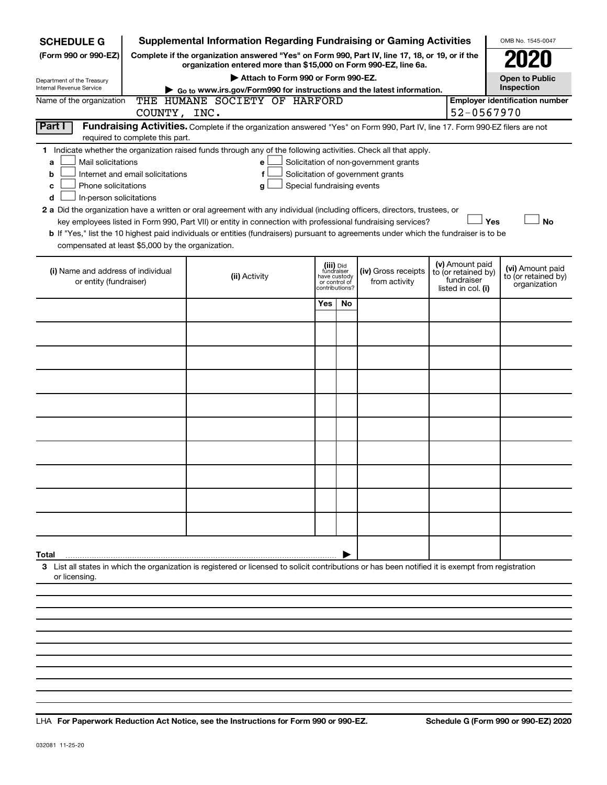| <b>SCHEDULE G</b>                                                                                                                                                                                                                                                                                                                                                                                                                                                                                                                                                                                                                                                                                                                                                                                                                         | <b>Supplemental Information Regarding Fundraising or Gaming Activities</b>                                                                                          |     |    |  |  |                                                         | OMB No. 1545-0047                     |  |
|-------------------------------------------------------------------------------------------------------------------------------------------------------------------------------------------------------------------------------------------------------------------------------------------------------------------------------------------------------------------------------------------------------------------------------------------------------------------------------------------------------------------------------------------------------------------------------------------------------------------------------------------------------------------------------------------------------------------------------------------------------------------------------------------------------------------------------------------|---------------------------------------------------------------------------------------------------------------------------------------------------------------------|-----|----|--|--|---------------------------------------------------------|---------------------------------------|--|
| (Form 990 or 990-EZ)                                                                                                                                                                                                                                                                                                                                                                                                                                                                                                                                                                                                                                                                                                                                                                                                                      | Complete if the organization answered "Yes" on Form 990, Part IV, line 17, 18, or 19, or if the<br>organization entered more than \$15,000 on Form 990-EZ, line 6a. |     |    |  |  |                                                         |                                       |  |
| Department of the Treasury                                                                                                                                                                                                                                                                                                                                                                                                                                                                                                                                                                                                                                                                                                                                                                                                                | Attach to Form 990 or Form 990-EZ.                                                                                                                                  |     |    |  |  |                                                         | <b>Open to Public</b>                 |  |
| <b>Internal Revenue Service</b>                                                                                                                                                                                                                                                                                                                                                                                                                                                                                                                                                                                                                                                                                                                                                                                                           | Go to www.irs.gov/Form990 for instructions and the latest information.                                                                                              |     |    |  |  |                                                         | Inspection                            |  |
| Name of the organization<br>COUNTY, INC.                                                                                                                                                                                                                                                                                                                                                                                                                                                                                                                                                                                                                                                                                                                                                                                                  | THE HUMANE SOCIETY OF HARFORD                                                                                                                                       |     |    |  |  | 52-0567970                                              | <b>Employer identification number</b> |  |
| Part I<br>Fundraising Activities. Complete if the organization answered "Yes" on Form 990, Part IV, line 17. Form 990-EZ filers are not<br>required to complete this part.                                                                                                                                                                                                                                                                                                                                                                                                                                                                                                                                                                                                                                                                |                                                                                                                                                                     |     |    |  |  |                                                         |                                       |  |
| 1 Indicate whether the organization raised funds through any of the following activities. Check all that apply.<br>Mail solicitations<br>Solicitation of non-government grants<br>e<br>a<br>Solicitation of government grants<br>Internet and email solicitations<br>f<br>b<br>Special fundraising events<br>Phone solicitations<br>с<br>g<br>In-person solicitations<br>d<br>2 a Did the organization have a written or oral agreement with any individual (including officers, directors, trustees, or<br>Yes<br>key employees listed in Form 990, Part VII) or entity in connection with professional fundraising services?<br><b>No</b><br>b If "Yes," list the 10 highest paid individuals or entities (fundraisers) pursuant to agreements under which the fundraiser is to be<br>compensated at least \$5,000 by the organization. |                                                                                                                                                                     |     |    |  |  |                                                         |                                       |  |
| (v) Amount paid<br>(iii) Did<br>fundraiser<br>have custody<br>(i) Name and address of individual<br>(iv) Gross receipts<br>to (or retained by)<br>(ii) Activity<br>fundraiser<br>or entity (fundraiser)<br>from activity<br>or control of<br>listed in col. (i)<br>contributions?                                                                                                                                                                                                                                                                                                                                                                                                                                                                                                                                                         |                                                                                                                                                                     |     |    |  |  | (vi) Amount paid<br>to (or retained by)<br>organization |                                       |  |
|                                                                                                                                                                                                                                                                                                                                                                                                                                                                                                                                                                                                                                                                                                                                                                                                                                           |                                                                                                                                                                     | Yes | No |  |  |                                                         |                                       |  |
|                                                                                                                                                                                                                                                                                                                                                                                                                                                                                                                                                                                                                                                                                                                                                                                                                                           |                                                                                                                                                                     |     |    |  |  |                                                         |                                       |  |
|                                                                                                                                                                                                                                                                                                                                                                                                                                                                                                                                                                                                                                                                                                                                                                                                                                           |                                                                                                                                                                     |     |    |  |  |                                                         |                                       |  |
|                                                                                                                                                                                                                                                                                                                                                                                                                                                                                                                                                                                                                                                                                                                                                                                                                                           |                                                                                                                                                                     |     |    |  |  |                                                         |                                       |  |
|                                                                                                                                                                                                                                                                                                                                                                                                                                                                                                                                                                                                                                                                                                                                                                                                                                           |                                                                                                                                                                     |     |    |  |  |                                                         |                                       |  |
|                                                                                                                                                                                                                                                                                                                                                                                                                                                                                                                                                                                                                                                                                                                                                                                                                                           |                                                                                                                                                                     |     |    |  |  |                                                         |                                       |  |
|                                                                                                                                                                                                                                                                                                                                                                                                                                                                                                                                                                                                                                                                                                                                                                                                                                           |                                                                                                                                                                     |     |    |  |  |                                                         |                                       |  |
|                                                                                                                                                                                                                                                                                                                                                                                                                                                                                                                                                                                                                                                                                                                                                                                                                                           |                                                                                                                                                                     |     |    |  |  |                                                         |                                       |  |
|                                                                                                                                                                                                                                                                                                                                                                                                                                                                                                                                                                                                                                                                                                                                                                                                                                           |                                                                                                                                                                     |     |    |  |  |                                                         |                                       |  |
|                                                                                                                                                                                                                                                                                                                                                                                                                                                                                                                                                                                                                                                                                                                                                                                                                                           |                                                                                                                                                                     |     |    |  |  |                                                         |                                       |  |
| Total                                                                                                                                                                                                                                                                                                                                                                                                                                                                                                                                                                                                                                                                                                                                                                                                                                     |                                                                                                                                                                     |     |    |  |  |                                                         |                                       |  |
| 3 List all states in which the organization is registered or licensed to solicit contributions or has been notified it is exempt from registration<br>or licensing                                                                                                                                                                                                                                                                                                                                                                                                                                                                                                                                                                                                                                                                        |                                                                                                                                                                     |     |    |  |  |                                                         |                                       |  |

**For Paperwork Reduction Act Notice, see the Instructions for Form 990 or 990-EZ. Schedule G (Form 990 or 990-EZ) 2020** LHA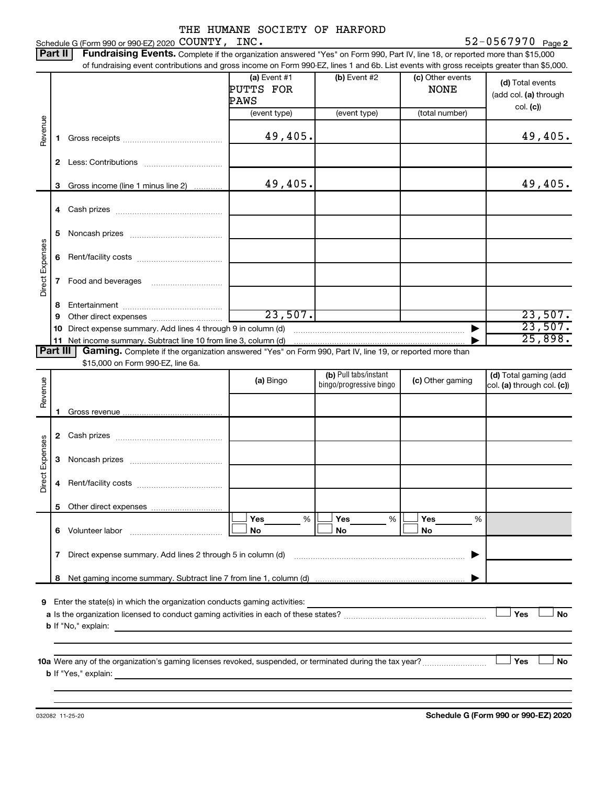Schedule G (Form 990 or 990-EZ) 2020  $\mathtt{COUNTY}$ ,  $\mathtt{INC.}$   $\mathtt{S2-0567970}$   $\mathtt{Page}$ 

52-0567970 Page 2

|                 | Part II | Fundraising Events. Complete if the organization answered "Yes" on Form 990, Part IV, line 18, or reported more than \$15,000<br>of fundraising event contributions and gross income on Form 990-EZ, lines 1 and 6b. List events with gross receipts greater than \$5,000. |                                     |                                                  |                                 |                                                       |
|-----------------|---------|----------------------------------------------------------------------------------------------------------------------------------------------------------------------------------------------------------------------------------------------------------------------------|-------------------------------------|--------------------------------------------------|---------------------------------|-------------------------------------------------------|
|                 |         |                                                                                                                                                                                                                                                                            | (a) Event $#1$<br>PUTTS FOR<br>PAWS | (b) Event #2                                     | (c) Other events<br><b>NONE</b> | (d) Total events<br>(add col. (a) through<br>col. (c) |
|                 |         |                                                                                                                                                                                                                                                                            | (event type)                        | (event type)                                     | (total number)                  |                                                       |
| Revenue         | 1.      |                                                                                                                                                                                                                                                                            | 49,405.                             |                                                  |                                 | 49,405.                                               |
|                 |         |                                                                                                                                                                                                                                                                            |                                     |                                                  |                                 |                                                       |
|                 |         |                                                                                                                                                                                                                                                                            |                                     |                                                  |                                 |                                                       |
|                 | 3       | Gross income (line 1 minus line 2)                                                                                                                                                                                                                                         | 49,405.                             |                                                  |                                 | 49,405.                                               |
|                 |         |                                                                                                                                                                                                                                                                            |                                     |                                                  |                                 |                                                       |
|                 |         |                                                                                                                                                                                                                                                                            |                                     |                                                  |                                 |                                                       |
|                 | 5       |                                                                                                                                                                                                                                                                            |                                     |                                                  |                                 |                                                       |
| Direct Expenses | 6       |                                                                                                                                                                                                                                                                            |                                     |                                                  |                                 |                                                       |
|                 | 7       |                                                                                                                                                                                                                                                                            |                                     |                                                  |                                 |                                                       |
|                 | 8       |                                                                                                                                                                                                                                                                            |                                     |                                                  |                                 |                                                       |
|                 | 9       |                                                                                                                                                                                                                                                                            | 23,507.                             |                                                  |                                 | 23,507.                                               |
|                 | 10      |                                                                                                                                                                                                                                                                            |                                     |                                                  |                                 | 23,507.                                               |
| Part III        |         | Gaming. Complete if the organization answered "Yes" on Form 990, Part IV, line 19, or reported more than                                                                                                                                                                   |                                     |                                                  |                                 | 25,898.                                               |
|                 |         | \$15,000 on Form 990-EZ, line 6a.                                                                                                                                                                                                                                          |                                     |                                                  |                                 |                                                       |
| Revenue         |         |                                                                                                                                                                                                                                                                            | (a) Bingo                           | (b) Pull tabs/instant<br>bingo/progressive bingo | (c) Other gaming                | (d) Total gaming (add<br>col. (a) through col. (c))   |
|                 |         |                                                                                                                                                                                                                                                                            |                                     |                                                  |                                 |                                                       |
|                 | 1       |                                                                                                                                                                                                                                                                            |                                     |                                                  |                                 |                                                       |
|                 |         |                                                                                                                                                                                                                                                                            |                                     |                                                  |                                 |                                                       |
| Direct Expenses | 3       |                                                                                                                                                                                                                                                                            |                                     |                                                  |                                 |                                                       |
|                 |         |                                                                                                                                                                                                                                                                            |                                     |                                                  |                                 |                                                       |
|                 |         |                                                                                                                                                                                                                                                                            |                                     |                                                  |                                 |                                                       |
|                 |         |                                                                                                                                                                                                                                                                            | Yes<br>$\%$                         | Yes<br>$\%$                                      | Yes<br>%                        |                                                       |
|                 |         |                                                                                                                                                                                                                                                                            | No                                  | No                                               | No                              |                                                       |
|                 | 7       |                                                                                                                                                                                                                                                                            |                                     |                                                  |                                 |                                                       |
|                 |         |                                                                                                                                                                                                                                                                            |                                     |                                                  |                                 |                                                       |
|                 |         |                                                                                                                                                                                                                                                                            |                                     |                                                  |                                 |                                                       |
|                 |         |                                                                                                                                                                                                                                                                            |                                     |                                                  |                                 | Yes<br><b>No</b>                                      |
|                 |         |                                                                                                                                                                                                                                                                            |                                     |                                                  |                                 |                                                       |
|                 |         |                                                                                                                                                                                                                                                                            |                                     |                                                  |                                 |                                                       |
|                 |         |                                                                                                                                                                                                                                                                            |                                     |                                                  |                                 | Yes<br><b>No</b>                                      |
|                 |         |                                                                                                                                                                                                                                                                            |                                     |                                                  |                                 |                                                       |
|                 |         |                                                                                                                                                                                                                                                                            |                                     |                                                  |                                 |                                                       |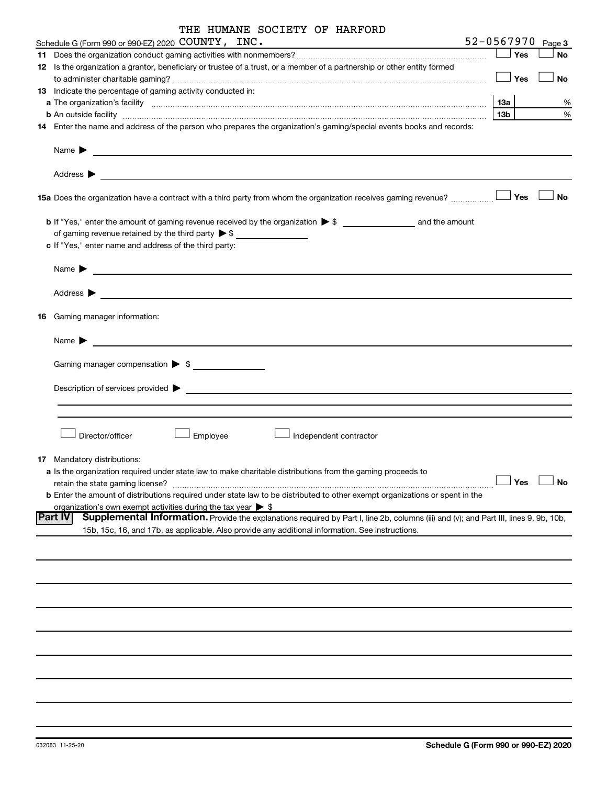| THE HUMANE SOCIETY OF HARFORD |  |
|-------------------------------|--|
|-------------------------------|--|

|    | Schedule G (Form 990 or 990-EZ) 2020 COUNTY, INC.<br>the control of the control of the control of the control of the control of                                                                                                                                                                                                                             | 52-0567970                    |     | Page 3    |  |  |  |  |  |
|----|-------------------------------------------------------------------------------------------------------------------------------------------------------------------------------------------------------------------------------------------------------------------------------------------------------------------------------------------------------------|-------------------------------|-----|-----------|--|--|--|--|--|
| 11 |                                                                                                                                                                                                                                                                                                                                                             |                               | Yes | <b>No</b> |  |  |  |  |  |
|    | 12 Is the organization a grantor, beneficiary or trustee of a trust, or a member of a partnership or other entity formed                                                                                                                                                                                                                                    |                               | Yes | No        |  |  |  |  |  |
|    |                                                                                                                                                                                                                                                                                                                                                             |                               |     |           |  |  |  |  |  |
|    | <b>13</b> Indicate the percentage of gaming activity conducted in:                                                                                                                                                                                                                                                                                          |                               |     |           |  |  |  |  |  |
|    |                                                                                                                                                                                                                                                                                                                                                             | <b>13a</b><br>13 <sub>b</sub> |     | %<br>%    |  |  |  |  |  |
|    | <b>b</b> An outside facility <i>www.communicality www.communicality.communicality www.communicality www.communicality.communicality www.communicality.com</i><br>14 Enter the name and address of the person who prepares the organization's gaming/special events books and records:                                                                       |                               |     |           |  |  |  |  |  |
|    | Name $\blacktriangleright$<br><u> 1980 - An Dùbhlachd ann an Dùbhlachd ann an Dùbhlachd ann an Dùbhlachd ann an Dùbhlachd ann an Dùbhlachd ann a</u><br>Address $\blacktriangleright$<br><u> 1989 - Johann Harry Communication (b. 1989)</u>                                                                                                                |                               |     |           |  |  |  |  |  |
|    |                                                                                                                                                                                                                                                                                                                                                             |                               |     | No        |  |  |  |  |  |
|    | of gaming revenue retained by the third party $\triangleright$ \$                                                                                                                                                                                                                                                                                           |                               |     |           |  |  |  |  |  |
|    | c If "Yes," enter name and address of the third party:                                                                                                                                                                                                                                                                                                      |                               |     |           |  |  |  |  |  |
|    | Name $\blacktriangleright$<br><u>and the contract of the contract of the contract of the contract of the contract of the contract of the contract of</u>                                                                                                                                                                                                    |                               |     |           |  |  |  |  |  |
|    | Address $\blacktriangleright$<br><u> 1989 - Johann Stein, marwolaethau a bhann an t-Amhainn an t-Amhainn an t-Amhainn an t-Amhainn an t-Amhainn an</u>                                                                                                                                                                                                      |                               |     |           |  |  |  |  |  |
|    | 16 Gaming manager information:                                                                                                                                                                                                                                                                                                                              |                               |     |           |  |  |  |  |  |
|    | Name $\blacktriangleright$<br><u> 1989 - Johann Barbara, martin amerikan basal da</u>                                                                                                                                                                                                                                                                       |                               |     |           |  |  |  |  |  |
|    | Gaming manager compensation > \$                                                                                                                                                                                                                                                                                                                            |                               |     |           |  |  |  |  |  |
|    |                                                                                                                                                                                                                                                                                                                                                             |                               |     |           |  |  |  |  |  |
|    |                                                                                                                                                                                                                                                                                                                                                             |                               |     |           |  |  |  |  |  |
|    | Director/officer<br>Employee<br>Independent contractor                                                                                                                                                                                                                                                                                                      |                               |     |           |  |  |  |  |  |
|    | <b>17</b> Mandatory distributions:                                                                                                                                                                                                                                                                                                                          |                               |     |           |  |  |  |  |  |
|    | a Is the organization required under state law to make charitable distributions from the gaming proceeds to<br>$\overbrace{\phantom{xxxxx}}$ Yes $\overline{\phantom{xxxxx}}$ No<br>retain the state gaming license?<br><b>b</b> Enter the amount of distributions required under state law to be distributed to other exempt organizations or spent in the |                               |     |           |  |  |  |  |  |
|    | organization's own exempt activities during the tax year $\triangleright$ \$<br>Supplemental Information. Provide the explanations required by Part I, line 2b, columns (iii) and (v); and Part III, lines 9, 9b, 10b,<br><b>Part IV</b>                                                                                                                    |                               |     |           |  |  |  |  |  |
|    | 15b, 15c, 16, and 17b, as applicable. Also provide any additional information. See instructions.                                                                                                                                                                                                                                                            |                               |     |           |  |  |  |  |  |
|    |                                                                                                                                                                                                                                                                                                                                                             |                               |     |           |  |  |  |  |  |
|    |                                                                                                                                                                                                                                                                                                                                                             |                               |     |           |  |  |  |  |  |
|    |                                                                                                                                                                                                                                                                                                                                                             |                               |     |           |  |  |  |  |  |
|    |                                                                                                                                                                                                                                                                                                                                                             |                               |     |           |  |  |  |  |  |
|    |                                                                                                                                                                                                                                                                                                                                                             |                               |     |           |  |  |  |  |  |
|    |                                                                                                                                                                                                                                                                                                                                                             |                               |     |           |  |  |  |  |  |
|    |                                                                                                                                                                                                                                                                                                                                                             |                               |     |           |  |  |  |  |  |
|    |                                                                                                                                                                                                                                                                                                                                                             |                               |     |           |  |  |  |  |  |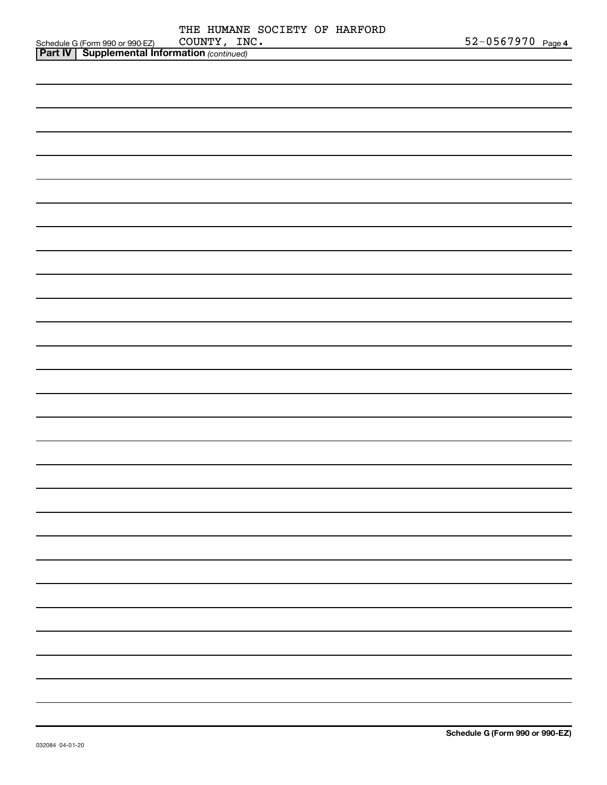|                                                     | THE HUMANE SOCIETY OF HARFORD |                       |
|-----------------------------------------------------|-------------------------------|-----------------------|
| Schedule G (Form 990 or 990-EZ)                     | COUNTY, INC.                  | $52 - 0567970$ Page 4 |
| <b>Part IV Supplemental Information</b> (continued) |                               |                       |

| <b>Part IV   Supplemental Information (continued)</b> |
|-------------------------------------------------------|
|                                                       |
|                                                       |
|                                                       |
|                                                       |
|                                                       |
|                                                       |
|                                                       |
|                                                       |
|                                                       |
|                                                       |
|                                                       |
|                                                       |
|                                                       |
|                                                       |
|                                                       |
|                                                       |
|                                                       |
|                                                       |
|                                                       |
|                                                       |
|                                                       |
|                                                       |
|                                                       |
|                                                       |
|                                                       |
|                                                       |
|                                                       |
|                                                       |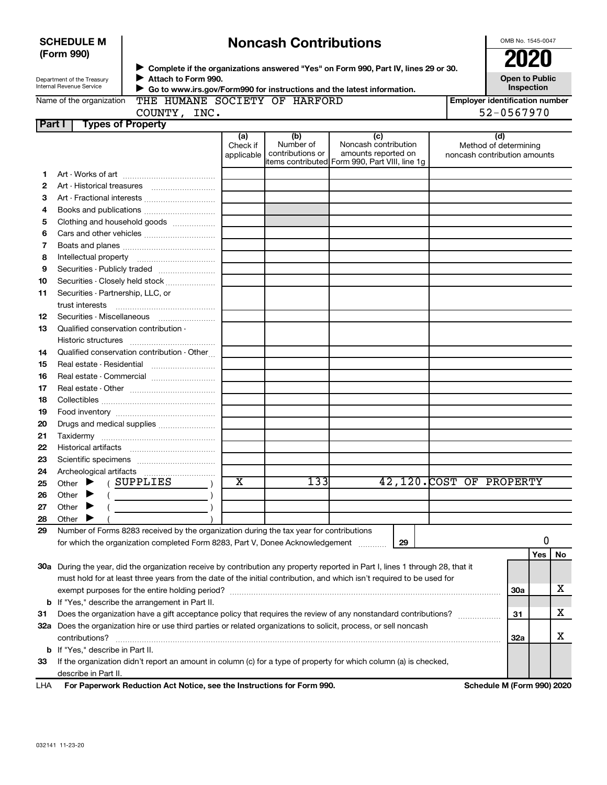| (Form 990) |                                                        |                                                                                                                                |                                                                                                                                                                  |                                      |                                                                                                       |    |                          | 2020                                                         |                                                     |    |  |
|------------|--------------------------------------------------------|--------------------------------------------------------------------------------------------------------------------------------|------------------------------------------------------------------------------------------------------------------------------------------------------------------|--------------------------------------|-------------------------------------------------------------------------------------------------------|----|--------------------------|--------------------------------------------------------------|-----------------------------------------------------|----|--|
|            | Department of the Treasury<br>Internal Revenue Service | Attach to Form 990.                                                                                                            | ▶ Complete if the organizations answered "Yes" on Form 990, Part IV, lines 29 or 30.<br>▶ Go to www.irs.gov/Form990 for instructions and the latest information. |                                      |                                                                                                       |    |                          | Open to Public<br>Inspection                                 |                                                     |    |  |
|            | Name of the organization                               | COUNTY, INC.                                                                                                                   |                                                                                                                                                                  | THE HUMANE SOCIETY OF HARFORD        |                                                                                                       |    |                          |                                                              | <b>Employer identification number</b><br>52-0567970 |    |  |
| Part I     |                                                        | <b>Types of Property</b>                                                                                                       |                                                                                                                                                                  |                                      |                                                                                                       |    |                          |                                                              |                                                     |    |  |
|            |                                                        |                                                                                                                                | (a)<br>Check if<br>applicable                                                                                                                                    | (b)<br>Number of<br>contributions or | (c)<br>Noncash contribution<br>amounts reported on<br>litems contributed Form 990, Part VIII, line 1g |    |                          | (d)<br>Method of determining<br>noncash contribution amounts |                                                     |    |  |
| 1.         |                                                        |                                                                                                                                |                                                                                                                                                                  |                                      |                                                                                                       |    |                          |                                                              |                                                     |    |  |
| 2          |                                                        |                                                                                                                                |                                                                                                                                                                  |                                      |                                                                                                       |    |                          |                                                              |                                                     |    |  |
| З          |                                                        |                                                                                                                                |                                                                                                                                                                  |                                      |                                                                                                       |    |                          |                                                              |                                                     |    |  |
| 4          |                                                        | Books and publications                                                                                                         |                                                                                                                                                                  |                                      |                                                                                                       |    |                          |                                                              |                                                     |    |  |
| 5          |                                                        | Clothing and household goods                                                                                                   |                                                                                                                                                                  |                                      |                                                                                                       |    |                          |                                                              |                                                     |    |  |
| 6          |                                                        |                                                                                                                                |                                                                                                                                                                  |                                      |                                                                                                       |    |                          |                                                              |                                                     |    |  |
| 7          |                                                        |                                                                                                                                |                                                                                                                                                                  |                                      |                                                                                                       |    |                          |                                                              |                                                     |    |  |
| 8          |                                                        |                                                                                                                                |                                                                                                                                                                  |                                      |                                                                                                       |    |                          |                                                              |                                                     |    |  |
| 9          |                                                        | Securities - Publicly traded                                                                                                   |                                                                                                                                                                  |                                      |                                                                                                       |    |                          |                                                              |                                                     |    |  |
| 10         |                                                        | Securities - Closely held stock                                                                                                |                                                                                                                                                                  |                                      |                                                                                                       |    |                          |                                                              |                                                     |    |  |
| 11         | Securities - Partnership, LLC, or                      |                                                                                                                                |                                                                                                                                                                  |                                      |                                                                                                       |    |                          |                                                              |                                                     |    |  |
|            |                                                        |                                                                                                                                |                                                                                                                                                                  |                                      |                                                                                                       |    |                          |                                                              |                                                     |    |  |
| 12         |                                                        | Securities - Miscellaneous                                                                                                     |                                                                                                                                                                  |                                      |                                                                                                       |    |                          |                                                              |                                                     |    |  |
| 13         | Qualified conservation contribution -                  |                                                                                                                                |                                                                                                                                                                  |                                      |                                                                                                       |    |                          |                                                              |                                                     |    |  |
|            |                                                        |                                                                                                                                |                                                                                                                                                                  |                                      |                                                                                                       |    |                          |                                                              |                                                     |    |  |
| 14         |                                                        | Qualified conservation contribution - Other                                                                                    |                                                                                                                                                                  |                                      |                                                                                                       |    |                          |                                                              |                                                     |    |  |
| 15         |                                                        |                                                                                                                                |                                                                                                                                                                  |                                      |                                                                                                       |    |                          |                                                              |                                                     |    |  |
| 16         |                                                        |                                                                                                                                |                                                                                                                                                                  |                                      |                                                                                                       |    |                          |                                                              |                                                     |    |  |
| 17         |                                                        |                                                                                                                                |                                                                                                                                                                  |                                      |                                                                                                       |    |                          |                                                              |                                                     |    |  |
| 18         |                                                        |                                                                                                                                |                                                                                                                                                                  |                                      |                                                                                                       |    |                          |                                                              |                                                     |    |  |
| 19         |                                                        |                                                                                                                                |                                                                                                                                                                  |                                      |                                                                                                       |    |                          |                                                              |                                                     |    |  |
| 20         |                                                        | Drugs and medical supplies                                                                                                     |                                                                                                                                                                  |                                      |                                                                                                       |    |                          |                                                              |                                                     |    |  |
| 21         |                                                        |                                                                                                                                |                                                                                                                                                                  |                                      |                                                                                                       |    |                          |                                                              |                                                     |    |  |
| 22         |                                                        |                                                                                                                                |                                                                                                                                                                  |                                      |                                                                                                       |    |                          |                                                              |                                                     |    |  |
| 23         |                                                        |                                                                                                                                |                                                                                                                                                                  |                                      |                                                                                                       |    |                          |                                                              |                                                     |    |  |
| 24         |                                                        |                                                                                                                                |                                                                                                                                                                  |                                      |                                                                                                       |    |                          |                                                              |                                                     |    |  |
| 25         | Other > (SUPPLIES                                      |                                                                                                                                | $\overline{\textbf{x}}$                                                                                                                                          | 1331                                 |                                                                                                       |    | 42,120. COST OF PROPERTY |                                                              |                                                     |    |  |
| 26         | Other                                                  |                                                                                                                                |                                                                                                                                                                  |                                      |                                                                                                       |    |                          |                                                              |                                                     |    |  |
| 27         | Other                                                  |                                                                                                                                |                                                                                                                                                                  |                                      |                                                                                                       |    |                          |                                                              |                                                     |    |  |
| 28         | Other                                                  |                                                                                                                                |                                                                                                                                                                  |                                      |                                                                                                       |    |                          |                                                              |                                                     |    |  |
| 29         |                                                        | Number of Forms 8283 received by the organization during the tax year for contributions                                        |                                                                                                                                                                  |                                      |                                                                                                       |    |                          |                                                              |                                                     |    |  |
|            |                                                        | for which the organization completed Form 8283, Part V, Donee Acknowledgement                                                  |                                                                                                                                                                  |                                      |                                                                                                       | 29 |                          |                                                              | 0<br>Yes                                            |    |  |
|            |                                                        | 30a During the year, did the organization receive by contribution any property reported in Part I, lines 1 through 28, that it |                                                                                                                                                                  |                                      |                                                                                                       |    |                          |                                                              |                                                     | No |  |
|            |                                                        | must hold for at least three years from the date of the initial contribution, and which isn't required to be used for          |                                                                                                                                                                  |                                      |                                                                                                       |    |                          |                                                              |                                                     |    |  |
|            |                                                        |                                                                                                                                |                                                                                                                                                                  |                                      |                                                                                                       |    |                          | 30a                                                          |                                                     | х  |  |
|            |                                                        | <b>b</b> If "Yes," describe the arrangement in Part II.                                                                        |                                                                                                                                                                  |                                      |                                                                                                       |    |                          |                                                              |                                                     |    |  |
| 31         |                                                        | Does the organization have a gift acceptance policy that requires the review of any nonstandard contributions?                 |                                                                                                                                                                  |                                      |                                                                                                       |    |                          | 31                                                           |                                                     | х  |  |
|            |                                                        | 32a Does the organization hire or use third parties or related organizations to solicit, process, or sell noncash              |                                                                                                                                                                  |                                      |                                                                                                       |    |                          |                                                              |                                                     |    |  |
|            | contributions?                                         |                                                                                                                                |                                                                                                                                                                  |                                      |                                                                                                       |    |                          | <b>32a</b>                                                   |                                                     | х  |  |
|            | <b>b</b> If "Yes," describe in Part II.                |                                                                                                                                |                                                                                                                                                                  |                                      |                                                                                                       |    |                          |                                                              |                                                     |    |  |
| 33         |                                                        | If the organization didn't report an amount in column (c) for a type of property for which column (a) is checked,              |                                                                                                                                                                  |                                      |                                                                                                       |    |                          |                                                              |                                                     |    |  |
|            | describe in Part II.                                   |                                                                                                                                |                                                                                                                                                                  |                                      |                                                                                                       |    |                          |                                                              |                                                     |    |  |
|            |                                                        |                                                                                                                                |                                                                                                                                                                  |                                      |                                                                                                       |    |                          |                                                              |                                                     |    |  |

**Noncash Contributions**

| LHA For Paperwork Reduction Act Notice, see the Instructions for Form 990. | Schedule M (Form 990) 2020 |
|----------------------------------------------------------------------------|----------------------------|
|                                                                            |                            |

OMB No. 1545-0047

**SCHEDULE M**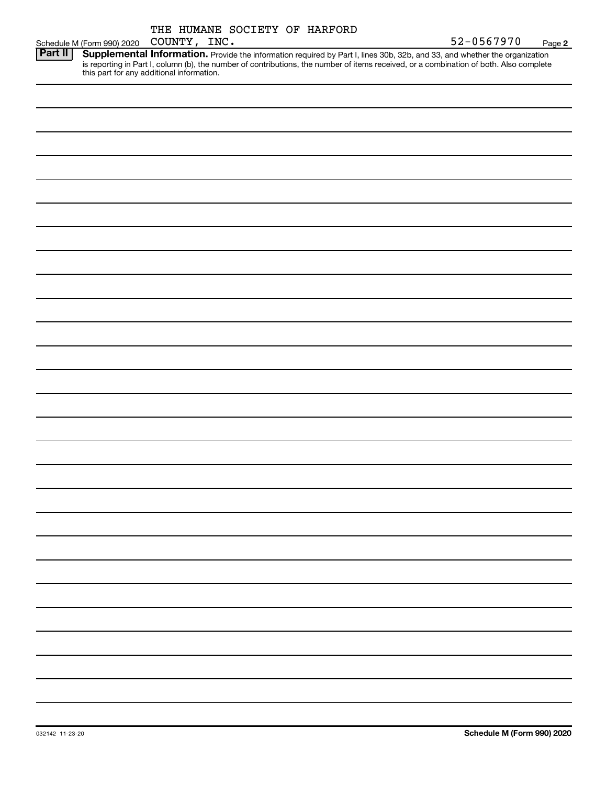|        |     |  | THE HUMANE SOCIETY OF HARFORD |            |
|--------|-----|--|-------------------------------|------------|
| COUNTY | TMC |  |                               | 52-0567970 |

|         | Schedule M (Form 990) 2020 COUNTY, INC.                                                                                                | $52 - 0567970$ | Page 2 |
|---------|----------------------------------------------------------------------------------------------------------------------------------------|----------------|--------|
| Part II | Supplemental Information. Provide the information required by Part I, lines 30b, 32b, and 33, and whether the organization             |                |        |
|         | is reporting in Part I, column (b), the number of contributions, the number of items received, or a combination of both. Also complete |                |        |
|         | this part for any additional information.                                                                                              |                |        |
|         |                                                                                                                                        |                |        |
|         |                                                                                                                                        |                |        |
|         |                                                                                                                                        |                |        |
|         |                                                                                                                                        |                |        |
|         |                                                                                                                                        |                |        |
|         |                                                                                                                                        |                |        |
|         |                                                                                                                                        |                |        |
|         |                                                                                                                                        |                |        |
|         |                                                                                                                                        |                |        |
|         |                                                                                                                                        |                |        |
|         |                                                                                                                                        |                |        |
|         |                                                                                                                                        |                |        |
|         |                                                                                                                                        |                |        |
|         |                                                                                                                                        |                |        |
|         |                                                                                                                                        |                |        |
|         |                                                                                                                                        |                |        |
|         |                                                                                                                                        |                |        |
|         |                                                                                                                                        |                |        |
|         |                                                                                                                                        |                |        |
|         |                                                                                                                                        |                |        |
|         |                                                                                                                                        |                |        |
|         |                                                                                                                                        |                |        |
|         |                                                                                                                                        |                |        |
|         |                                                                                                                                        |                |        |
|         |                                                                                                                                        |                |        |
|         |                                                                                                                                        |                |        |
|         |                                                                                                                                        |                |        |
|         |                                                                                                                                        |                |        |
|         |                                                                                                                                        |                |        |
|         |                                                                                                                                        |                |        |
|         |                                                                                                                                        |                |        |
|         |                                                                                                                                        |                |        |
|         |                                                                                                                                        |                |        |
|         |                                                                                                                                        |                |        |
|         |                                                                                                                                        |                |        |
|         |                                                                                                                                        |                |        |
|         |                                                                                                                                        |                |        |
|         |                                                                                                                                        |                |        |
|         |                                                                                                                                        |                |        |
|         |                                                                                                                                        |                |        |
|         |                                                                                                                                        |                |        |
|         |                                                                                                                                        |                |        |
|         |                                                                                                                                        |                |        |
|         |                                                                                                                                        |                |        |
|         |                                                                                                                                        |                |        |
|         |                                                                                                                                        |                |        |
|         |                                                                                                                                        |                |        |
|         |                                                                                                                                        |                |        |
|         |                                                                                                                                        |                |        |
|         |                                                                                                                                        |                |        |
|         |                                                                                                                                        |                |        |
|         |                                                                                                                                        |                |        |
|         |                                                                                                                                        |                |        |
|         |                                                                                                                                        |                |        |
|         |                                                                                                                                        |                |        |
|         |                                                                                                                                        |                |        |
|         |                                                                                                                                        |                |        |
|         |                                                                                                                                        |                |        |
|         |                                                                                                                                        |                |        |
|         |                                                                                                                                        |                |        |
|         |                                                                                                                                        |                |        |
|         |                                                                                                                                        |                |        |
|         |                                                                                                                                        |                |        |
|         |                                                                                                                                        |                |        |
|         |                                                                                                                                        |                |        |
|         |                                                                                                                                        |                |        |
|         |                                                                                                                                        |                |        |
|         |                                                                                                                                        |                |        |
|         |                                                                                                                                        |                |        |
|         |                                                                                                                                        |                |        |
|         |                                                                                                                                        |                |        |
|         |                                                                                                                                        |                |        |
|         |                                                                                                                                        |                |        |
|         |                                                                                                                                        |                |        |
|         |                                                                                                                                        |                |        |
|         |                                                                                                                                        |                |        |
|         |                                                                                                                                        |                |        |
|         |                                                                                                                                        |                |        |
|         |                                                                                                                                        |                |        |
|         |                                                                                                                                        |                |        |
|         |                                                                                                                                        |                |        |
|         |                                                                                                                                        |                |        |
|         |                                                                                                                                        |                |        |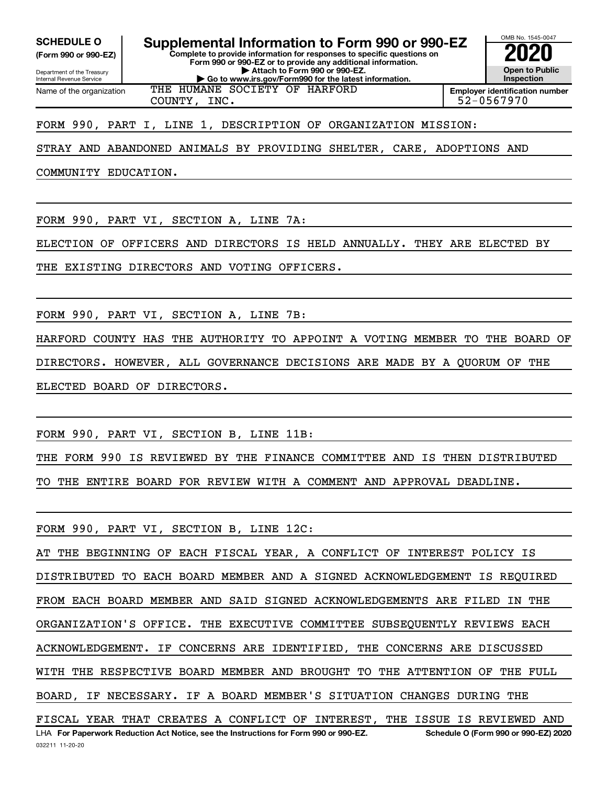**(Form 990 or 990-EZ)**

**Complete to provide information for responses to specific questions on Form 990 or 990-EZ or to provide any additional information. | Attach to Form 990 or 990-EZ. | Go to www.irs.gov/Form990 for the latest information. SCHEDULE O Supplemental Information to Form 990 or 990-EZ 2020**<br>(Form 990 or 990-EZ) Complete to provide information for responses to specific questions on

Department of the Treasury Internal Revenue Service Name of the organization

#### THE HUMANE SOCIETY OF HARFORD COUNTY, INC. 52-0567970

**Employer identification number**

OMB No. 1545-0047

**Open to Public Inspection**

FORM 990, PART I, LINE 1, DESCRIPTION OF ORGANIZATION MISSION:

STRAY AND ABANDONED ANIMALS BY PROVIDING SHELTER, CARE, ADOPTIONS AND

COMMUNITY EDUCATION.

FORM 990, PART VI, SECTION A, LINE 7A:

ELECTION OF OFFICERS AND DIRECTORS IS HELD ANNUALLY. THEY ARE ELECTED BY

THE EXISTING DIRECTORS AND VOTING OFFICERS.

FORM 990, PART VI, SECTION A, LINE 7B:

HARFORD COUNTY HAS THE AUTHORITY TO APPOINT A VOTING MEMBER TO THE BOARD OF DIRECTORS. HOWEVER, ALL GOVERNANCE DECISIONS ARE MADE BY A QUORUM OF THE ELECTED BOARD OF DIRECTORS.

FORM 990, PART VI, SECTION B, LINE 11B:

THE FORM 990 IS REVIEWED BY THE FINANCE COMMITTEE AND IS THEN DISTRIBUTED TO THE ENTIRE BOARD FOR REVIEW WITH A COMMENT AND APPROVAL DEADLINE.

FORM 990, PART VI, SECTION B, LINE 12C:

**For Paperwork Reduction Act Notice, see the Instructions for Form 990 or 990-EZ. Schedule O (Form 990 or 990-EZ) 2020** LHA AT THE BEGINNING OF EACH FISCAL YEAR, A CONFLICT OF INTEREST POLICY IS DISTRIBUTED TO EACH BOARD MEMBER AND A SIGNED ACKNOWLEDGEMENT IS REQUIRED FROM EACH BOARD MEMBER AND SAID SIGNED ACKNOWLEDGEMENTS ARE FILED IN THE ORGANIZATION'S OFFICE. THE EXECUTIVE COMMITTEE SUBSEQUENTLY REVIEWS EACH ACKNOWLEDGEMENT. IF CONCERNS ARE IDENTIFIED, THE CONCERNS ARE DISCUSSED WITH THE RESPECTIVE BOARD MEMBER AND BROUGHT TO THE ATTENTION OF THE FULL BOARD, IF NECESSARY. IF A BOARD MEMBER'S SITUATION CHANGES DURING THE FISCAL YEAR THAT CREATES A CONFLICT OF INTEREST, THE ISSUE IS REVIEWED AND